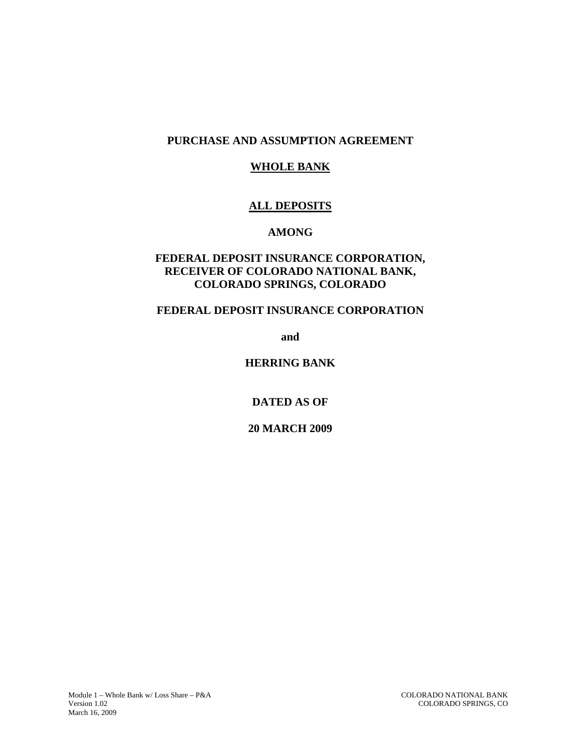#### **PURCHASE AND ASSUMPTION AGREEMENT**

#### **WHOLE BANK**

### **ALL DEPOSITS**

### **AMONG**

#### **FEDERAL DEPOSIT INSURANCE CORPORATION, RECEIVER OF COLORADO NATIONAL BANK, COLORADO SPRINGS, COLORADO**

#### **FEDERAL DEPOSIT INSURANCE CORPORATION**

**and** 

#### **HERRING BANK**

**DATED AS OF** 

**20 MARCH 2009**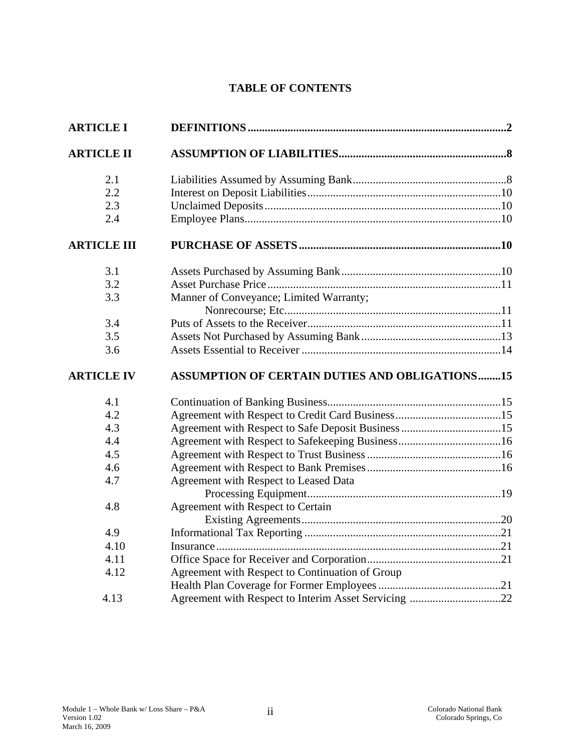# **TABLE OF CONTENTS**

| <b>ARTICLE I</b>   |                                                       |
|--------------------|-------------------------------------------------------|
| <b>ARTICLE II</b>  |                                                       |
| 2.1                |                                                       |
| 2.2                |                                                       |
| 2.3                |                                                       |
| 2.4                |                                                       |
| <b>ARTICLE III</b> |                                                       |
| 3.1                |                                                       |
| 3.2                |                                                       |
| 3.3                | Manner of Conveyance; Limited Warranty;               |
|                    |                                                       |
| 3.4                |                                                       |
| 3.5                |                                                       |
| 3.6                |                                                       |
| <b>ARTICLE IV</b>  | <b>ASSUMPTION OF CERTAIN DUTIES AND OBLIGATIONS15</b> |
| 4.1                |                                                       |
| 4.2                |                                                       |
| 4.3                |                                                       |
| 4.4                |                                                       |
| 4.5                |                                                       |
| 4.6                |                                                       |
| 4.7                |                                                       |
|                    | Agreement with Respect to Leased Data                 |
|                    |                                                       |
| 4.8                | Agreement with Respect to Certain                     |
|                    |                                                       |
| 4.9                |                                                       |
| 4.10               |                                                       |
| 4.11               |                                                       |
| 4.12               | Agreement with Respect to Continuation of Group       |
|                    | Agreement with Respect to Interim Asset Servicing 22  |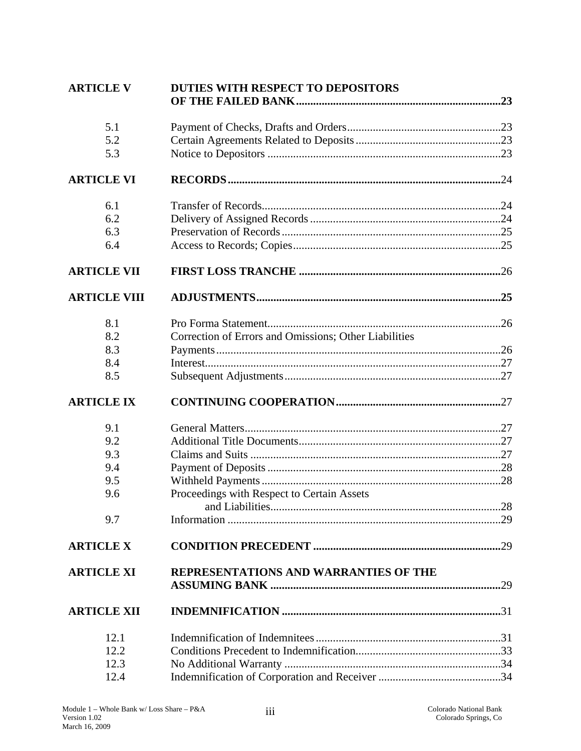| <b>ARTICLE V</b>    | <b>DUTIES WITH RESPECT TO DEPOSITORS</b>              |  |
|---------------------|-------------------------------------------------------|--|
| 5.1                 |                                                       |  |
| 5.2                 |                                                       |  |
| 5.3                 |                                                       |  |
|                     |                                                       |  |
| <b>ARTICLE VI</b>   |                                                       |  |
| 6.1                 |                                                       |  |
| 6.2                 |                                                       |  |
| 6.3                 |                                                       |  |
| 6.4                 |                                                       |  |
| <b>ARTICLE VII</b>  |                                                       |  |
| <b>ARTICLE VIII</b> |                                                       |  |
| 8.1                 |                                                       |  |
| 8.2                 | Correction of Errors and Omissions; Other Liabilities |  |
| 8.3                 |                                                       |  |
| 8.4                 |                                                       |  |
| 8.5                 |                                                       |  |
| <b>ARTICLE IX</b>   |                                                       |  |
| 9.1                 |                                                       |  |
| 9.2                 |                                                       |  |
| 9.3                 |                                                       |  |
| 9.4                 |                                                       |  |
| 9.5                 |                                                       |  |
| 9.6                 | Proceedings with Respect to Certain Assets            |  |
|                     |                                                       |  |
| 9.7                 |                                                       |  |
| <b>ARTICLE X</b>    |                                                       |  |
| <b>ARTICLE XI</b>   | REPRESENTATIONS AND WARRANTIES OF THE                 |  |
| <b>ARTICLE XII</b>  |                                                       |  |
| 12.1                |                                                       |  |
| 12.2                |                                                       |  |
| 12.3                |                                                       |  |
| 12.4                |                                                       |  |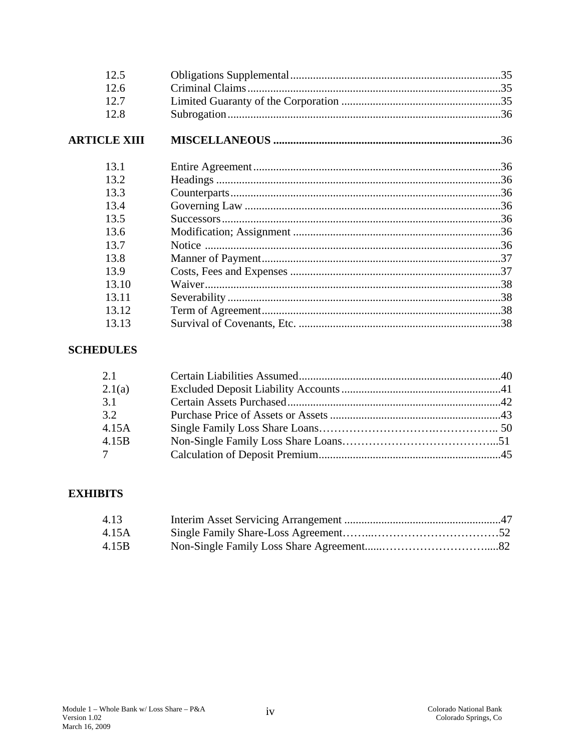| 12.5                |  |
|---------------------|--|
| 12.6                |  |
| 12.7                |  |
| 12.8                |  |
| <b>ARTICLE XIII</b> |  |
| 13.1                |  |
| 13.2                |  |
| 13.3                |  |
| 13.4                |  |
| 13.5                |  |
| 13.6                |  |
| 13.7                |  |
| 13.8                |  |
| 13.9                |  |
| 13.10               |  |
| 13.11               |  |
| 13.12               |  |
| 13.13               |  |

# **SCHEDULES**

| 2.1    |  |
|--------|--|
| 2.1(a) |  |
| 3.1    |  |
| 3.2    |  |
| 4.15A  |  |
| 4.15B  |  |
| 7      |  |

# **EXHIBITS**

| 4.13  |  |
|-------|--|
| 4.15A |  |
| 4.15B |  |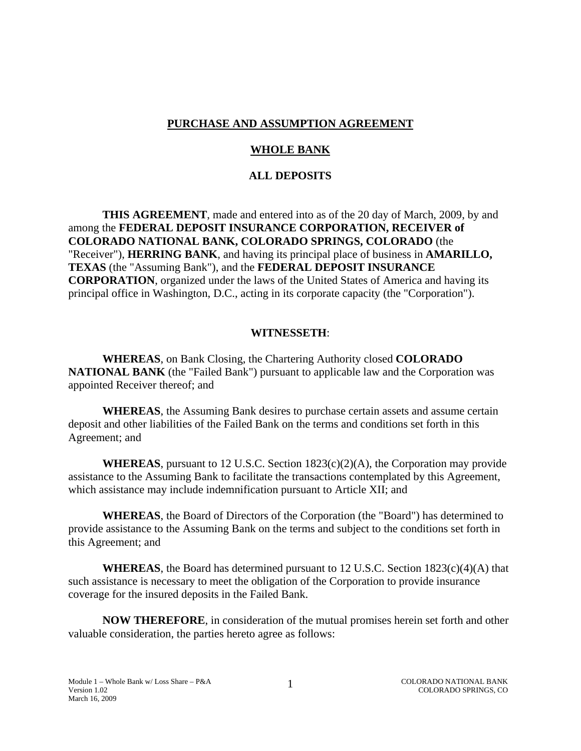#### **PURCHASE AND ASSUMPTION AGREEMENT**

#### **WHOLE BANK**

#### **ALL DEPOSITS**

 **THIS AGREEMENT**, made and entered into as of the 20 day of March, 2009, by and among the **FEDERAL DEPOSIT INSURANCE CORPORATION, RECEIVER of COLORADO NATIONAL BANK, COLORADO SPRINGS, COLORADO** (the "Receiver"), **HERRING BANK**, and having its principal place of business in **AMARILLO, TEXAS** (the "Assuming Bank"), and the **FEDERAL DEPOSIT INSURANCE CORPORATION**, organized under the laws of the United States of America and having its principal office in Washington, D.C., acting in its corporate capacity (the "Corporation").

#### **WITNESSETH**:

**WHEREAS**, on Bank Closing, the Chartering Authority closed **COLORADO NATIONAL BANK** (the "Failed Bank") pursuant to applicable law and the Corporation was appointed Receiver thereof; and

**WHEREAS**, the Assuming Bank desires to purchase certain assets and assume certain deposit and other liabilities of the Failed Bank on the terms and conditions set forth in this Agreement; and

**WHEREAS**, pursuant to 12 U.S.C. Section 1823(c)(2)(A), the Corporation may provide assistance to the Assuming Bank to facilitate the transactions contemplated by this Agreement, which assistance may include indemnification pursuant to Article XII; and

**WHEREAS**, the Board of Directors of the Corporation (the "Board") has determined to provide assistance to the Assuming Bank on the terms and subject to the conditions set forth in this Agreement; and

**WHEREAS**, the Board has determined pursuant to 12 U.S.C. Section 1823(c)(4)(A) that such assistance is necessary to meet the obligation of the Corporation to provide insurance coverage for the insured deposits in the Failed Bank.

 **NOW THEREFORE**, in consideration of the mutual promises herein set forth and other valuable consideration, the parties hereto agree as follows: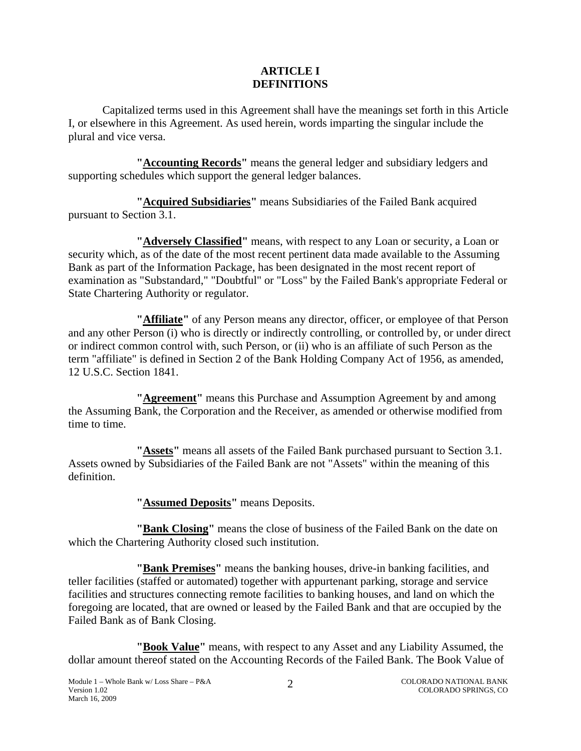## **ARTICLE I DEFINITIONS**

<span id="page-5-0"></span>Capitalized terms used in this Agreement shall have the meanings set forth in this Article I, or elsewhere in this Agreement. As used herein, words imparting the singular include the plural and vice versa.

**"Accounting Records"** means the general ledger and subsidiary ledgers and supporting schedules which support the general ledger balances.

**"Acquired Subsidiaries"** means Subsidiaries of the Failed Bank acquired pursuant to Section 3.1.

**"Adversely Classified"** means, with respect to any Loan or security, a Loan or security which, as of the date of the most recent pertinent data made available to the Assuming Bank as part of the Information Package, has been designated in the most recent report of examination as "Substandard," "Doubtful" or "Loss" by the Failed Bank's appropriate Federal or State Chartering Authority or regulator.

**"Affiliate"** of any Person means any director, officer, or employee of that Person and any other Person (i) who is directly or indirectly controlling, or controlled by, or under direct or indirect common control with, such Person, or (ii) who is an affiliate of such Person as the term "affiliate" is defined in Section 2 of the Bank Holding Company Act of 1956, as amended, 12 U.S.C. Section 1841.

**"Agreement"** means this Purchase and Assumption Agreement by and among the Assuming Bank, the Corporation and the Receiver, as amended or otherwise modified from time to time.

**"Assets"** means all assets of the Failed Bank purchased pursuant to Section 3.1. Assets owned by Subsidiaries of the Failed Bank are not "Assets" within the meaning of this definition.

**"Assumed Deposits"** means Deposits.

**"Bank Closing"** means the close of business of the Failed Bank on the date on which the Chartering Authority closed such institution.

**"Bank Premises"** means the banking houses, drive-in banking facilities, and teller facilities (staffed or automated) together with appurtenant parking, storage and service facilities and structures connecting remote facilities to banking houses, and land on which the foregoing are located, that are owned or leased by the Failed Bank and that are occupied by the Failed Bank as of Bank Closing.

**"Book Value"** means, with respect to any Asset and any Liability Assumed, the dollar amount thereof stated on the Accounting Records of the Failed Bank. The Book Value of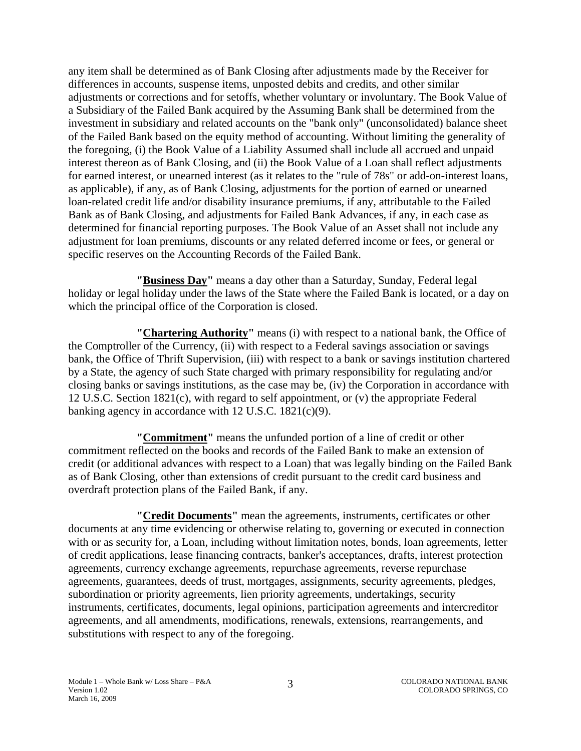any item shall be determined as of Bank Closing after adjustments made by the Receiver for differences in accounts, suspense items, unposted debits and credits, and other similar adjustments or corrections and for setoffs, whether voluntary or involuntary. The Book Value of a Subsidiary of the Failed Bank acquired by the Assuming Bank shall be determined from the investment in subsidiary and related accounts on the "bank only" (unconsolidated) balance sheet of the Failed Bank based on the equity method of accounting. Without limiting the generality of the foregoing, (i) the Book Value of a Liability Assumed shall include all accrued and unpaid interest thereon as of Bank Closing, and (ii) the Book Value of a Loan shall reflect adjustments for earned interest, or unearned interest (as it relates to the "rule of 78s" or add-on-interest loans, as applicable), if any, as of Bank Closing, adjustments for the portion of earned or unearned loan-related credit life and/or disability insurance premiums, if any, attributable to the Failed Bank as of Bank Closing, and adjustments for Failed Bank Advances, if any, in each case as determined for financial reporting purposes. The Book Value of an Asset shall not include any adjustment for loan premiums, discounts or any related deferred income or fees, or general or specific reserves on the Accounting Records of the Failed Bank.

**"Business Day"** means a day other than a Saturday, Sunday, Federal legal holiday or legal holiday under the laws of the State where the Failed Bank is located, or a day on which the principal office of the Corporation is closed.

**"Chartering Authority"** means (i) with respect to a national bank, the Office of the Comptroller of the Currency, (ii) with respect to a Federal savings association or savings bank, the Office of Thrift Supervision, (iii) with respect to a bank or savings institution chartered by a State, the agency of such State charged with primary responsibility for regulating and/or closing banks or savings institutions, as the case may be, (iv) the Corporation in accordance with 12 U.S.C. Section 1821(c), with regard to self appointment, or (v) the appropriate Federal banking agency in accordance with 12 U.S.C. 1821(c)(9).

**"Commitment"** means the unfunded portion of a line of credit or other commitment reflected on the books and records of the Failed Bank to make an extension of credit (or additional advances with respect to a Loan) that was legally binding on the Failed Bank as of Bank Closing, other than extensions of credit pursuant to the credit card business and overdraft protection plans of the Failed Bank, if any.

**"Credit Documents"** mean the agreements, instruments, certificates or other documents at any time evidencing or otherwise relating to, governing or executed in connection with or as security for, a Loan, including without limitation notes, bonds, loan agreements, letter of credit applications, lease financing contracts, banker's acceptances, drafts, interest protection agreements, currency exchange agreements, repurchase agreements, reverse repurchase agreements, guarantees, deeds of trust, mortgages, assignments, security agreements, pledges, subordination or priority agreements, lien priority agreements, undertakings, security instruments, certificates, documents, legal opinions, participation agreements and intercreditor agreements, and all amendments, modifications, renewals, extensions, rearrangements, and substitutions with respect to any of the foregoing.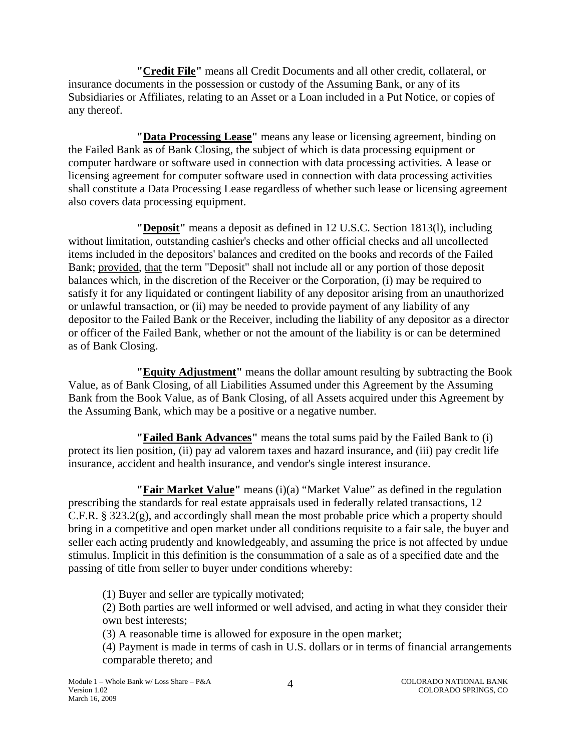**"Credit File"** means all Credit Documents and all other credit, collateral, or insurance documents in the possession or custody of the Assuming Bank, or any of its Subsidiaries or Affiliates, relating to an Asset or a Loan included in a Put Notice, or copies of any thereof.

**"Data Processing Lease"** means any lease or licensing agreement, binding on the Failed Bank as of Bank Closing, the subject of which is data processing equipment or computer hardware or software used in connection with data processing activities. A lease or licensing agreement for computer software used in connection with data processing activities shall constitute a Data Processing Lease regardless of whether such lease or licensing agreement also covers data processing equipment.

**"Deposit"** means a deposit as defined in 12 U.S.C. Section 1813(l), including without limitation, outstanding cashier's checks and other official checks and all uncollected items included in the depositors' balances and credited on the books and records of the Failed Bank; provided, that the term "Deposit" shall not include all or any portion of those deposit balances which, in the discretion of the Receiver or the Corporation, (i) may be required to satisfy it for any liquidated or contingent liability of any depositor arising from an unauthorized or unlawful transaction, or (ii) may be needed to provide payment of any liability of any depositor to the Failed Bank or the Receiver, including the liability of any depositor as a director or officer of the Failed Bank, whether or not the amount of the liability is or can be determined as of Bank Closing.

**"Equity Adjustment"** means the dollar amount resulting by subtracting the Book Value, as of Bank Closing, of all Liabilities Assumed under this Agreement by the Assuming Bank from the Book Value, as of Bank Closing, of all Assets acquired under this Agreement by the Assuming Bank, which may be a positive or a negative number.

**"Failed Bank Advances"** means the total sums paid by the Failed Bank to (i) protect its lien position, (ii) pay ad valorem taxes and hazard insurance, and (iii) pay credit life insurance, accident and health insurance, and vendor's single interest insurance.

**"Fair Market Value"** means (i)(a) "Market Value" as defined in the regulation prescribing the standards for real estate appraisals used in federally related transactions, 12 C.F.R. § 323.2(g), and accordingly shall mean the most probable price which a property should bring in a competitive and open market under all conditions requisite to a fair sale, the buyer and seller each acting prudently and knowledgeably, and assuming the price is not affected by undue stimulus. Implicit in this definition is the consummation of a sale as of a specified date and the passing of title from seller to buyer under conditions whereby:

(1) Buyer and seller are typically motivated;

(2) Both parties are well informed or well advised, and acting in what they consider their own best interests;

(3) A reasonable time is allowed for exposure in the open market;

(4) Payment is made in terms of cash in U.S. dollars or in terms of financial arrangements comparable thereto; and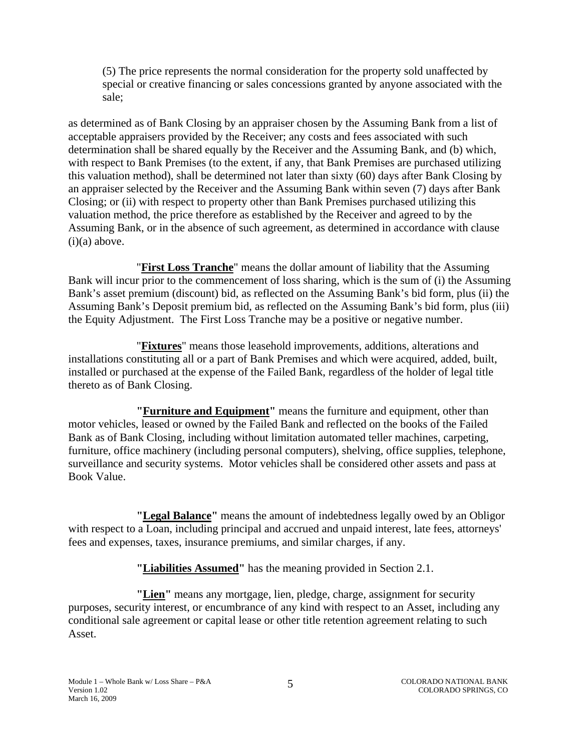(5) The price represents the normal consideration for the property sold unaffected by special or creative financing or sales concessions granted by anyone associated with the sale;

as determined as of Bank Closing by an appraiser chosen by the Assuming Bank from a list of acceptable appraisers provided by the Receiver; any costs and fees associated with such determination shall be shared equally by the Receiver and the Assuming Bank, and (b) which, with respect to Bank Premises (to the extent, if any, that Bank Premises are purchased utilizing this valuation method), shall be determined not later than sixty (60) days after Bank Closing by an appraiser selected by the Receiver and the Assuming Bank within seven (7) days after Bank Closing; or (ii) with respect to property other than Bank Premises purchased utilizing this valuation method, the price therefore as established by the Receiver and agreed to by the Assuming Bank, or in the absence of such agreement, as determined in accordance with clause  $(i)(a)$  above.

"**First Loss Tranche**" means the dollar amount of liability that the Assuming Bank will incur prior to the commencement of loss sharing, which is the sum of (i) the Assuming Bank's asset premium (discount) bid, as reflected on the Assuming Bank's bid form, plus (ii) the Assuming Bank's Deposit premium bid, as reflected on the Assuming Bank's bid form, plus (iii) the Equity Adjustment. The First Loss Tranche may be a positive or negative number.

"**Fixtures**" means those leasehold improvements, additions, alterations and installations constituting all or a part of Bank Premises and which were acquired, added, built, installed or purchased at the expense of the Failed Bank, regardless of the holder of legal title thereto as of Bank Closing.

**"Furniture and Equipment"** means the furniture and equipment, other than motor vehicles, leased or owned by the Failed Bank and reflected on the books of the Failed Bank as of Bank Closing, including without limitation automated teller machines, carpeting, furniture, office machinery (including personal computers), shelving, office supplies, telephone, surveillance and security systems. Motor vehicles shall be considered other assets and pass at Book Value.

**"Legal Balance"** means the amount of indebtedness legally owed by an Obligor with respect to a Loan, including principal and accrued and unpaid interest, late fees, attorneys' fees and expenses, taxes, insurance premiums, and similar charges, if any.

**"Liabilities Assumed"** has the meaning provided in Section 2.1.

**"Lien"** means any mortgage, lien, pledge, charge, assignment for security purposes, security interest, or encumbrance of any kind with respect to an Asset, including any conditional sale agreement or capital lease or other title retention agreement relating to such Asset.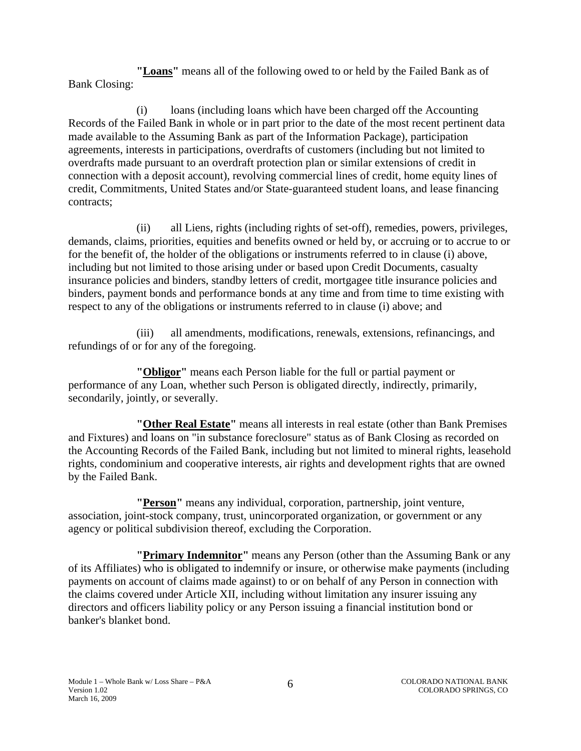**"Loans"** means all of the following owed to or held by the Failed Bank as of Bank Closing:

(i) loans (including loans which have been charged off the Accounting Records of the Failed Bank in whole or in part prior to the date of the most recent pertinent data made available to the Assuming Bank as part of the Information Package), participation agreements, interests in participations, overdrafts of customers (including but not limited to overdrafts made pursuant to an overdraft protection plan or similar extensions of credit in connection with a deposit account), revolving commercial lines of credit, home equity lines of credit, Commitments, United States and/or State-guaranteed student loans, and lease financing contracts;

(ii) all Liens, rights (including rights of set-off), remedies, powers, privileges, demands, claims, priorities, equities and benefits owned or held by, or accruing or to accrue to or for the benefit of, the holder of the obligations or instruments referred to in clause (i) above, including but not limited to those arising under or based upon Credit Documents, casualty insurance policies and binders, standby letters of credit, mortgagee title insurance policies and binders, payment bonds and performance bonds at any time and from time to time existing with respect to any of the obligations or instruments referred to in clause (i) above; and

(iii) all amendments, modifications, renewals, extensions, refinancings, and refundings of or for any of the foregoing.

**"Obligor"** means each Person liable for the full or partial payment or performance of any Loan, whether such Person is obligated directly, indirectly, primarily, secondarily, jointly, or severally.

**"Other Real Estate"** means all interests in real estate (other than Bank Premises and Fixtures) and loans on "in substance foreclosure" status as of Bank Closing as recorded on the Accounting Records of the Failed Bank, including but not limited to mineral rights, leasehold rights, condominium and cooperative interests, air rights and development rights that are owned by the Failed Bank.

**"Person"** means any individual, corporation, partnership, joint venture, association, joint-stock company, trust, unincorporated organization, or government or any agency or political subdivision thereof, excluding the Corporation.

**"Primary Indemnitor"** means any Person (other than the Assuming Bank or any of its Affiliates) who is obligated to indemnify or insure, or otherwise make payments (including payments on account of claims made against) to or on behalf of any Person in connection with the claims covered under Article XII, including without limitation any insurer issuing any directors and officers liability policy or any Person issuing a financial institution bond or banker's blanket bond.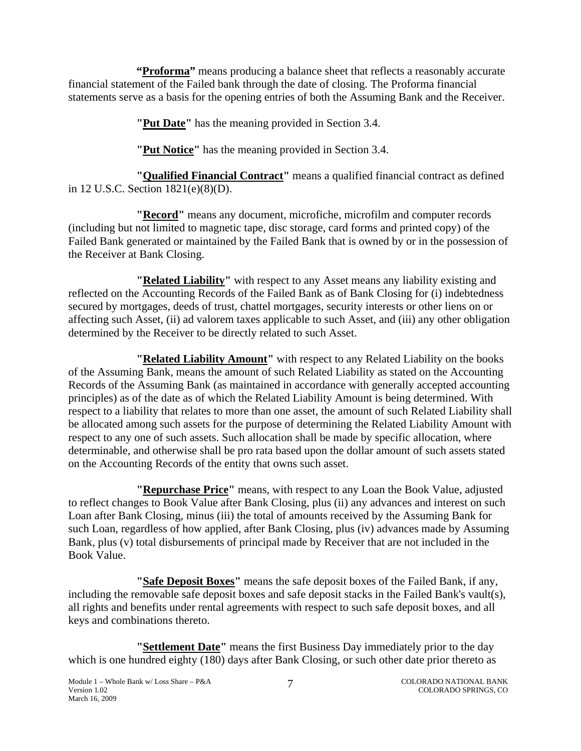**"Proforma"** means producing a balance sheet that reflects a reasonably accurate financial statement of the Failed bank through the date of closing. The Proforma financial statements serve as a basis for the opening entries of both the Assuming Bank and the Receiver.

**"Put Date"** has the meaning provided in Section 3.4.

**"Put Notice"** has the meaning provided in Section 3.4.

**"Qualified Financial Contract"** means a qualified financial contract as defined in 12 U.S.C. Section 1821(e)(8)(D).

**"Record"** means any document, microfiche, microfilm and computer records (including but not limited to magnetic tape, disc storage, card forms and printed copy) of the Failed Bank generated or maintained by the Failed Bank that is owned by or in the possession of the Receiver at Bank Closing.

**"Related Liability"** with respect to any Asset means any liability existing and reflected on the Accounting Records of the Failed Bank as of Bank Closing for (i) indebtedness secured by mortgages, deeds of trust, chattel mortgages, security interests or other liens on or affecting such Asset, (ii) ad valorem taxes applicable to such Asset, and (iii) any other obligation determined by the Receiver to be directly related to such Asset.

**"Related Liability Amount"** with respect to any Related Liability on the books of the Assuming Bank, means the amount of such Related Liability as stated on the Accounting Records of the Assuming Bank (as maintained in accordance with generally accepted accounting principles) as of the date as of which the Related Liability Amount is being determined. With respect to a liability that relates to more than one asset, the amount of such Related Liability shall be allocated among such assets for the purpose of determining the Related Liability Amount with respect to any one of such assets. Such allocation shall be made by specific allocation, where determinable, and otherwise shall be pro rata based upon the dollar amount of such assets stated on the Accounting Records of the entity that owns such asset.

 **"Repurchase Price"** means, with respect to any Loan the Book Value, adjusted to reflect changes to Book Value after Bank Closing, plus (ii) any advances and interest on such Loan after Bank Closing, minus (iii) the total of amounts received by the Assuming Bank for such Loan, regardless of how applied, after Bank Closing, plus (iv) advances made by Assuming Bank, plus (v) total disbursements of principal made by Receiver that are not included in the Book Value.

**"Safe Deposit Boxes"** means the safe deposit boxes of the Failed Bank, if any, including the removable safe deposit boxes and safe deposit stacks in the Failed Bank's vault(s), all rights and benefits under rental agreements with respect to such safe deposit boxes, and all keys and combinations thereto.

**"Settlement Date"** means the first Business Day immediately prior to the day which is one hundred eighty (180) days after Bank Closing, or such other date prior thereto as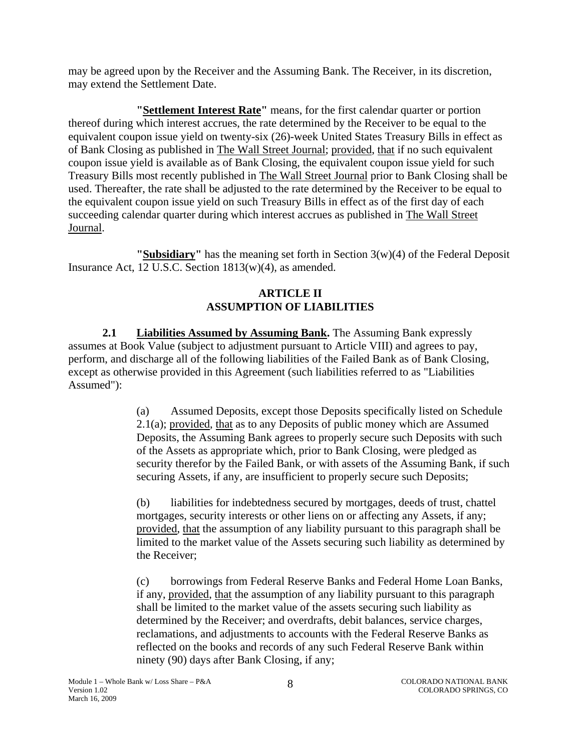<span id="page-11-0"></span>may be agreed upon by the Receiver and the Assuming Bank. The Receiver, in its discretion, may extend the Settlement Date.

**"Settlement Interest Rate"** means, for the first calendar quarter or portion thereof during which interest accrues, the rate determined by the Receiver to be equal to the equivalent coupon issue yield on twenty-six (26)-week United States Treasury Bills in effect as of Bank Closing as published in The Wall Street Journal; provided, that if no such equivalent coupon issue yield is available as of Bank Closing, the equivalent coupon issue yield for such Treasury Bills most recently published in The Wall Street Journal prior to Bank Closing shall be used. Thereafter, the rate shall be adjusted to the rate determined by the Receiver to be equal to the equivalent coupon issue yield on such Treasury Bills in effect as of the first day of each succeeding calendar quarter during which interest accrues as published in The Wall Street Journal.

**"Subsidiary"** has the meaning set forth in Section 3(w)(4) of the Federal Deposit Insurance Act, 12 U.S.C. Section 1813(w)(4), as amended.

### **ARTICLE II ASSUMPTION OF LIABILITIES**

 **2.1 Liabilities Assumed by Assuming Bank.** The Assuming Bank expressly assumes at Book Value (subject to adjustment pursuant to Article VIII) and agrees to pay, perform, and discharge all of the following liabilities of the Failed Bank as of Bank Closing, except as otherwise provided in this Agreement (such liabilities referred to as "Liabilities Assumed"):

> (a) Assumed Deposits, except those Deposits specifically listed on Schedule 2.1(a); provided, that as to any Deposits of public money which are Assumed Deposits, the Assuming Bank agrees to properly secure such Deposits with such of the Assets as appropriate which, prior to Bank Closing, were pledged as security therefor by the Failed Bank, or with assets of the Assuming Bank, if such securing Assets, if any, are insufficient to properly secure such Deposits;

(b) liabilities for indebtedness secured by mortgages, deeds of trust, chattel mortgages, security interests or other liens on or affecting any Assets, if any; provided, that the assumption of any liability pursuant to this paragraph shall be limited to the market value of the Assets securing such liability as determined by the Receiver;

(c) borrowings from Federal Reserve Banks and Federal Home Loan Banks, if any, provided, that the assumption of any liability pursuant to this paragraph shall be limited to the market value of the assets securing such liability as determined by the Receiver; and overdrafts, debit balances, service charges, reclamations, and adjustments to accounts with the Federal Reserve Banks as reflected on the books and records of any such Federal Reserve Bank within ninety (90) days after Bank Closing, if any;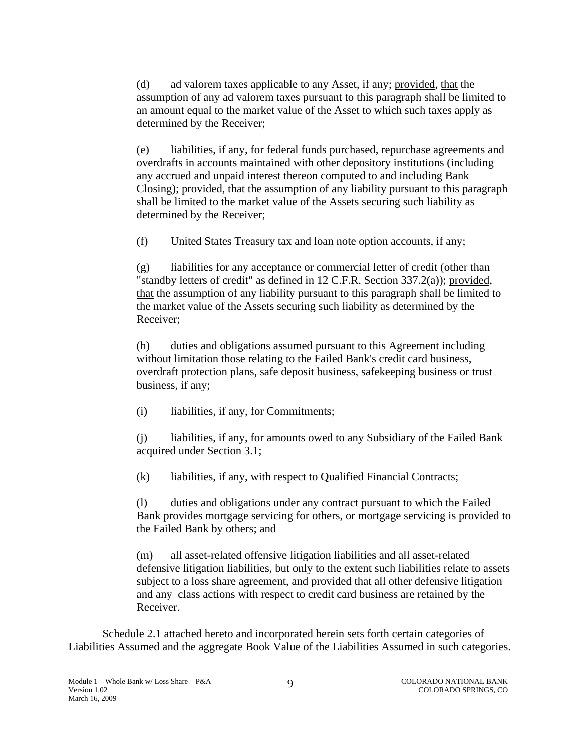(d) ad valorem taxes applicable to any Asset, if any; provided, that the assumption of any ad valorem taxes pursuant to this paragraph shall be limited to an amount equal to the market value of the Asset to which such taxes apply as determined by the Receiver;

(e) liabilities, if any, for federal funds purchased, repurchase agreements and overdrafts in accounts maintained with other depository institutions (including any accrued and unpaid interest thereon computed to and including Bank Closing); provided, that the assumption of any liability pursuant to this paragraph shall be limited to the market value of the Assets securing such liability as determined by the Receiver;

(f) United States Treasury tax and loan note option accounts, if any;

(g) liabilities for any acceptance or commercial letter of credit (other than "standby letters of credit" as defined in 12 C.F.R. Section 337.2(a)); provided, that the assumption of any liability pursuant to this paragraph shall be limited to the market value of the Assets securing such liability as determined by the Receiver;

(h) duties and obligations assumed pursuant to this Agreement including without limitation those relating to the Failed Bank's credit card business, overdraft protection plans, safe deposit business, safekeeping business or trust business, if any;

(i) liabilities, if any, for Commitments;

(j) liabilities, if any, for amounts owed to any Subsidiary of the Failed Bank acquired under Section 3.1;

(k) liabilities, if any, with respect to Qualified Financial Contracts;

(l) duties and obligations under any contract pursuant to which the Failed Bank provides mortgage servicing for others, or mortgage servicing is provided to the Failed Bank by others; and

(m) all asset-related offensive litigation liabilities and all asset-related defensive litigation liabilities, but only to the extent such liabilities relate to assets subject to a loss share agreement, and provided that all other defensive litigation and any class actions with respect to credit card business are retained by the Receiver.

Schedule 2.1 attached hereto and incorporated herein sets forth certain categories of Liabilities Assumed and the aggregate Book Value of the Liabilities Assumed in such categories.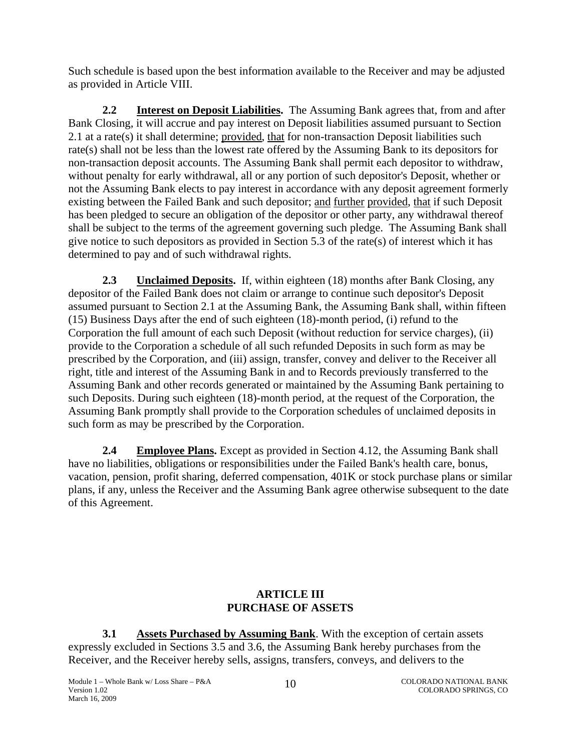<span id="page-13-0"></span>Such schedule is based upon the best information available to the Receiver and may be adjusted as provided in Article VIII.

**2.2 Interest on Deposit Liabilities.** The Assuming Bank agrees that, from and after Bank Closing, it will accrue and pay interest on Deposit liabilities assumed pursuant to Section 2.1 at a rate(s) it shall determine; provided, that for non-transaction Deposit liabilities such rate(s) shall not be less than the lowest rate offered by the Assuming Bank to its depositors for non-transaction deposit accounts. The Assuming Bank shall permit each depositor to withdraw, without penalty for early withdrawal, all or any portion of such depositor's Deposit, whether or not the Assuming Bank elects to pay interest in accordance with any deposit agreement formerly existing between the Failed Bank and such depositor; and further provided, that if such Deposit has been pledged to secure an obligation of the depositor or other party, any withdrawal thereof shall be subject to the terms of the agreement governing such pledge. The Assuming Bank shall give notice to such depositors as provided in Section 5.3 of the rate(s) of interest which it has determined to pay and of such withdrawal rights.

**2.3 Unclaimed Deposits.** If, within eighteen (18) months after Bank Closing, any depositor of the Failed Bank does not claim or arrange to continue such depositor's Deposit assumed pursuant to Section 2.1 at the Assuming Bank, the Assuming Bank shall, within fifteen (15) Business Days after the end of such eighteen (18)-month period, (i) refund to the Corporation the full amount of each such Deposit (without reduction for service charges), (ii) provide to the Corporation a schedule of all such refunded Deposits in such form as may be prescribed by the Corporation, and (iii) assign, transfer, convey and deliver to the Receiver all right, title and interest of the Assuming Bank in and to Records previously transferred to the Assuming Bank and other records generated or maintained by the Assuming Bank pertaining to such Deposits. During such eighteen (18)-month period, at the request of the Corporation, the Assuming Bank promptly shall provide to the Corporation schedules of unclaimed deposits in such form as may be prescribed by the Corporation.

**2.4 Employee Plans.** Except as provided in Section 4.12, the Assuming Bank shall have no liabilities, obligations or responsibilities under the Failed Bank's health care, bonus, vacation, pension, profit sharing, deferred compensation, 401K or stock purchase plans or similar plans, if any, unless the Receiver and the Assuming Bank agree otherwise subsequent to the date of this Agreement.

# **ARTICLE III PURCHASE OF ASSETS**

 **3.1 Assets Purchased by Assuming Bank**. With the exception of certain assets expressly excluded in Sections 3.5 and 3.6, the Assuming Bank hereby purchases from the Receiver, and the Receiver hereby sells, assigns, transfers, conveys, and delivers to the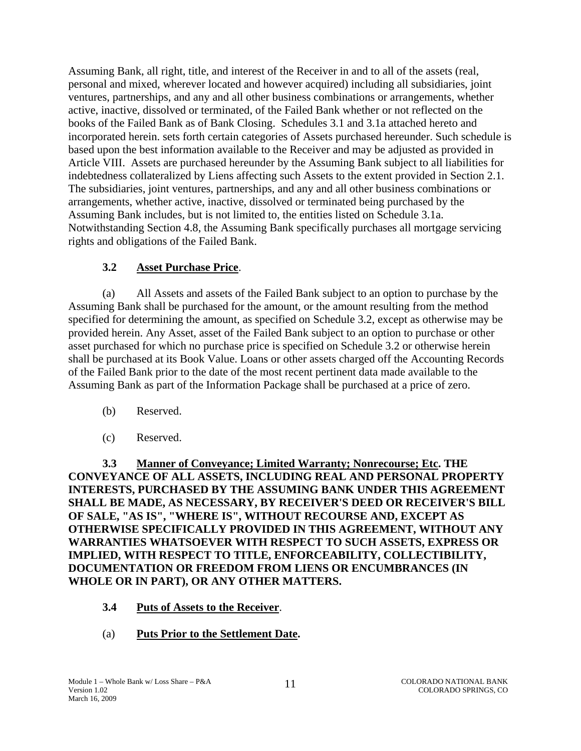<span id="page-14-0"></span>Assuming Bank includes, but is not limited to, the entities listed on Schedule 3.1a. Assuming Bank, all right, title, and interest of the Receiver in and to all of the assets (real, personal and mixed, wherever located and however acquired) including all subsidiaries, joint ventures, partnerships, and any and all other business combinations or arrangements, whether active, inactive, dissolved or terminated, of the Failed Bank whether or not reflected on the books of the Failed Bank as of Bank Closing. Schedules 3.1 and 3.1a attached hereto and incorporated herein. sets forth certain categories of Assets purchased hereunder. Such schedule is based upon the best information available to the Receiver and may be adjusted as provided in Article VIII. Assets are purchased hereunder by the Assuming Bank subject to all liabilities for indebtedness collateralized by Liens affecting such Assets to the extent provided in Section 2.1. The subsidiaries, joint ventures, partnerships, and any and all other business combinations or arrangements, whether active, inactive, dissolved or terminated being purchased by the Notwithstanding Section 4.8, the Assuming Bank specifically purchases all mortgage servicing rights and obligations of the Failed Bank.

# **3.2 Asset Purchase Price**.

(a) All Assets and assets of the Failed Bank subject to an option to purchase by the Assuming Bank shall be purchased for the amount, or the amount resulting from the method specified for determining the amount, as specified on Schedule 3.2, except as otherwise may be provided herein. Any Asset, asset of the Failed Bank subject to an option to purchase or other asset purchased for which no purchase price is specified on Schedule 3.2 or otherwise herein shall be purchased at its Book Value. Loans or other assets charged off the Accounting Records of the Failed Bank prior to the date of the most recent pertinent data made available to the Assuming Bank as part of the Information Package shall be purchased at a price of zero.

- (b) Reserved.
- (c) Reserved.

**3.3 Manner of Conveyance; Limited Warranty; Nonrecourse; Etc. THE CONVEYANCE OF ALL ASSETS, INCLUDING REAL AND PERSONAL PROPERTY INTERESTS, PURCHASED BY THE ASSUMING BANK UNDER THIS AGREEMENT SHALL BE MADE, AS NECESSARY, BY RECEIVER'S DEED OR RECEIVER'S BILL OF SALE, "AS IS", "WHERE IS", WITHOUT RECOURSE AND, EXCEPT AS OTHERWISE SPECIFICALLY PROVIDED IN THIS AGREEMENT, WITHOUT ANY WARRANTIES WHATSOEVER WITH RESPECT TO SUCH ASSETS, EXPRESS OR IMPLIED, WITH RESPECT TO TITLE, ENFORCEABILITY, COLLECTIBILITY, DOCUMENTATION OR FREEDOM FROM LIENS OR ENCUMBRANCES (IN WHOLE OR IN PART), OR ANY OTHER MATTERS.** 

- **3.4 Puts of Assets to the Receiver**.
- (a) **Puts Prior to the Settlement Date.**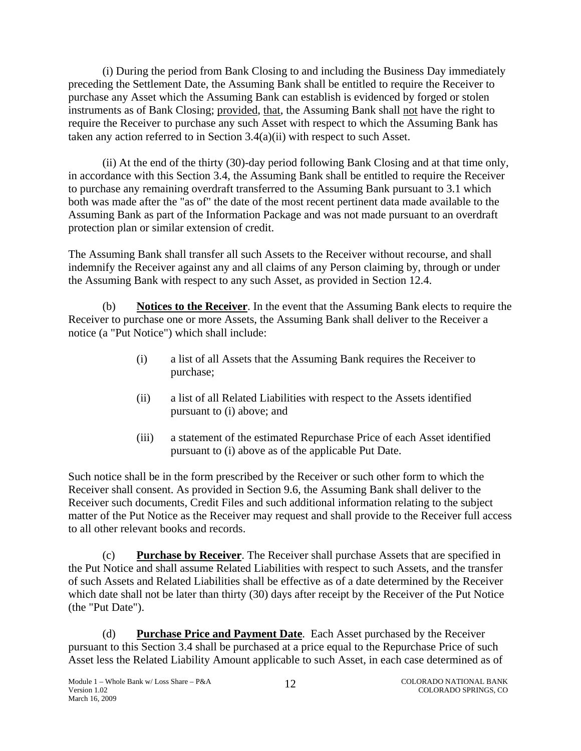(i) During the period from Bank Closing to and including the Business Day immediately preceding the Settlement Date, the Assuming Bank shall be entitled to require the Receiver to purchase any Asset which the Assuming Bank can establish is evidenced by forged or stolen instruments as of Bank Closing; provided, that, the Assuming Bank shall not have the right to require the Receiver to purchase any such Asset with respect to which the Assuming Bank has taken any action referred to in Section 3.4(a)(ii) with respect to such Asset.

(ii) At the end of the thirty (30)-day period following Bank Closing and at that time only, in accordance with this Section 3.4, the Assuming Bank shall be entitled to require the Receiver to purchase any remaining overdraft transferred to the Assuming Bank pursuant to 3.1 which both was made after the "as of" the date of the most recent pertinent data made available to the Assuming Bank as part of the Information Package and was not made pursuant to an overdraft protection plan or similar extension of credit.

The Assuming Bank shall transfer all such Assets to the Receiver without recourse, and shall indemnify the Receiver against any and all claims of any Person claiming by, through or under the Assuming Bank with respect to any such Asset, as provided in Section 12.4.

(b) **Notices to the Receiver**. In the event that the Assuming Bank elects to require the Receiver to purchase one or more Assets, the Assuming Bank shall deliver to the Receiver a notice (a "Put Notice") which shall include:

- (i) a list of all Assets that the Assuming Bank requires the Receiver to purchase;
- (ii) a list of all Related Liabilities with respect to the Assets identified pursuant to (i) above; and
- (iii) a statement of the estimated Repurchase Price of each Asset identified pursuant to (i) above as of the applicable Put Date.

Such notice shall be in the form prescribed by the Receiver or such other form to which the Receiver shall consent. As provided in Section 9.6, the Assuming Bank shall deliver to the Receiver such documents, Credit Files and such additional information relating to the subject matter of the Put Notice as the Receiver may request and shall provide to the Receiver full access to all other relevant books and records.

(c) **Purchase by Receiver**. The Receiver shall purchase Assets that are specified in the Put Notice and shall assume Related Liabilities with respect to such Assets, and the transfer of such Assets and Related Liabilities shall be effective as of a date determined by the Receiver which date shall not be later than thirty (30) days after receipt by the Receiver of the Put Notice (the "Put Date").

(d) **Purchase Price and Payment Date**. Each Asset purchased by the Receiver pursuant to this Section 3.4 shall be purchased at a price equal to the Repurchase Price of such Asset less the Related Liability Amount applicable to such Asset, in each case determined as of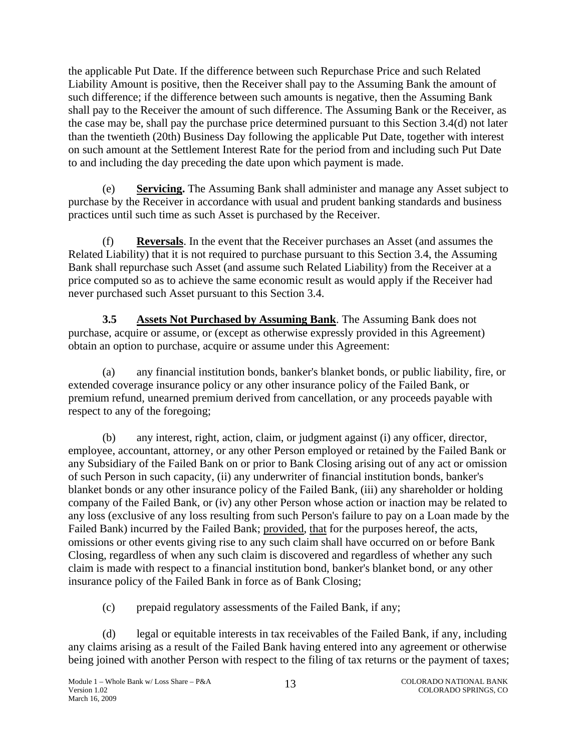<span id="page-16-0"></span>the applicable Put Date. If the difference between such Repurchase Price and such Related Liability Amount is positive, then the Receiver shall pay to the Assuming Bank the amount of such difference; if the difference between such amounts is negative, then the Assuming Bank shall pay to the Receiver the amount of such difference. The Assuming Bank or the Receiver, as the case may be, shall pay the purchase price determined pursuant to this Section 3.4(d) not later than the twentieth (20th) Business Day following the applicable Put Date, together with interest on such amount at the Settlement Interest Rate for the period from and including such Put Date to and including the day preceding the date upon which payment is made.

(e) **Servicing.** The Assuming Bank shall administer and manage any Asset subject to purchase by the Receiver in accordance with usual and prudent banking standards and business practices until such time as such Asset is purchased by the Receiver.

(f) **Reversals**. In the event that the Receiver purchases an Asset (and assumes the Related Liability) that it is not required to purchase pursuant to this Section 3.4, the Assuming Bank shall repurchase such Asset (and assume such Related Liability) from the Receiver at a price computed so as to achieve the same economic result as would apply if the Receiver had never purchased such Asset pursuant to this Section 3.4.

**3.5 Assets Not Purchased by Assuming Bank**. The Assuming Bank does not purchase, acquire or assume, or (except as otherwise expressly provided in this Agreement) obtain an option to purchase, acquire or assume under this Agreement:

(a) any financial institution bonds, banker's blanket bonds, or public liability, fire, or extended coverage insurance policy or any other insurance policy of the Failed Bank, or premium refund, unearned premium derived from cancellation, or any proceeds payable with respect to any of the foregoing;

(b) any interest, right, action, claim, or judgment against (i) any officer, director, employee, accountant, attorney, or any other Person employed or retained by the Failed Bank or any Subsidiary of the Failed Bank on or prior to Bank Closing arising out of any act or omission of such Person in such capacity, (ii) any underwriter of financial institution bonds, banker's blanket bonds or any other insurance policy of the Failed Bank, (iii) any shareholder or holding company of the Failed Bank, or (iv) any other Person whose action or inaction may be related to any loss (exclusive of any loss resulting from such Person's failure to pay on a Loan made by the Failed Bank) incurred by the Failed Bank; provided, that for the purposes hereof, the acts, omissions or other events giving rise to any such claim shall have occurred on or before Bank Closing, regardless of when any such claim is discovered and regardless of whether any such claim is made with respect to a financial institution bond, banker's blanket bond, or any other insurance policy of the Failed Bank in force as of Bank Closing;

(c) prepaid regulatory assessments of the Failed Bank, if any;

(d) legal or equitable interests in tax receivables of the Failed Bank, if any, including any claims arising as a result of the Failed Bank having entered into any agreement or otherwise being joined with another Person with respect to the filing of tax returns or the payment of taxes;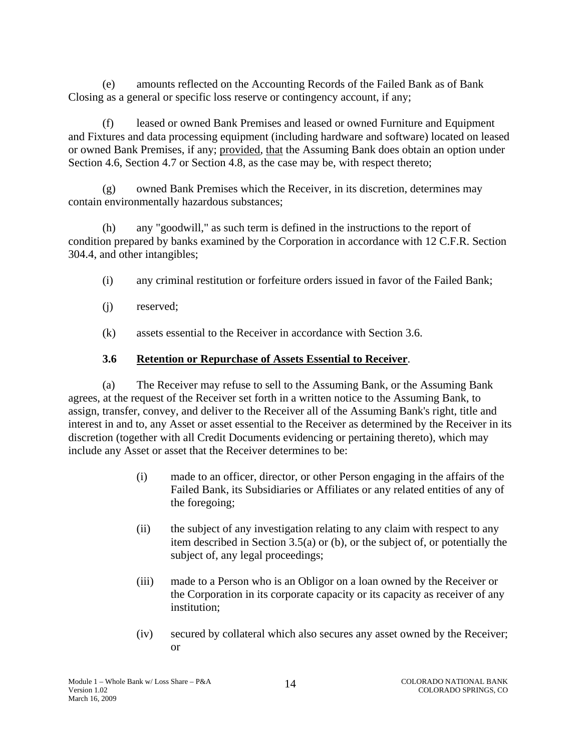(e) amounts reflected on the Accounting Records of the Failed Bank as of Bank Closing as a general or specific loss reserve or contingency account, if any;

(f) leased or owned Bank Premises and leased or owned Furniture and Equipment and Fixtures and data processing equipment (including hardware and software) located on leased or owned Bank Premises, if any; provided, that the Assuming Bank does obtain an option under Section 4.6, Section 4.7 or Section 4.8, as the case may be, with respect thereto;

(g) owned Bank Premises which the Receiver, in its discretion, determines may contain environmentally hazardous substances;

(h) any "goodwill," as such term is defined in the instructions to the report of condition prepared by banks examined by the Corporation in accordance with 12 C.F.R. Section 304.4, and other intangibles;

- (i) any criminal restitution or forfeiture orders issued in favor of the Failed Bank;
- (j) reserved;
- (k) assets essential to the Receiver in accordance with Section 3.6.

## **3.6 Retention or Repurchase of Assets Essential to Receiver**.

(a) The Receiver may refuse to sell to the Assuming Bank, or the Assuming Bank agrees, at the request of the Receiver set forth in a written notice to the Assuming Bank, to assign, transfer, convey, and deliver to the Receiver all of the Assuming Bank's right, title and interest in and to, any Asset or asset essential to the Receiver as determined by the Receiver in its discretion (together with all Credit Documents evidencing or pertaining thereto), which may include any Asset or asset that the Receiver determines to be:

- (i) made to an officer, director, or other Person engaging in the affairs of the Failed Bank, its Subsidiaries or Affiliates or any related entities of any of the foregoing;
- (ii) the subject of any investigation relating to any claim with respect to any item described in Section 3.5(a) or (b), or the subject of, or potentially the subject of, any legal proceedings;
- (iii) made to a Person who is an Obligor on a loan owned by the Receiver or the Corporation in its corporate capacity or its capacity as receiver of any institution;
- (iv) secured by collateral which also secures any asset owned by the Receiver; or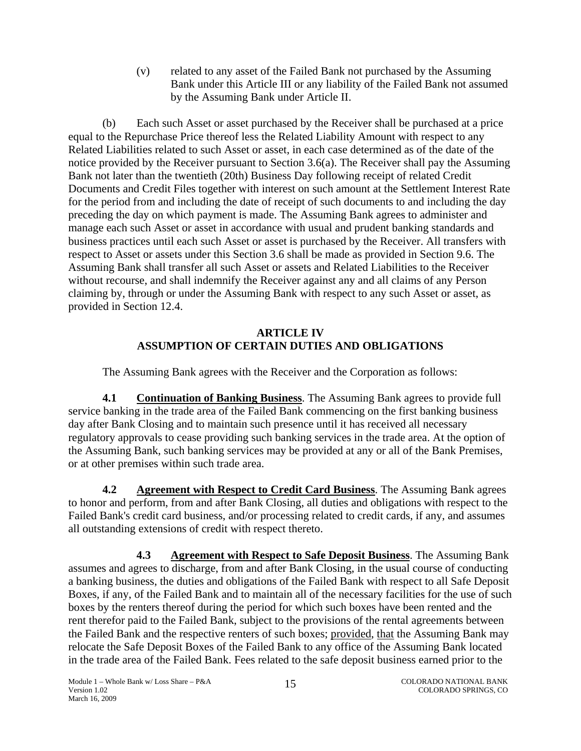(v) related to any asset of the Failed Bank not purchased by the Assuming Bank under this Article III or any liability of the Failed Bank not assumed by the Assuming Bank under Article II.

<span id="page-18-0"></span>(b) Each such Asset or asset purchased by the Receiver shall be purchased at a price equal to the Repurchase Price thereof less the Related Liability Amount with respect to any Related Liabilities related to such Asset or asset, in each case determined as of the date of the notice provided by the Receiver pursuant to Section 3.6(a). The Receiver shall pay the Assuming Bank not later than the twentieth (20th) Business Day following receipt of related Credit Documents and Credit Files together with interest on such amount at the Settlement Interest Rate for the period from and including the date of receipt of such documents to and including the day preceding the day on which payment is made. The Assuming Bank agrees to administer and manage each such Asset or asset in accordance with usual and prudent banking standards and business practices until each such Asset or asset is purchased by the Receiver. All transfers with respect to Asset or assets under this Section 3.6 shall be made as provided in Section 9.6. The Assuming Bank shall transfer all such Asset or assets and Related Liabilities to the Receiver without recourse, and shall indemnify the Receiver against any and all claims of any Person claiming by, through or under the Assuming Bank with respect to any such Asset or asset, as provided in Section 12.4.

# **ARTICLE IV ASSUMPTION OF CERTAIN DUTIES AND OBLIGATIONS**

The Assuming Bank agrees with the Receiver and the Corporation as follows:

**4.1 Continuation of Banking Business**. The Assuming Bank agrees to provide full service banking in the trade area of the Failed Bank commencing on the first banking business day after Bank Closing and to maintain such presence until it has received all necessary regulatory approvals to cease providing such banking services in the trade area. At the option of the Assuming Bank, such banking services may be provided at any or all of the Bank Premises, or at other premises within such trade area.

**4.2** Agreement with Respect to Credit Card Business. The Assuming Bank agrees to honor and perform, from and after Bank Closing, all duties and obligations with respect to the Failed Bank's credit card business, and/or processing related to credit cards, if any, and assumes all outstanding extensions of credit with respect thereto.

**4.3 Agreement with Respect to Safe Deposit Business**. The Assuming Bank assumes and agrees to discharge, from and after Bank Closing, in the usual course of conducting a banking business, the duties and obligations of the Failed Bank with respect to all Safe Deposit Boxes, if any, of the Failed Bank and to maintain all of the necessary facilities for the use of such boxes by the renters thereof during the period for which such boxes have been rented and the rent therefor paid to the Failed Bank, subject to the provisions of the rental agreements between the Failed Bank and the respective renters of such boxes; provided, that the Assuming Bank may relocate the Safe Deposit Boxes of the Failed Bank to any office of the Assuming Bank located in the trade area of the Failed Bank. Fees related to the safe deposit business earned prior to the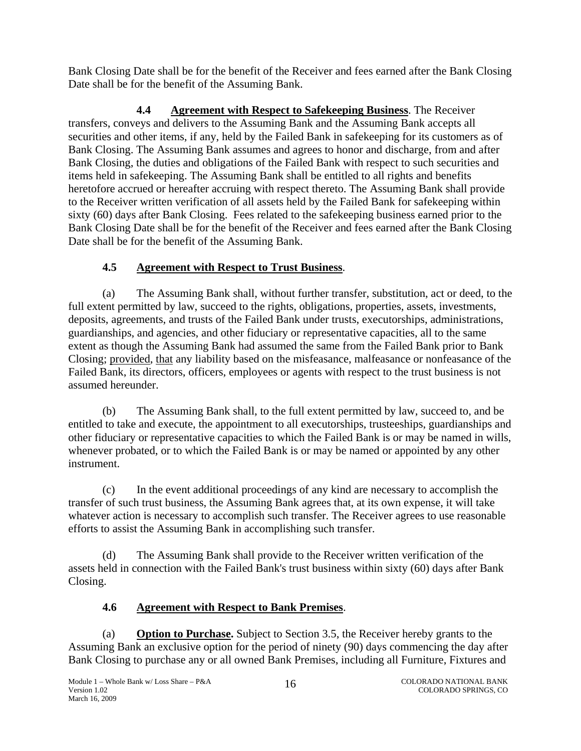<span id="page-19-0"></span>Bank Closing Date shall be for the benefit of the Receiver and fees earned after the Bank Closing Date shall be for the benefit of the Assuming Bank.

**4.4 Agreement with Respect to Safekeeping Business**. The Receiver transfers, conveys and delivers to the Assuming Bank and the Assuming Bank accepts all securities and other items, if any, held by the Failed Bank in safekeeping for its customers as of Bank Closing. The Assuming Bank assumes and agrees to honor and discharge, from and after Bank Closing, the duties and obligations of the Failed Bank with respect to such securities and items held in safekeeping. The Assuming Bank shall be entitled to all rights and benefits heretofore accrued or hereafter accruing with respect thereto. The Assuming Bank shall provide to the Receiver written verification of all assets held by the Failed Bank for safekeeping within sixty (60) days after Bank Closing. Fees related to the safekeeping business earned prior to the Bank Closing Date shall be for the benefit of the Receiver and fees earned after the Bank Closing Date shall be for the benefit of the Assuming Bank.

# **4.5 Agreement with Respect to Trust Business**.

(a) The Assuming Bank shall, without further transfer, substitution, act or deed, to the full extent permitted by law, succeed to the rights, obligations, properties, assets, investments, deposits, agreements, and trusts of the Failed Bank under trusts, executorships, administrations, guardianships, and agencies, and other fiduciary or representative capacities, all to the same extent as though the Assuming Bank had assumed the same from the Failed Bank prior to Bank Closing; provided, that any liability based on the misfeasance, malfeasance or nonfeasance of the Failed Bank, its directors, officers, employees or agents with respect to the trust business is not assumed hereunder.

(b) The Assuming Bank shall, to the full extent permitted by law, succeed to, and be entitled to take and execute, the appointment to all executorships, trusteeships, guardianships and other fiduciary or representative capacities to which the Failed Bank is or may be named in wills, whenever probated, or to which the Failed Bank is or may be named or appointed by any other instrument.

(c) In the event additional proceedings of any kind are necessary to accomplish the transfer of such trust business, the Assuming Bank agrees that, at its own expense, it will take whatever action is necessary to accomplish such transfer. The Receiver agrees to use reasonable efforts to assist the Assuming Bank in accomplishing such transfer.

(d) The Assuming Bank shall provide to the Receiver written verification of the assets held in connection with the Failed Bank's trust business within sixty (60) days after Bank Closing.

# **4.6 Agreement with Respect to Bank Premises**.

(a) **Option to Purchase.** Subject to Section 3.5, the Receiver hereby grants to the Assuming Bank an exclusive option for the period of ninety (90) days commencing the day after Bank Closing to purchase any or all owned Bank Premises, including all Furniture, Fixtures and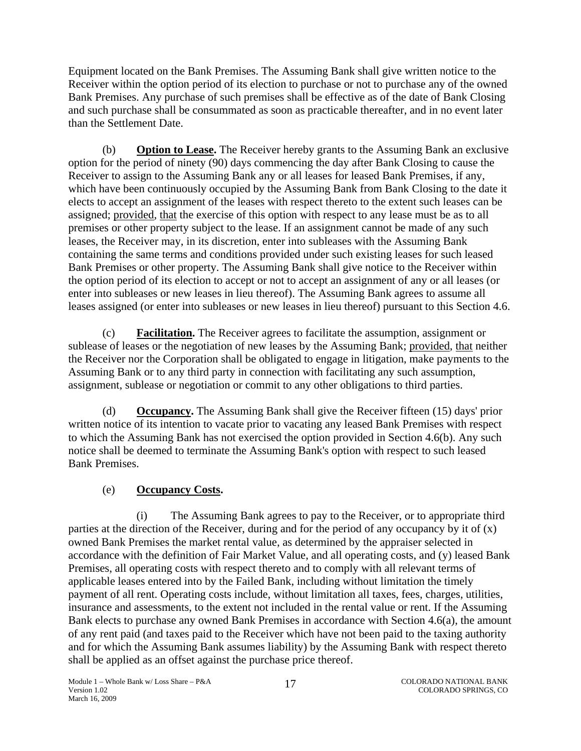Equipment located on the Bank Premises. The Assuming Bank shall give written notice to the Receiver within the option period of its election to purchase or not to purchase any of the owned Bank Premises. Any purchase of such premises shall be effective as of the date of Bank Closing and such purchase shall be consummated as soon as practicable thereafter, and in no event later than the Settlement Date.

(b) **Option to Lease.** The Receiver hereby grants to the Assuming Bank an exclusive option for the period of ninety (90) days commencing the day after Bank Closing to cause the Receiver to assign to the Assuming Bank any or all leases for leased Bank Premises, if any, which have been continuously occupied by the Assuming Bank from Bank Closing to the date it elects to accept an assignment of the leases with respect thereto to the extent such leases can be assigned; provided, that the exercise of this option with respect to any lease must be as to all premises or other property subject to the lease. If an assignment cannot be made of any such leases, the Receiver may, in its discretion, enter into subleases with the Assuming Bank containing the same terms and conditions provided under such existing leases for such leased Bank Premises or other property. The Assuming Bank shall give notice to the Receiver within the option period of its election to accept or not to accept an assignment of any or all leases (or enter into subleases or new leases in lieu thereof). The Assuming Bank agrees to assume all leases assigned (or enter into subleases or new leases in lieu thereof) pursuant to this Section 4.6.

(c) **Facilitation.** The Receiver agrees to facilitate the assumption, assignment or sublease of leases or the negotiation of new leases by the Assuming Bank; provided, that neither the Receiver nor the Corporation shall be obligated to engage in litigation, make payments to the Assuming Bank or to any third party in connection with facilitating any such assumption, assignment, sublease or negotiation or commit to any other obligations to third parties.

(d) **Occupancy.** The Assuming Bank shall give the Receiver fifteen (15) days' prior written notice of its intention to vacate prior to vacating any leased Bank Premises with respect to which the Assuming Bank has not exercised the option provided in Section 4.6(b). Any such notice shall be deemed to terminate the Assuming Bank's option with respect to such leased Bank Premises.

# (e) **Occupancy Costs.**

(i) The Assuming Bank agrees to pay to the Receiver, or to appropriate third parties at the direction of the Receiver, during and for the period of any occupancy by it of (x) owned Bank Premises the market rental value, as determined by the appraiser selected in accordance with the definition of Fair Market Value, and all operating costs, and (y) leased Bank Premises, all operating costs with respect thereto and to comply with all relevant terms of applicable leases entered into by the Failed Bank, including without limitation the timely payment of all rent. Operating costs include, without limitation all taxes, fees, charges, utilities, insurance and assessments, to the extent not included in the rental value or rent. If the Assuming Bank elects to purchase any owned Bank Premises in accordance with Section 4.6(a), the amount of any rent paid (and taxes paid to the Receiver which have not been paid to the taxing authority and for which the Assuming Bank assumes liability) by the Assuming Bank with respect thereto shall be applied as an offset against the purchase price thereof.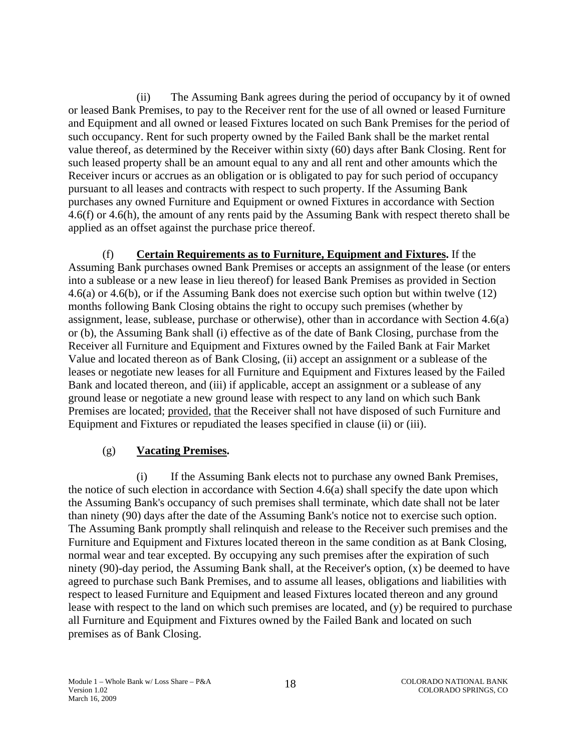(ii) The Assuming Bank agrees during the period of occupancy by it of owned or leased Bank Premises, to pay to the Receiver rent for the use of all owned or leased Furniture and Equipment and all owned or leased Fixtures located on such Bank Premises for the period of such occupancy. Rent for such property owned by the Failed Bank shall be the market rental value thereof, as determined by the Receiver within sixty (60) days after Bank Closing. Rent for such leased property shall be an amount equal to any and all rent and other amounts which the Receiver incurs or accrues as an obligation or is obligated to pay for such period of occupancy pursuant to all leases and contracts with respect to such property. If the Assuming Bank purchases any owned Furniture and Equipment or owned Fixtures in accordance with Section 4.6(f) or 4.6(h), the amount of any rents paid by the Assuming Bank with respect thereto shall be applied as an offset against the purchase price thereof.

(f) **Certain Requirements as to Furniture, Equipment and Fixtures.** If the Assuming Bank purchases owned Bank Premises or accepts an assignment of the lease (or enters into a sublease or a new lease in lieu thereof) for leased Bank Premises as provided in Section 4.6(a) or 4.6(b), or if the Assuming Bank does not exercise such option but within twelve (12) months following Bank Closing obtains the right to occupy such premises (whether by assignment, lease, sublease, purchase or otherwise), other than in accordance with Section 4.6(a) or (b), the Assuming Bank shall (i) effective as of the date of Bank Closing, purchase from the Receiver all Furniture and Equipment and Fixtures owned by the Failed Bank at Fair Market Value and located thereon as of Bank Closing, (ii) accept an assignment or a sublease of the leases or negotiate new leases for all Furniture and Equipment and Fixtures leased by the Failed Bank and located thereon, and (iii) if applicable, accept an assignment or a sublease of any ground lease or negotiate a new ground lease with respect to any land on which such Bank Premises are located; provided, that the Receiver shall not have disposed of such Furniture and Equipment and Fixtures or repudiated the leases specified in clause (ii) or (iii).

# (g) **Vacating Premises.**

(i) If the Assuming Bank elects not to purchase any owned Bank Premises, the notice of such election in accordance with Section 4.6(a) shall specify the date upon which the Assuming Bank's occupancy of such premises shall terminate, which date shall not be later than ninety (90) days after the date of the Assuming Bank's notice not to exercise such option. The Assuming Bank promptly shall relinquish and release to the Receiver such premises and the Furniture and Equipment and Fixtures located thereon in the same condition as at Bank Closing, normal wear and tear excepted. By occupying any such premises after the expiration of such ninety (90)-day period, the Assuming Bank shall, at the Receiver's option, (x) be deemed to have agreed to purchase such Bank Premises, and to assume all leases, obligations and liabilities with respect to leased Furniture and Equipment and leased Fixtures located thereon and any ground lease with respect to the land on which such premises are located, and (y) be required to purchase all Furniture and Equipment and Fixtures owned by the Failed Bank and located on such premises as of Bank Closing.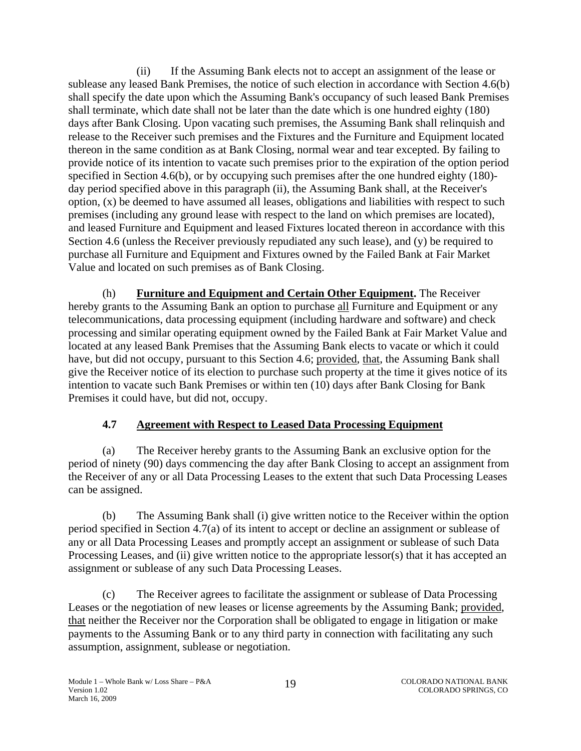<span id="page-22-0"></span>(ii) If the Assuming Bank elects not to accept an assignment of the lease or sublease any leased Bank Premises, the notice of such election in accordance with Section 4.6(b) shall specify the date upon which the Assuming Bank's occupancy of such leased Bank Premises shall terminate, which date shall not be later than the date which is one hundred eighty (180) days after Bank Closing. Upon vacating such premises, the Assuming Bank shall relinquish and release to the Receiver such premises and the Fixtures and the Furniture and Equipment located thereon in the same condition as at Bank Closing, normal wear and tear excepted. By failing to provide notice of its intention to vacate such premises prior to the expiration of the option period specified in Section 4.6(b), or by occupying such premises after the one hundred eighty (180) day period specified above in this paragraph (ii), the Assuming Bank shall, at the Receiver's option, (x) be deemed to have assumed all leases, obligations and liabilities with respect to such premises (including any ground lease with respect to the land on which premises are located), and leased Furniture and Equipment and leased Fixtures located thereon in accordance with this Section 4.6 (unless the Receiver previously repudiated any such lease), and (y) be required to purchase all Furniture and Equipment and Fixtures owned by the Failed Bank at Fair Market Value and located on such premises as of Bank Closing.

(h) **Furniture and Equipment and Certain Other Equipment.** The Receiver hereby grants to the Assuming Bank an option to purchase all Furniture and Equipment or any telecommunications, data processing equipment (including hardware and software) and check processing and similar operating equipment owned by the Failed Bank at Fair Market Value and located at any leased Bank Premises that the Assuming Bank elects to vacate or which it could have, but did not occupy, pursuant to this Section 4.6; provided, that, the Assuming Bank shall give the Receiver notice of its election to purchase such property at the time it gives notice of its intention to vacate such Bank Premises or within ten (10) days after Bank Closing for Bank Premises it could have, but did not, occupy.

# **4.7 Agreement with Respect to Leased Data Processing Equipment**

(a) The Receiver hereby grants to the Assuming Bank an exclusive option for the period of ninety (90) days commencing the day after Bank Closing to accept an assignment from the Receiver of any or all Data Processing Leases to the extent that such Data Processing Leases can be assigned.

(b) The Assuming Bank shall (i) give written notice to the Receiver within the option period specified in Section 4.7(a) of its intent to accept or decline an assignment or sublease of any or all Data Processing Leases and promptly accept an assignment or sublease of such Data Processing Leases, and (ii) give written notice to the appropriate lessor(s) that it has accepted an assignment or sublease of any such Data Processing Leases.

(c) The Receiver agrees to facilitate the assignment or sublease of Data Processing Leases or the negotiation of new leases or license agreements by the Assuming Bank; provided, that neither the Receiver nor the Corporation shall be obligated to engage in litigation or make payments to the Assuming Bank or to any third party in connection with facilitating any such assumption, assignment, sublease or negotiation.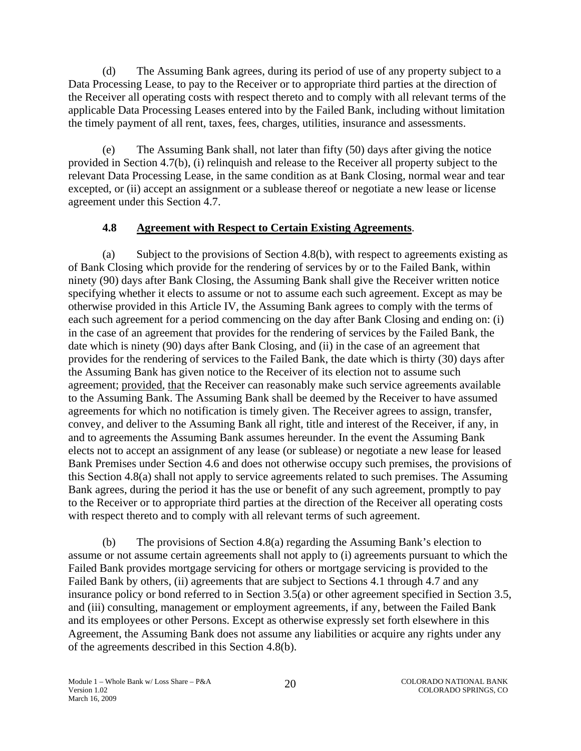<span id="page-23-0"></span>(d) The Assuming Bank agrees, during its period of use of any property subject to a Data Processing Lease, to pay to the Receiver or to appropriate third parties at the direction of the Receiver all operating costs with respect thereto and to comply with all relevant terms of the applicable Data Processing Leases entered into by the Failed Bank, including without limitation the timely payment of all rent, taxes, fees, charges, utilities, insurance and assessments.

(e) The Assuming Bank shall, not later than fifty (50) days after giving the notice provided in Section 4.7(b), (i) relinquish and release to the Receiver all property subject to the relevant Data Processing Lease, in the same condition as at Bank Closing, normal wear and tear excepted, or (ii) accept an assignment or a sublease thereof or negotiate a new lease or license agreement under this Section 4.7.

## **4.8 Agreement with Respect to Certain Existing Agreements**.

(a) Subject to the provisions of Section 4.8(b), with respect to agreements existing as of Bank Closing which provide for the rendering of services by or to the Failed Bank, within ninety (90) days after Bank Closing, the Assuming Bank shall give the Receiver written notice specifying whether it elects to assume or not to assume each such agreement. Except as may be otherwise provided in this Article IV, the Assuming Bank agrees to comply with the terms of each such agreement for a period commencing on the day after Bank Closing and ending on: (i) in the case of an agreement that provides for the rendering of services by the Failed Bank, the date which is ninety (90) days after Bank Closing, and (ii) in the case of an agreement that provides for the rendering of services to the Failed Bank, the date which is thirty (30) days after the Assuming Bank has given notice to the Receiver of its election not to assume such agreement; provided, that the Receiver can reasonably make such service agreements available to the Assuming Bank. The Assuming Bank shall be deemed by the Receiver to have assumed agreements for which no notification is timely given. The Receiver agrees to assign, transfer, convey, and deliver to the Assuming Bank all right, title and interest of the Receiver, if any, in and to agreements the Assuming Bank assumes hereunder. In the event the Assuming Bank elects not to accept an assignment of any lease (or sublease) or negotiate a new lease for leased Bank Premises under Section 4.6 and does not otherwise occupy such premises, the provisions of this Section 4.8(a) shall not apply to service agreements related to such premises. The Assuming Bank agrees, during the period it has the use or benefit of any such agreement, promptly to pay to the Receiver or to appropriate third parties at the direction of the Receiver all operating costs with respect thereto and to comply with all relevant terms of such agreement.

(b) The provisions of Section 4.8(a) regarding the Assuming Bank's election to assume or not assume certain agreements shall not apply to (i) agreements pursuant to which the Failed Bank provides mortgage servicing for others or mortgage servicing is provided to the Failed Bank by others, (ii) agreements that are subject to Sections 4.1 through 4.7 and any insurance policy or bond referred to in Section 3.5(a) or other agreement specified in Section 3.5, and (iii) consulting, management or employment agreements, if any, between the Failed Bank and its employees or other Persons. Except as otherwise expressly set forth elsewhere in this Agreement, the Assuming Bank does not assume any liabilities or acquire any rights under any of the agreements described in this Section 4.8(b).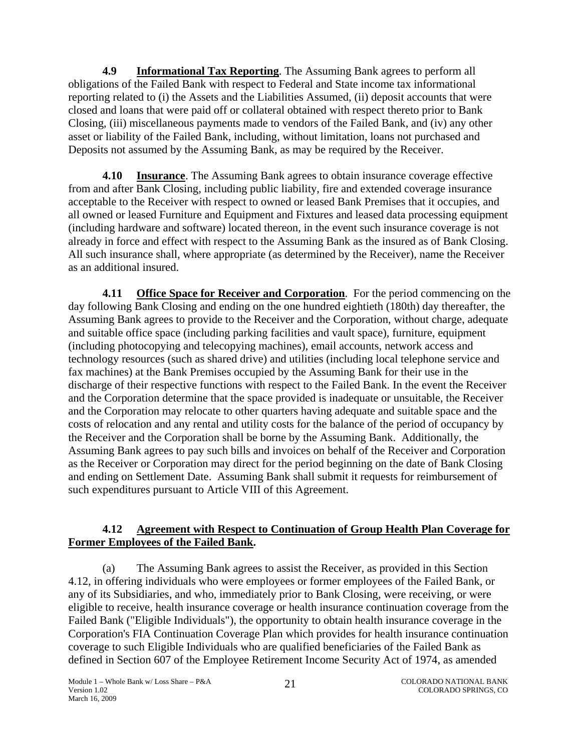<span id="page-24-0"></span>**4.9** Informational Tax Reporting. The Assuming Bank agrees to perform all obligations of the Failed Bank with respect to Federal and State income tax informational reporting related to (i) the Assets and the Liabilities Assumed, (ii) deposit accounts that were closed and loans that were paid off or collateral obtained with respect thereto prior to Bank Closing, (iii) miscellaneous payments made to vendors of the Failed Bank, and (iv) any other asset or liability of the Failed Bank, including, without limitation, loans not purchased and Deposits not assumed by the Assuming Bank, as may be required by the Receiver.

**4.10 Insurance**. The Assuming Bank agrees to obtain insurance coverage effective from and after Bank Closing, including public liability, fire and extended coverage insurance acceptable to the Receiver with respect to owned or leased Bank Premises that it occupies, and all owned or leased Furniture and Equipment and Fixtures and leased data processing equipment (including hardware and software) located thereon, in the event such insurance coverage is not already in force and effect with respect to the Assuming Bank as the insured as of Bank Closing. All such insurance shall, where appropriate (as determined by the Receiver), name the Receiver as an additional insured.

**4.11 Office Space for Receiver and Corporation**. For the period commencing on the day following Bank Closing and ending on the one hundred eightieth (180th) day thereafter, the Assuming Bank agrees to provide to the Receiver and the Corporation, without charge, adequate and suitable office space (including parking facilities and vault space), furniture, equipment (including photocopying and telecopying machines), email accounts, network access and technology resources (such as shared drive) and utilities (including local telephone service and fax machines) at the Bank Premises occupied by the Assuming Bank for their use in the discharge of their respective functions with respect to the Failed Bank. In the event the Receiver and the Corporation determine that the space provided is inadequate or unsuitable, the Receiver and the Corporation may relocate to other quarters having adequate and suitable space and the costs of relocation and any rental and utility costs for the balance of the period of occupancy by the Receiver and the Corporation shall be borne by the Assuming Bank. Additionally, the Assuming Bank agrees to pay such bills and invoices on behalf of the Receiver and Corporation as the Receiver or Corporation may direct for the period beginning on the date of Bank Closing and ending on Settlement Date. Assuming Bank shall submit it requests for reimbursement of such expenditures pursuant to Article VIII of this Agreement.

# **4.12 Agreement with Respect to Continuation of Group Health Plan Coverage for Former Employees of the Failed Bank.**

(a) The Assuming Bank agrees to assist the Receiver, as provided in this Section 4.12, in offering individuals who were employees or former employees of the Failed Bank, or any of its Subsidiaries, and who, immediately prior to Bank Closing, were receiving, or were eligible to receive, health insurance coverage or health insurance continuation coverage from the Failed Bank ("Eligible Individuals"), the opportunity to obtain health insurance coverage in the Corporation's FIA Continuation Coverage Plan which provides for health insurance continuation coverage to such Eligible Individuals who are qualified beneficiaries of the Failed Bank as defined in Section 607 of the Employee Retirement Income Security Act of 1974, as amended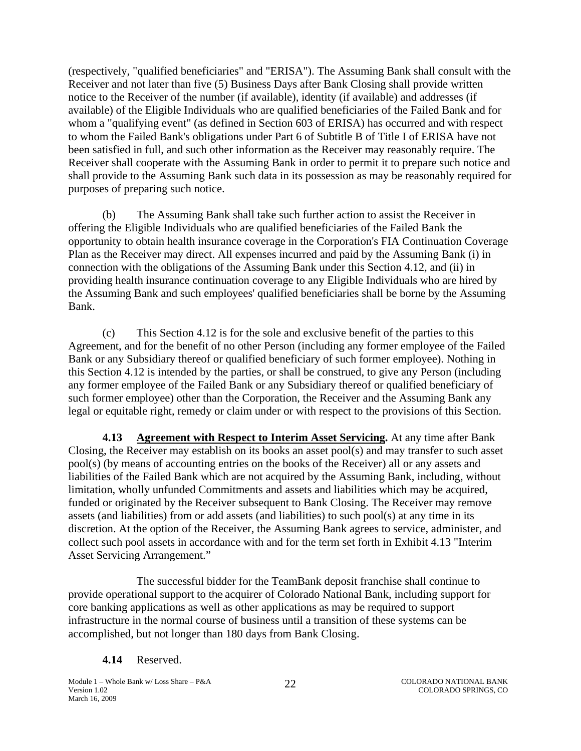<span id="page-25-0"></span>(respectively, "qualified beneficiaries" and "ERISA"). The Assuming Bank shall consult with the Receiver and not later than five (5) Business Days after Bank Closing shall provide written notice to the Receiver of the number (if available), identity (if available) and addresses (if available) of the Eligible Individuals who are qualified beneficiaries of the Failed Bank and for whom a "qualifying event" (as defined in Section 603 of ERISA) has occurred and with respect to whom the Failed Bank's obligations under Part 6 of Subtitle B of Title I of ERISA have not been satisfied in full, and such other information as the Receiver may reasonably require. The Receiver shall cooperate with the Assuming Bank in order to permit it to prepare such notice and shall provide to the Assuming Bank such data in its possession as may be reasonably required for purposes of preparing such notice.

(b) The Assuming Bank shall take such further action to assist the Receiver in offering the Eligible Individuals who are qualified beneficiaries of the Failed Bank the opportunity to obtain health insurance coverage in the Corporation's FIA Continuation Coverage Plan as the Receiver may direct. All expenses incurred and paid by the Assuming Bank (i) in connection with the obligations of the Assuming Bank under this Section 4.12, and (ii) in providing health insurance continuation coverage to any Eligible Individuals who are hired by the Assuming Bank and such employees' qualified beneficiaries shall be borne by the Assuming Bank.

(c) This Section 4.12 is for the sole and exclusive benefit of the parties to this Agreement, and for the benefit of no other Person (including any former employee of the Failed Bank or any Subsidiary thereof or qualified beneficiary of such former employee). Nothing in this Section 4.12 is intended by the parties, or shall be construed, to give any Person (including any former employee of the Failed Bank or any Subsidiary thereof or qualified beneficiary of such former employee) other than the Corporation, the Receiver and the Assuming Bank any legal or equitable right, remedy or claim under or with respect to the provisions of this Section.

**4.13 Agreement with Respect to Interim Asset Servicing.** At any time after Bank Closing, the Receiver may establish on its books an asset pool(s) and may transfer to such asset pool(s) (by means of accounting entries on the books of the Receiver) all or any assets and liabilities of the Failed Bank which are not acquired by the Assuming Bank, including, without limitation, wholly unfunded Commitments and assets and liabilities which may be acquired, funded or originated by the Receiver subsequent to Bank Closing. The Receiver may remove assets (and liabilities) from or add assets (and liabilities) to such pool(s) at any time in its discretion. At the option of the Receiver, the Assuming Bank agrees to service, administer, and collect such pool assets in accordance with and for the term set forth in Exhibit 4.13 "Interim Asset Servicing Arrangement."

The successful bidder for the TeamBank deposit franchise shall continue to provide operational support to the acquirer of Colorado National Bank, including support for core banking applications as well as other applications as may be required to support infrastructure in the normal course of business until a transition of these systems can be accomplished, but not longer than 180 days from Bank Closing.

#### **4.14** Reserved.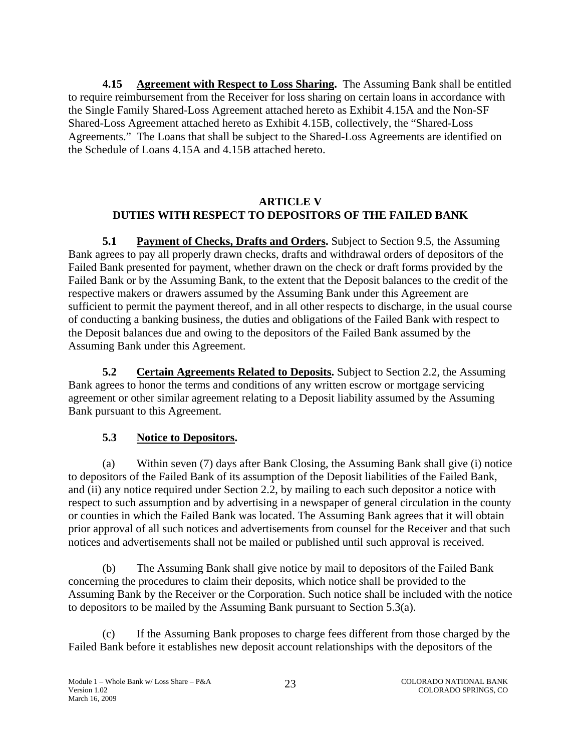<span id="page-26-0"></span>**4.15 Agreement with Respect to Loss Sharing.** The Assuming Bank shall be entitled to require reimbursement from the Receiver for loss sharing on certain loans in accordance with the Single Family Shared-Loss Agreement attached hereto as Exhibit 4.15A and the Non-SF Shared-Loss Agreement attached hereto as Exhibit 4.15B, collectively, the "Shared-Loss Agreements." The Loans that shall be subject to the Shared-Loss Agreements are identified on the Schedule of Loans 4.15A and 4.15B attached hereto.

### **ARTICLE V DUTIES WITH RESPECT TO DEPOSITORS OF THE FAILED BANK**

 **5.1 Payment of Checks, Drafts and Orders.** Subject to Section 9.5, the Assuming Bank agrees to pay all properly drawn checks, drafts and withdrawal orders of depositors of the Failed Bank presented for payment, whether drawn on the check or draft forms provided by the Failed Bank or by the Assuming Bank, to the extent that the Deposit balances to the credit of the respective makers or drawers assumed by the Assuming Bank under this Agreement are sufficient to permit the payment thereof, and in all other respects to discharge, in the usual course of conducting a banking business, the duties and obligations of the Failed Bank with respect to the Deposit balances due and owing to the depositors of the Failed Bank assumed by the Assuming Bank under this Agreement.

**5.2 Certain Agreements Related to Deposits.** Subject to Section 2.2, the Assuming Bank agrees to honor the terms and conditions of any written escrow or mortgage servicing agreement or other similar agreement relating to a Deposit liability assumed by the Assuming Bank pursuant to this Agreement.

# **5.3 Notice to Depositors.**

(a) Within seven (7) days after Bank Closing, the Assuming Bank shall give (i) notice to depositors of the Failed Bank of its assumption of the Deposit liabilities of the Failed Bank, and (ii) any notice required under Section 2.2, by mailing to each such depositor a notice with respect to such assumption and by advertising in a newspaper of general circulation in the county or counties in which the Failed Bank was located. The Assuming Bank agrees that it will obtain prior approval of all such notices and advertisements from counsel for the Receiver and that such notices and advertisements shall not be mailed or published until such approval is received.

(b) The Assuming Bank shall give notice by mail to depositors of the Failed Bank concerning the procedures to claim their deposits, which notice shall be provided to the Assuming Bank by the Receiver or the Corporation. Such notice shall be included with the notice to depositors to be mailed by the Assuming Bank pursuant to Section 5.3(a).

(c) If the Assuming Bank proposes to charge fees different from those charged by the Failed Bank before it establishes new deposit account relationships with the depositors of the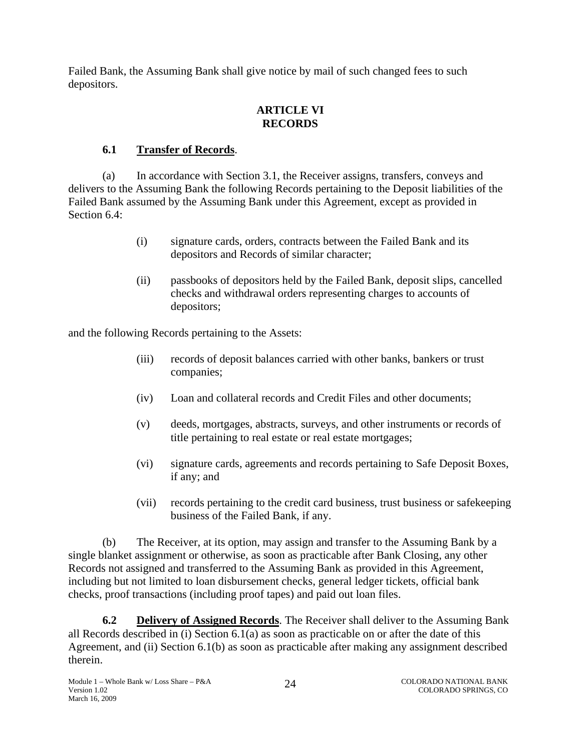<span id="page-27-0"></span>Failed Bank, the Assuming Bank shall give notice by mail of such changed fees to such depositors.

# **ARTICLE VI RECORDS**

# **6.1 Transfer of Records**.

(a) In accordance with Section 3.1, the Receiver assigns, transfers, conveys and delivers to the Assuming Bank the following Records pertaining to the Deposit liabilities of the Failed Bank assumed by the Assuming Bank under this Agreement, except as provided in Section 6.4:

- (i) signature cards, orders, contracts between the Failed Bank and its depositors and Records of similar character;
- (ii) passbooks of depositors held by the Failed Bank, deposit slips, cancelled checks and withdrawal orders representing charges to accounts of depositors;

and the following Records pertaining to the Assets:

- (iii) records of deposit balances carried with other banks, bankers or trust companies;
- (iv) Loan and collateral records and Credit Files and other documents;
- (v) deeds, mortgages, abstracts, surveys, and other instruments or records of title pertaining to real estate or real estate mortgages;
- (vi) signature cards, agreements and records pertaining to Safe Deposit Boxes, if any; and
- (vii) records pertaining to the credit card business, trust business or safekeeping business of the Failed Bank, if any.

(b) The Receiver, at its option, may assign and transfer to the Assuming Bank by a single blanket assignment or otherwise, as soon as practicable after Bank Closing, any other Records not assigned and transferred to the Assuming Bank as provided in this Agreement, including but not limited to loan disbursement checks, general ledger tickets, official bank checks, proof transactions (including proof tapes) and paid out loan files.

**6.2 Delivery of Assigned Records**. The Receiver shall deliver to the Assuming Bank all Records described in (i) Section 6.1(a) as soon as practicable on or after the date of this Agreement, and (ii) Section 6.1(b) as soon as practicable after making any assignment described therein.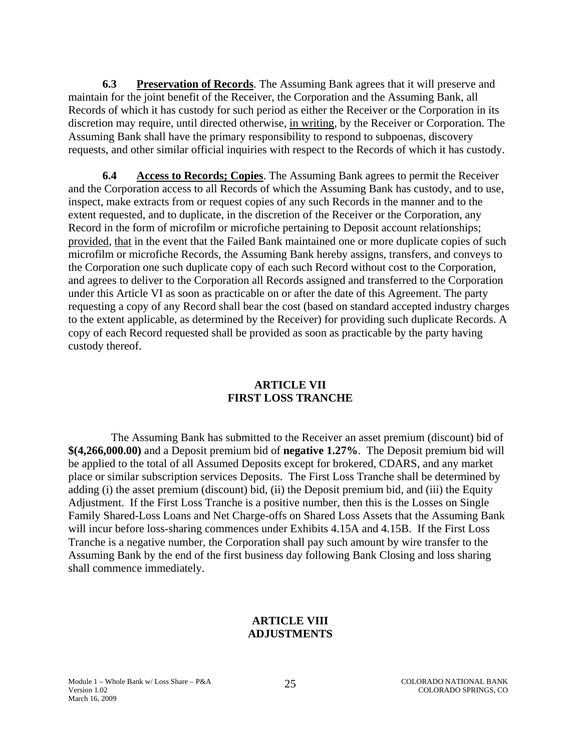<span id="page-28-0"></span> **6.3 Preservation of Records**. The Assuming Bank agrees that it will preserve and maintain for the joint benefit of the Receiver, the Corporation and the Assuming Bank, all Records of which it has custody for such period as either the Receiver or the Corporation in its discretion may require, until directed otherwise, in writing, by the Receiver or Corporation. The Assuming Bank shall have the primary responsibility to respond to subpoenas, discovery requests, and other similar official inquiries with respect to the Records of which it has custody.

**6.4 Access to Records; Copies**. The Assuming Bank agrees to permit the Receiver and the Corporation access to all Records of which the Assuming Bank has custody, and to use, inspect, make extracts from or request copies of any such Records in the manner and to the extent requested, and to duplicate, in the discretion of the Receiver or the Corporation, any Record in the form of microfilm or microfiche pertaining to Deposit account relationships; provided, that in the event that the Failed Bank maintained one or more duplicate copies of such microfilm or microfiche Records, the Assuming Bank hereby assigns, transfers, and conveys to the Corporation one such duplicate copy of each such Record without cost to the Corporation, and agrees to deliver to the Corporation all Records assigned and transferred to the Corporation under this Article VI as soon as practicable on or after the date of this Agreement. The party requesting a copy of any Record shall bear the cost (based on standard accepted industry charges to the extent applicable, as determined by the Receiver) for providing such duplicate Records. A copy of each Record requested shall be provided as soon as practicable by the party having custody thereof.

### **ARTICLE VII FIRST LOSS TRANCHE**

 The Assuming Bank has submitted to the Receiver an asset premium (discount) bid of **\$(4,266,000.00)** and a Deposit premium bid of **negative 1.27%**. The Deposit premium bid will be applied to the total of all Assumed Deposits except for brokered, CDARS, and any market place or similar subscription services Deposits. The First Loss Tranche shall be determined by adding (i) the asset premium (discount) bid, (ii) the Deposit premium bid, and (iii) the Equity Adjustment. If the First Loss Tranche is a positive number, then this is the Losses on Single Family Shared-Loss Loans and Net Charge-offs on Shared Loss Assets that the Assuming Bank will incur before loss-sharing commences under Exhibits 4.15A and 4.15B. If the First Loss Tranche is a negative number, the Corporation shall pay such amount by wire transfer to the Assuming Bank by the end of the first business day following Bank Closing and loss sharing shall commence immediately.

### **ARTICLE VIII ADJUSTMENTS**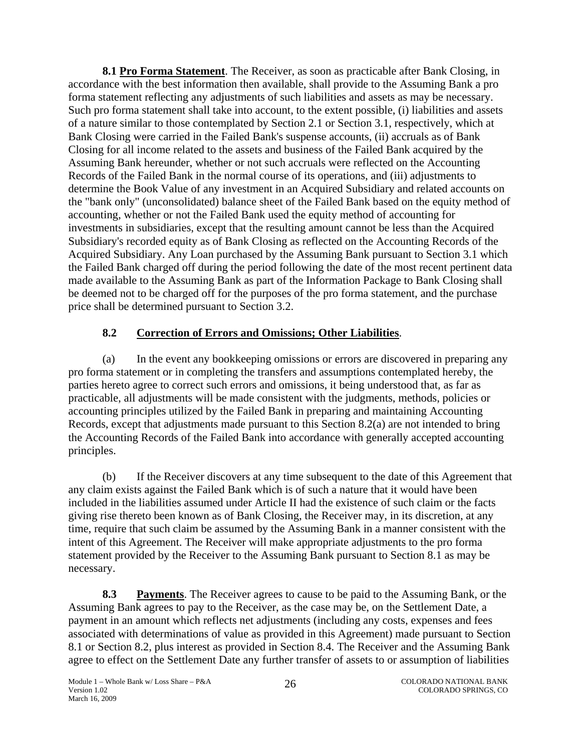<span id="page-29-0"></span>**8.1 Pro Forma Statement**. The Receiver, as soon as practicable after Bank Closing, in accordance with the best information then available, shall provide to the Assuming Bank a pro forma statement reflecting any adjustments of such liabilities and assets as may be necessary. Such pro forma statement shall take into account, to the extent possible, (i) liabilities and assets of a nature similar to those contemplated by Section 2.1 or Section 3.1, respectively, which at Bank Closing were carried in the Failed Bank's suspense accounts, (ii) accruals as of Bank Closing for all income related to the assets and business of the Failed Bank acquired by the Assuming Bank hereunder, whether or not such accruals were reflected on the Accounting Records of the Failed Bank in the normal course of its operations, and (iii) adjustments to determine the Book Value of any investment in an Acquired Subsidiary and related accounts on the "bank only" (unconsolidated) balance sheet of the Failed Bank based on the equity method of accounting, whether or not the Failed Bank used the equity method of accounting for investments in subsidiaries, except that the resulting amount cannot be less than the Acquired Subsidiary's recorded equity as of Bank Closing as reflected on the Accounting Records of the Acquired Subsidiary. Any Loan purchased by the Assuming Bank pursuant to Section 3.1 which the Failed Bank charged off during the period following the date of the most recent pertinent data made available to the Assuming Bank as part of the Information Package to Bank Closing shall be deemed not to be charged off for the purposes of the pro forma statement, and the purchase price shall be determined pursuant to Section 3.2.

# **8.2 Correction of Errors and Omissions; Other Liabilities**.

(a) In the event any bookkeeping omissions or errors are discovered in preparing any pro forma statement or in completing the transfers and assumptions contemplated hereby, the parties hereto agree to correct such errors and omissions, it being understood that, as far as practicable, all adjustments will be made consistent with the judgments, methods, policies or accounting principles utilized by the Failed Bank in preparing and maintaining Accounting Records, except that adjustments made pursuant to this Section 8.2(a) are not intended to bring the Accounting Records of the Failed Bank into accordance with generally accepted accounting principles.

(b) If the Receiver discovers at any time subsequent to the date of this Agreement that any claim exists against the Failed Bank which is of such a nature that it would have been included in the liabilities assumed under Article II had the existence of such claim or the facts giving rise thereto been known as of Bank Closing, the Receiver may, in its discretion, at any time, require that such claim be assumed by the Assuming Bank in a manner consistent with the intent of this Agreement. The Receiver will make appropriate adjustments to the pro forma statement provided by the Receiver to the Assuming Bank pursuant to Section 8.1 as may be necessary.

**8.3 Payments**. The Receiver agrees to cause to be paid to the Assuming Bank, or the Assuming Bank agrees to pay to the Receiver, as the case may be, on the Settlement Date, a payment in an amount which reflects net adjustments (including any costs, expenses and fees associated with determinations of value as provided in this Agreement) made pursuant to Section 8.1 or Section 8.2, plus interest as provided in Section 8.4. The Receiver and the Assuming Bank agree to effect on the Settlement Date any further transfer of assets to or assumption of liabilities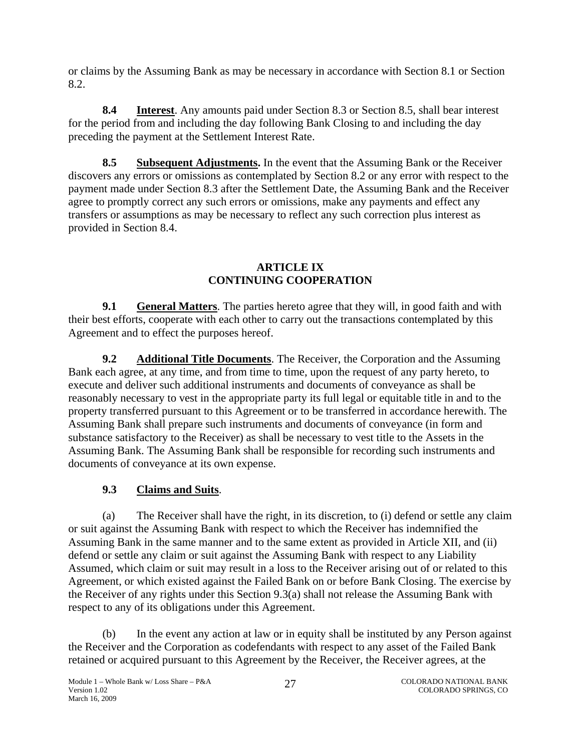<span id="page-30-0"></span>or claims by the Assuming Bank as may be necessary in accordance with Section 8.1 or Section 8.2.

**8.4 Interest**. Any amounts paid under Section 8.3 or Section 8.5, shall bear interest for the period from and including the day following Bank Closing to and including the day preceding the payment at the Settlement Interest Rate.

**8.5 Subsequent Adjustments.** In the event that the Assuming Bank or the Receiver discovers any errors or omissions as contemplated by Section 8.2 or any error with respect to the payment made under Section 8.3 after the Settlement Date, the Assuming Bank and the Receiver agree to promptly correct any such errors or omissions, make any payments and effect any transfers or assumptions as may be necessary to reflect any such correction plus interest as provided in Section 8.4.

# **ARTICLE IX CONTINUING COOPERATION**

**9.1** General Matters. The parties hereto agree that they will, in good faith and with their best efforts, cooperate with each other to carry out the transactions contemplated by this Agreement and to effect the purposes hereof.

**9.2** Additional Title Documents. The Receiver, the Corporation and the Assuming Bank each agree, at any time, and from time to time, upon the request of any party hereto, to execute and deliver such additional instruments and documents of conveyance as shall be reasonably necessary to vest in the appropriate party its full legal or equitable title in and to the property transferred pursuant to this Agreement or to be transferred in accordance herewith. The Assuming Bank shall prepare such instruments and documents of conveyance (in form and substance satisfactory to the Receiver) as shall be necessary to vest title to the Assets in the Assuming Bank. The Assuming Bank shall be responsible for recording such instruments and documents of conveyance at its own expense.

# **9.3 Claims and Suits**.

(a) The Receiver shall have the right, in its discretion, to (i) defend or settle any claim or suit against the Assuming Bank with respect to which the Receiver has indemnified the Assuming Bank in the same manner and to the same extent as provided in Article XII, and (ii) defend or settle any claim or suit against the Assuming Bank with respect to any Liability Assumed, which claim or suit may result in a loss to the Receiver arising out of or related to this Agreement, or which existed against the Failed Bank on or before Bank Closing. The exercise by the Receiver of any rights under this Section 9.3(a) shall not release the Assuming Bank with respect to any of its obligations under this Agreement.

(b) In the event any action at law or in equity shall be instituted by any Person against the Receiver and the Corporation as codefendants with respect to any asset of the Failed Bank retained or acquired pursuant to this Agreement by the Receiver, the Receiver agrees, at the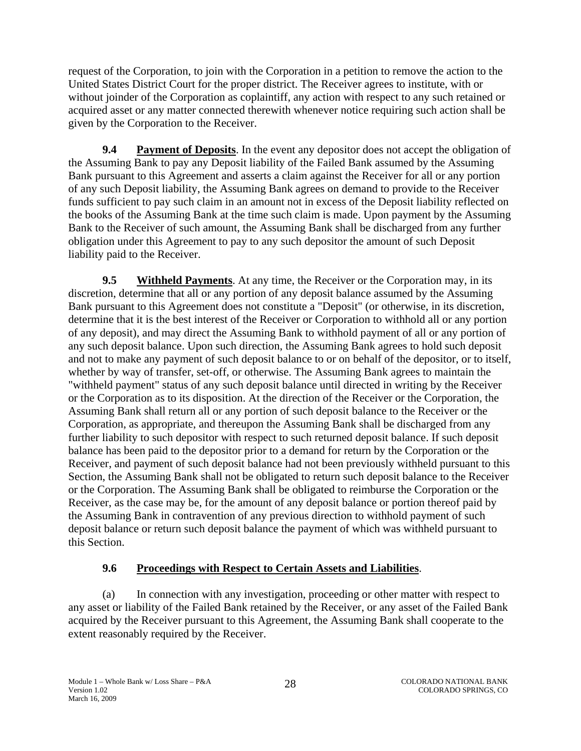<span id="page-31-0"></span>request of the Corporation, to join with the Corporation in a petition to remove the action to the United States District Court for the proper district. The Receiver agrees to institute, with or without joinder of the Corporation as coplaintiff, any action with respect to any such retained or acquired asset or any matter connected therewith whenever notice requiring such action shall be given by the Corporation to the Receiver.

**9.4 Payment of Deposits**. In the event any depositor does not accept the obligation of the Assuming Bank to pay any Deposit liability of the Failed Bank assumed by the Assuming Bank pursuant to this Agreement and asserts a claim against the Receiver for all or any portion of any such Deposit liability, the Assuming Bank agrees on demand to provide to the Receiver funds sufficient to pay such claim in an amount not in excess of the Deposit liability reflected on the books of the Assuming Bank at the time such claim is made. Upon payment by the Assuming Bank to the Receiver of such amount, the Assuming Bank shall be discharged from any further obligation under this Agreement to pay to any such depositor the amount of such Deposit liability paid to the Receiver.

**9.5 Withheld Payments**. At any time, the Receiver or the Corporation may, in its discretion, determine that all or any portion of any deposit balance assumed by the Assuming Bank pursuant to this Agreement does not constitute a "Deposit" (or otherwise, in its discretion, determine that it is the best interest of the Receiver or Corporation to withhold all or any portion of any deposit), and may direct the Assuming Bank to withhold payment of all or any portion of any such deposit balance. Upon such direction, the Assuming Bank agrees to hold such deposit and not to make any payment of such deposit balance to or on behalf of the depositor, or to itself, whether by way of transfer, set-off, or otherwise. The Assuming Bank agrees to maintain the "withheld payment" status of any such deposit balance until directed in writing by the Receiver or the Corporation as to its disposition. At the direction of the Receiver or the Corporation, the Assuming Bank shall return all or any portion of such deposit balance to the Receiver or the Corporation, as appropriate, and thereupon the Assuming Bank shall be discharged from any further liability to such depositor with respect to such returned deposit balance. If such deposit balance has been paid to the depositor prior to a demand for return by the Corporation or the Receiver, and payment of such deposit balance had not been previously withheld pursuant to this Section, the Assuming Bank shall not be obligated to return such deposit balance to the Receiver or the Corporation. The Assuming Bank shall be obligated to reimburse the Corporation or the Receiver, as the case may be, for the amount of any deposit balance or portion thereof paid by the Assuming Bank in contravention of any previous direction to withhold payment of such deposit balance or return such deposit balance the payment of which was withheld pursuant to this Section.

# **9.6 Proceedings with Respect to Certain Assets and Liabilities**.

(a) In connection with any investigation, proceeding or other matter with respect to any asset or liability of the Failed Bank retained by the Receiver, or any asset of the Failed Bank acquired by the Receiver pursuant to this Agreement, the Assuming Bank shall cooperate to the extent reasonably required by the Receiver.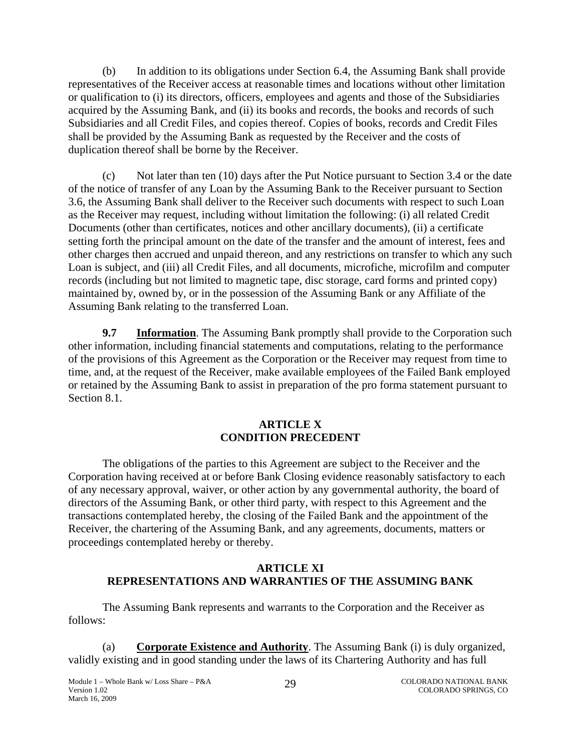<span id="page-32-0"></span>(b) In addition to its obligations under Section 6.4, the Assuming Bank shall provide representatives of the Receiver access at reasonable times and locations without other limitation or qualification to (i) its directors, officers, employees and agents and those of the Subsidiaries acquired by the Assuming Bank, and (ii) its books and records, the books and records of such Subsidiaries and all Credit Files, and copies thereof. Copies of books, records and Credit Files shall be provided by the Assuming Bank as requested by the Receiver and the costs of duplication thereof shall be borne by the Receiver.

(c) Not later than ten (10) days after the Put Notice pursuant to Section 3.4 or the date of the notice of transfer of any Loan by the Assuming Bank to the Receiver pursuant to Section 3.6, the Assuming Bank shall deliver to the Receiver such documents with respect to such Loan as the Receiver may request, including without limitation the following: (i) all related Credit Documents (other than certificates, notices and other ancillary documents), (ii) a certificate setting forth the principal amount on the date of the transfer and the amount of interest, fees and other charges then accrued and unpaid thereon, and any restrictions on transfer to which any such Loan is subject, and (iii) all Credit Files, and all documents, microfiche, microfilm and computer records (including but not limited to magnetic tape, disc storage, card forms and printed copy) maintained by, owned by, or in the possession of the Assuming Bank or any Affiliate of the Assuming Bank relating to the transferred Loan.

**9.7 Information**. The Assuming Bank promptly shall provide to the Corporation such other information, including financial statements and computations, relating to the performance of the provisions of this Agreement as the Corporation or the Receiver may request from time to time, and, at the request of the Receiver, make available employees of the Failed Bank employed or retained by the Assuming Bank to assist in preparation of the pro forma statement pursuant to Section 8.1.

### **ARTICLE X CONDITION PRECEDENT**

The obligations of the parties to this Agreement are subject to the Receiver and the Corporation having received at or before Bank Closing evidence reasonably satisfactory to each of any necessary approval, waiver, or other action by any governmental authority, the board of directors of the Assuming Bank, or other third party, with respect to this Agreement and the transactions contemplated hereby, the closing of the Failed Bank and the appointment of the Receiver, the chartering of the Assuming Bank, and any agreements, documents, matters or proceedings contemplated hereby or thereby.

# **ARTICLE XI REPRESENTATIONS AND WARRANTIES OF THE ASSUMING BANK**

The Assuming Bank represents and warrants to the Corporation and the Receiver as follows:

(a) **Corporate Existence and Authority**. The Assuming Bank (i) is duly organized, validly existing and in good standing under the laws of its Chartering Authority and has full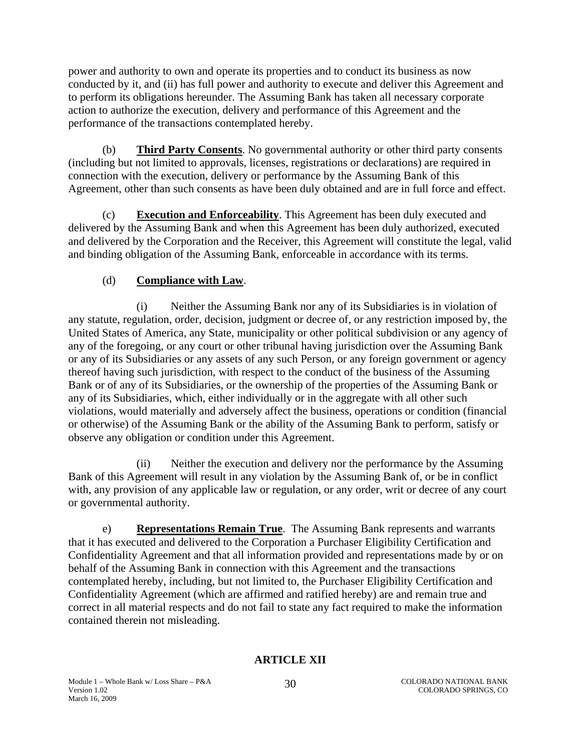power and authority to own and operate its properties and to conduct its business as now conducted by it, and (ii) has full power and authority to execute and deliver this Agreement and to perform its obligations hereunder. The Assuming Bank has taken all necessary corporate action to authorize the execution, delivery and performance of this Agreement and the performance of the transactions contemplated hereby.

(b) **Third Party Consents**. No governmental authority or other third party consents (including but not limited to approvals, licenses, registrations or declarations) are required in connection with the execution, delivery or performance by the Assuming Bank of this Agreement, other than such consents as have been duly obtained and are in full force and effect.

(c) **Execution and Enforceability**. This Agreement has been duly executed and delivered by the Assuming Bank and when this Agreement has been duly authorized, executed and delivered by the Corporation and the Receiver, this Agreement will constitute the legal, valid and binding obligation of the Assuming Bank, enforceable in accordance with its terms.

# (d) **Compliance with Law**.

(i) Neither the Assuming Bank nor any of its Subsidiaries is in violation of any statute, regulation, order, decision, judgment or decree of, or any restriction imposed by, the United States of America, any State, municipality or other political subdivision or any agency of any of the foregoing, or any court or other tribunal having jurisdiction over the Assuming Bank or any of its Subsidiaries or any assets of any such Person, or any foreign government or agency thereof having such jurisdiction, with respect to the conduct of the business of the Assuming Bank or of any of its Subsidiaries, or the ownership of the properties of the Assuming Bank or any of its Subsidiaries, which, either individually or in the aggregate with all other such violations, would materially and adversely affect the business, operations or condition (financial or otherwise) of the Assuming Bank or the ability of the Assuming Bank to perform, satisfy or observe any obligation or condition under this Agreement.

(ii) Neither the execution and delivery nor the performance by the Assuming Bank of this Agreement will result in any violation by the Assuming Bank of, or be in conflict with, any provision of any applicable law or regulation, or any order, writ or decree of any court or governmental authority.

e) **Representations Remain True**. The Assuming Bank represents and warrants that it has executed and delivered to the Corporation a Purchaser Eligibility Certification and Confidentiality Agreement and that all information provided and representations made by or on behalf of the Assuming Bank in connection with this Agreement and the transactions contemplated hereby, including, but not limited to, the Purchaser Eligibility Certification and Confidentiality Agreement (which are affirmed and ratified hereby) are and remain true and correct in all material respects and do not fail to state any fact required to make the information contained therein not misleading.

### **ARTICLE XII**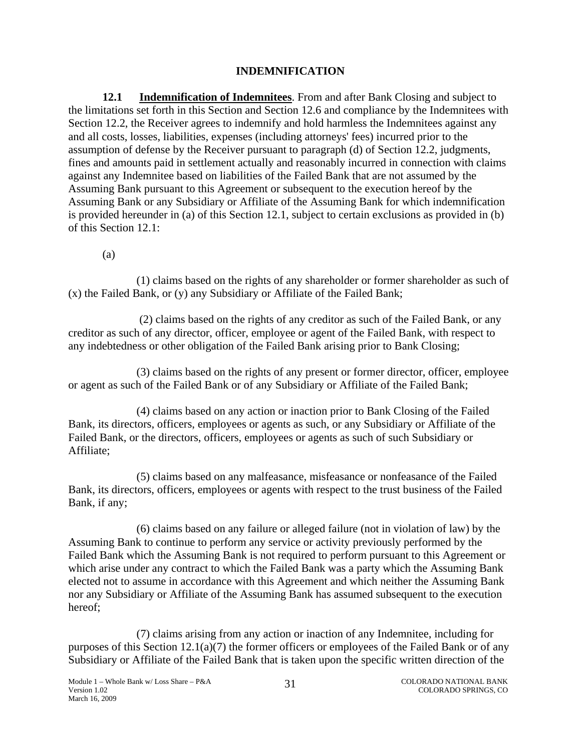## **INDEMNIFICATION**

<span id="page-34-0"></span>**12.1 Indemnification of Indemnitees**. From and after Bank Closing and subject to the limitations set forth in this Section and Section 12.6 and compliance by the Indemnitees with Section 12.2, the Receiver agrees to indemnify and hold harmless the Indemnitees against any and all costs, losses, liabilities, expenses (including attorneys' fees) incurred prior to the assumption of defense by the Receiver pursuant to paragraph (d) of Section 12.2, judgments, fines and amounts paid in settlement actually and reasonably incurred in connection with claims against any Indemnitee based on liabilities of the Failed Bank that are not assumed by the Assuming Bank pursuant to this Agreement or subsequent to the execution hereof by the Assuming Bank or any Subsidiary or Affiliate of the Assuming Bank for which indemnification is provided hereunder in (a) of this Section 12.1, subject to certain exclusions as provided in (b) of this Section 12.1:

(a)

(1) claims based on the rights of any shareholder or former shareholder as such of (x) the Failed Bank, or (y) any Subsidiary or Affiliate of the Failed Bank;

(2) claims based on the rights of any creditor as such of the Failed Bank, or any creditor as such of any director, officer, employee or agent of the Failed Bank, with respect to any indebtedness or other obligation of the Failed Bank arising prior to Bank Closing;

(3) claims based on the rights of any present or former director, officer, employee or agent as such of the Failed Bank or of any Subsidiary or Affiliate of the Failed Bank;

(4) claims based on any action or inaction prior to Bank Closing of the Failed Bank, its directors, officers, employees or agents as such, or any Subsidiary or Affiliate of the Failed Bank, or the directors, officers, employees or agents as such of such Subsidiary or Affiliate;

(5) claims based on any malfeasance, misfeasance or nonfeasance of the Failed Bank, its directors, officers, employees or agents with respect to the trust business of the Failed Bank, if any;

(6) claims based on any failure or alleged failure (not in violation of law) by the Assuming Bank to continue to perform any service or activity previously performed by the Failed Bank which the Assuming Bank is not required to perform pursuant to this Agreement or which arise under any contract to which the Failed Bank was a party which the Assuming Bank elected not to assume in accordance with this Agreement and which neither the Assuming Bank nor any Subsidiary or Affiliate of the Assuming Bank has assumed subsequent to the execution hereof;

(7) claims arising from any action or inaction of any Indemnitee, including for purposes of this Section 12.1(a)(7) the former officers or employees of the Failed Bank or of any Subsidiary or Affiliate of the Failed Bank that is taken upon the specific written direction of the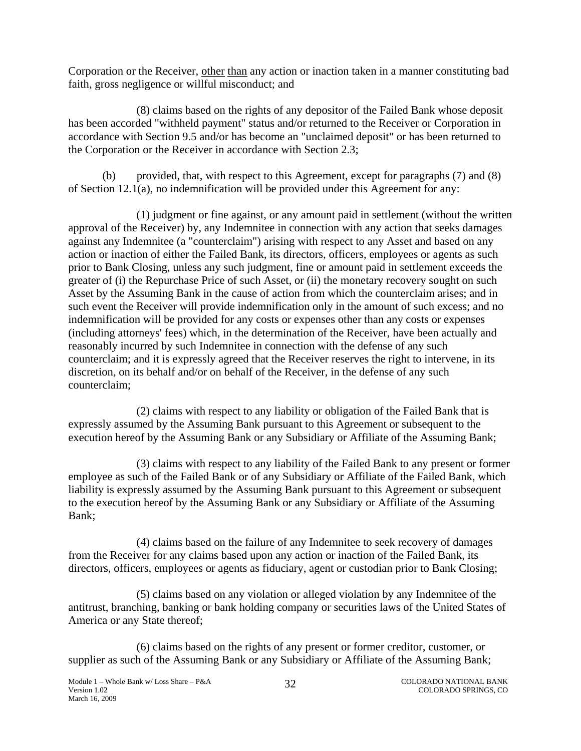Corporation or the Receiver, other than any action or inaction taken in a manner constituting bad faith, gross negligence or willful misconduct; and

(8) claims based on the rights of any depositor of the Failed Bank whose deposit has been accorded "withheld payment" status and/or returned to the Receiver or Corporation in accordance with Section 9.5 and/or has become an "unclaimed deposit" or has been returned to the Corporation or the Receiver in accordance with Section 2.3;

(b) provided, that, with respect to this Agreement, except for paragraphs (7) and (8) of Section 12.1(a), no indemnification will be provided under this Agreement for any:

(1) judgment or fine against, or any amount paid in settlement (without the written approval of the Receiver) by, any Indemnitee in connection with any action that seeks damages against any Indemnitee (a "counterclaim") arising with respect to any Asset and based on any action or inaction of either the Failed Bank, its directors, officers, employees or agents as such prior to Bank Closing, unless any such judgment, fine or amount paid in settlement exceeds the greater of (i) the Repurchase Price of such Asset, or (ii) the monetary recovery sought on such Asset by the Assuming Bank in the cause of action from which the counterclaim arises; and in such event the Receiver will provide indemnification only in the amount of such excess; and no indemnification will be provided for any costs or expenses other than any costs or expenses (including attorneys' fees) which, in the determination of the Receiver, have been actually and reasonably incurred by such Indemnitee in connection with the defense of any such counterclaim; and it is expressly agreed that the Receiver reserves the right to intervene, in its discretion, on its behalf and/or on behalf of the Receiver, in the defense of any such counterclaim;

(2) claims with respect to any liability or obligation of the Failed Bank that is expressly assumed by the Assuming Bank pursuant to this Agreement or subsequent to the execution hereof by the Assuming Bank or any Subsidiary or Affiliate of the Assuming Bank;

(3) claims with respect to any liability of the Failed Bank to any present or former employee as such of the Failed Bank or of any Subsidiary or Affiliate of the Failed Bank, which liability is expressly assumed by the Assuming Bank pursuant to this Agreement or subsequent to the execution hereof by the Assuming Bank or any Subsidiary or Affiliate of the Assuming Bank;

(4) claims based on the failure of any Indemnitee to seek recovery of damages from the Receiver for any claims based upon any action or inaction of the Failed Bank, its directors, officers, employees or agents as fiduciary, agent or custodian prior to Bank Closing;

(5) claims based on any violation or alleged violation by any Indemnitee of the antitrust, branching, banking or bank holding company or securities laws of the United States of America or any State thereof;

(6) claims based on the rights of any present or former creditor, customer, or supplier as such of the Assuming Bank or any Subsidiary or Affiliate of the Assuming Bank;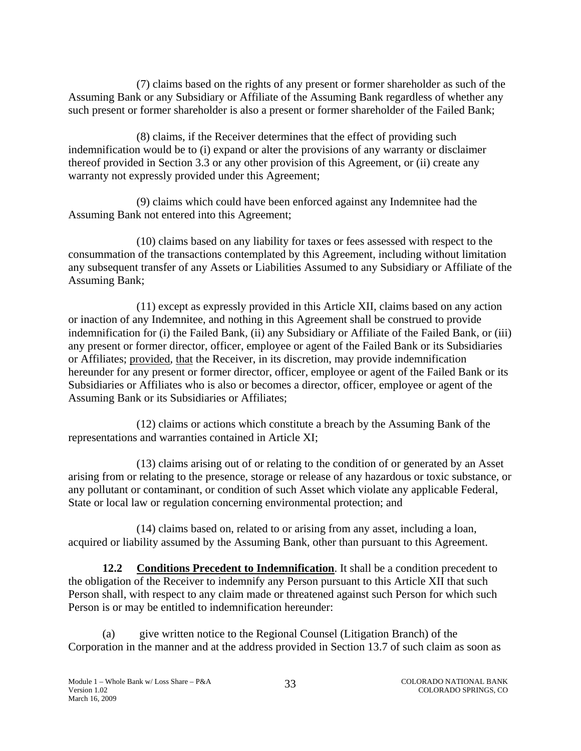(7) claims based on the rights of any present or former shareholder as such of the Assuming Bank or any Subsidiary or Affiliate of the Assuming Bank regardless of whether any such present or former shareholder is also a present or former shareholder of the Failed Bank;

(8) claims, if the Receiver determines that the effect of providing such indemnification would be to (i) expand or alter the provisions of any warranty or disclaimer thereof provided in Section 3.3 or any other provision of this Agreement, or (ii) create any warranty not expressly provided under this Agreement;

(9) claims which could have been enforced against any Indemnitee had the Assuming Bank not entered into this Agreement;

(10) claims based on any liability for taxes or fees assessed with respect to the consummation of the transactions contemplated by this Agreement, including without limitation any subsequent transfer of any Assets or Liabilities Assumed to any Subsidiary or Affiliate of the Assuming Bank;

(11) except as expressly provided in this Article XII, claims based on any action or inaction of any Indemnitee, and nothing in this Agreement shall be construed to provide indemnification for (i) the Failed Bank, (ii) any Subsidiary or Affiliate of the Failed Bank, or (iii) any present or former director, officer, employee or agent of the Failed Bank or its Subsidiaries or Affiliates; provided, that the Receiver, in its discretion, may provide indemnification hereunder for any present or former director, officer, employee or agent of the Failed Bank or its Subsidiaries or Affiliates who is also or becomes a director, officer, employee or agent of the Assuming Bank or its Subsidiaries or Affiliates;

(12) claims or actions which constitute a breach by the Assuming Bank of the representations and warranties contained in Article XI;

(13) claims arising out of or relating to the condition of or generated by an Asset arising from or relating to the presence, storage or release of any hazardous or toxic substance, or any pollutant or contaminant, or condition of such Asset which violate any applicable Federal, State or local law or regulation concerning environmental protection; and

(14) claims based on, related to or arising from any asset, including a loan, acquired or liability assumed by the Assuming Bank, other than pursuant to this Agreement.

**12.2 Conditions Precedent to Indemnification**. It shall be a condition precedent to the obligation of the Receiver to indemnify any Person pursuant to this Article XII that such Person shall, with respect to any claim made or threatened against such Person for which such Person is or may be entitled to indemnification hereunder:

(a) give written notice to the Regional Counsel (Litigation Branch) of the Corporation in the manner and at the address provided in Section 13.7 of such claim as soon as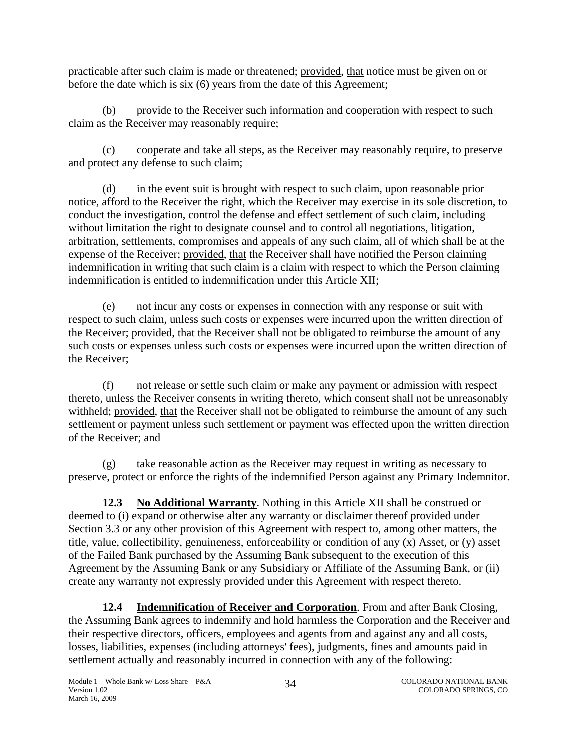practicable after such claim is made or threatened; provided, that notice must be given on or before the date which is six (6) years from the date of this Agreement;

(b) provide to the Receiver such information and cooperation with respect to such claim as the Receiver may reasonably require;

(c) cooperate and take all steps, as the Receiver may reasonably require, to preserve and protect any defense to such claim;

(d) in the event suit is brought with respect to such claim, upon reasonable prior notice, afford to the Receiver the right, which the Receiver may exercise in its sole discretion, to conduct the investigation, control the defense and effect settlement of such claim, including without limitation the right to designate counsel and to control all negotiations, litigation, arbitration, settlements, compromises and appeals of any such claim, all of which shall be at the expense of the Receiver; provided, that the Receiver shall have notified the Person claiming indemnification in writing that such claim is a claim with respect to which the Person claiming indemnification is entitled to indemnification under this Article XII;

(e) not incur any costs or expenses in connection with any response or suit with respect to such claim, unless such costs or expenses were incurred upon the written direction of the Receiver; provided, that the Receiver shall not be obligated to reimburse the amount of any such costs or expenses unless such costs or expenses were incurred upon the written direction of the Receiver;

(f) not release or settle such claim or make any payment or admission with respect thereto, unless the Receiver consents in writing thereto, which consent shall not be unreasonably withheld; provided, that the Receiver shall not be obligated to reimburse the amount of any such settlement or payment unless such settlement or payment was effected upon the written direction of the Receiver; and

(g) take reasonable action as the Receiver may request in writing as necessary to preserve, protect or enforce the rights of the indemnified Person against any Primary Indemnitor.

**12.3 No Additional Warranty**. Nothing in this Article XII shall be construed or deemed to (i) expand or otherwise alter any warranty or disclaimer thereof provided under Section 3.3 or any other provision of this Agreement with respect to, among other matters, the title, value, collectibility, genuineness, enforceability or condition of any (x) Asset, or (y) asset of the Failed Bank purchased by the Assuming Bank subsequent to the execution of this Agreement by the Assuming Bank or any Subsidiary or Affiliate of the Assuming Bank, or (ii) create any warranty not expressly provided under this Agreement with respect thereto.

**12.4 Indemnification of Receiver and Corporation**. From and after Bank Closing, the Assuming Bank agrees to indemnify and hold harmless the Corporation and the Receiver and their respective directors, officers, employees and agents from and against any and all costs, losses, liabilities, expenses (including attorneys' fees), judgments, fines and amounts paid in settlement actually and reasonably incurred in connection with any of the following: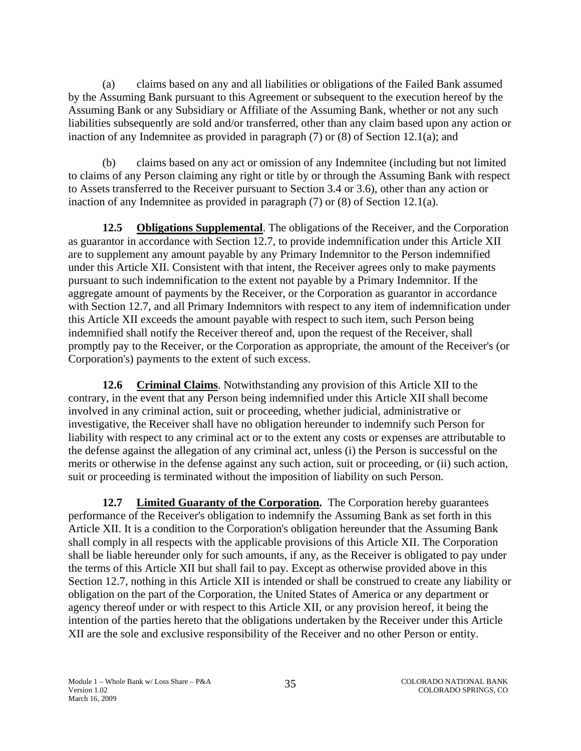(a) claims based on any and all liabilities or obligations of the Failed Bank assumed by the Assuming Bank pursuant to this Agreement or subsequent to the execution hereof by the Assuming Bank or any Subsidiary or Affiliate of the Assuming Bank, whether or not any such liabilities subsequently are sold and/or transferred, other than any claim based upon any action or inaction of any Indemnitee as provided in paragraph (7) or (8) of Section 12.1(a); and

(b) claims based on any act or omission of any Indemnitee (including but not limited to claims of any Person claiming any right or title by or through the Assuming Bank with respect to Assets transferred to the Receiver pursuant to Section 3.4 or 3.6), other than any action or inaction of any Indemnitee as provided in paragraph (7) or (8) of Section 12.1(a).

**12.5 Obligations Supplemental**. The obligations of the Receiver, and the Corporation as guarantor in accordance with Section 12.7, to provide indemnification under this Article XII are to supplement any amount payable by any Primary Indemnitor to the Person indemnified under this Article XII. Consistent with that intent, the Receiver agrees only to make payments pursuant to such indemnification to the extent not payable by a Primary Indemnitor. If the aggregate amount of payments by the Receiver, or the Corporation as guarantor in accordance with Section 12.7, and all Primary Indemnitors with respect to any item of indemnification under this Article XII exceeds the amount payable with respect to such item, such Person being indemnified shall notify the Receiver thereof and, upon the request of the Receiver, shall promptly pay to the Receiver, or the Corporation as appropriate, the amount of the Receiver's (or Corporation's) payments to the extent of such excess.

**12.6 Criminal Claims**. Notwithstanding any provision of this Article XII to the contrary, in the event that any Person being indemnified under this Article XII shall become involved in any criminal action, suit or proceeding, whether judicial, administrative or investigative, the Receiver shall have no obligation hereunder to indemnify such Person for liability with respect to any criminal act or to the extent any costs or expenses are attributable to the defense against the allegation of any criminal act, unless (i) the Person is successful on the merits or otherwise in the defense against any such action, suit or proceeding, or (ii) such action, suit or proceeding is terminated without the imposition of liability on such Person.

12.7 **Limited Guaranty of the Corporation.** The Corporation hereby guarantees performance of the Receiver's obligation to indemnify the Assuming Bank as set forth in this Article XII. It is a condition to the Corporation's obligation hereunder that the Assuming Bank shall comply in all respects with the applicable provisions of this Article XII. The Corporation shall be liable hereunder only for such amounts, if any, as the Receiver is obligated to pay under the terms of this Article XII but shall fail to pay. Except as otherwise provided above in this Section 12.7, nothing in this Article XII is intended or shall be construed to create any liability or obligation on the part of the Corporation, the United States of America or any department or agency thereof under or with respect to this Article XII, or any provision hereof, it being the intention of the parties hereto that the obligations undertaken by the Receiver under this Article XII are the sole and exclusive responsibility of the Receiver and no other Person or entity.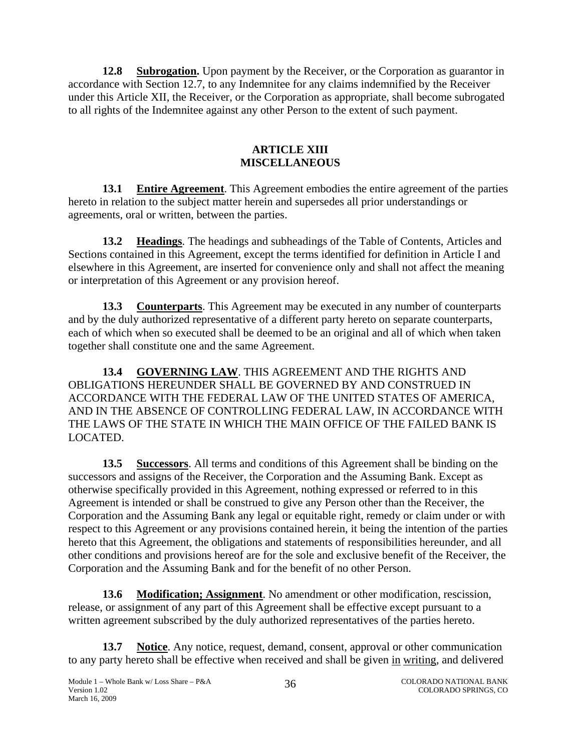**12.8** Subrogation. Upon payment by the Receiver, or the Corporation as guarantor in accordance with Section 12.7, to any Indemnitee for any claims indemnified by the Receiver under this Article XII, the Receiver, or the Corporation as appropriate, shall become subrogated to all rights of the Indemnitee against any other Person to the extent of such payment.

### **ARTICLE XIII MISCELLANEOUS**

**13.1 Entire Agreement**. This Agreement embodies the entire agreement of the parties hereto in relation to the subject matter herein and supersedes all prior understandings or agreements, oral or written, between the parties.

**13.2 Headings**. The headings and subheadings of the Table of Contents, Articles and Sections contained in this Agreement, except the terms identified for definition in Article I and elsewhere in this Agreement, are inserted for convenience only and shall not affect the meaning or interpretation of this Agreement or any provision hereof.

**13.3 Counterparts**. This Agreement may be executed in any number of counterparts and by the duly authorized representative of a different party hereto on separate counterparts, each of which when so executed shall be deemed to be an original and all of which when taken together shall constitute one and the same Agreement.

**13.4 GOVERNING LAW**. THIS AGREEMENT AND THE RIGHTS AND OBLIGATIONS HEREUNDER SHALL BE GOVERNED BY AND CONSTRUED IN ACCORDANCE WITH THE FEDERAL LAW OF THE UNITED STATES OF AMERICA, AND IN THE ABSENCE OF CONTROLLING FEDERAL LAW, IN ACCORDANCE WITH THE LAWS OF THE STATE IN WHICH THE MAIN OFFICE OF THE FAILED BANK IS LOCATED.

**13.5 Successors.** All terms and conditions of this Agreement shall be binding on the successors and assigns of the Receiver, the Corporation and the Assuming Bank. Except as otherwise specifically provided in this Agreement, nothing expressed or referred to in this Agreement is intended or shall be construed to give any Person other than the Receiver, the Corporation and the Assuming Bank any legal or equitable right, remedy or claim under or with respect to this Agreement or any provisions contained herein, it being the intention of the parties hereto that this Agreement, the obligations and statements of responsibilities hereunder, and all other conditions and provisions hereof are for the sole and exclusive benefit of the Receiver, the Corporation and the Assuming Bank and for the benefit of no other Person.

**13.6 Modification; Assignment**. No amendment or other modification, rescission, release, or assignment of any part of this Agreement shall be effective except pursuant to a written agreement subscribed by the duly authorized representatives of the parties hereto.

**13.7 Notice**. Any notice, request, demand, consent, approval or other communication to any party hereto shall be effective when received and shall be given in writing, and delivered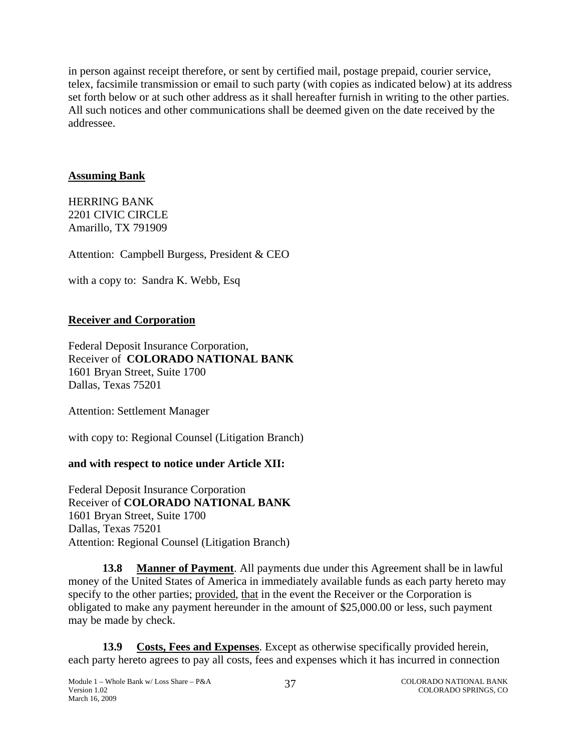in person against receipt therefore, or sent by certified mail, postage prepaid, courier service, telex, facsimile transmission or email to such party (with copies as indicated below) at its address set forth below or at such other address as it shall hereafter furnish in writing to the other parties. All such notices and other communications shall be deemed given on the date received by the addressee.

## **Assuming Bank**

HERRING BANK 2201 CIVIC CIRCLE Amarillo, TX 791909

Attention: Campbell Burgess, President & CEO

with a copy to: Sandra K. Webb, Esq

## **Receiver and Corporation**

 Receiver of **COLORADO NATIONAL BANK** Federal Deposit Insurance Corporation, 1601 Bryan Street, Suite 1700 Dallas, Texas 75201

Attention: Settlement Manager

with copy to: Regional Counsel (Litigation Branch)

## **and with respect to notice under Article XII:**

Federal Deposit Insurance Corporation Receiver of **COLORADO NATIONAL BANK**  1601 Bryan Street, Suite 1700 Dallas, Texas 75201 Attention: Regional Counsel (Litigation Branch)

 **13.8 Manner of Payment**. All payments due under this Agreement shall be in lawful money of the United States of America in immediately available funds as each party hereto may specify to the other parties; provided, that in the event the Receiver or the Corporation is obligated to make any payment hereunder in the amount of \$25,000.00 or less, such payment may be made by check.

**13.9 Costs, Fees and Expenses**. Except as otherwise specifically provided herein, each party hereto agrees to pay all costs, fees and expenses which it has incurred in connection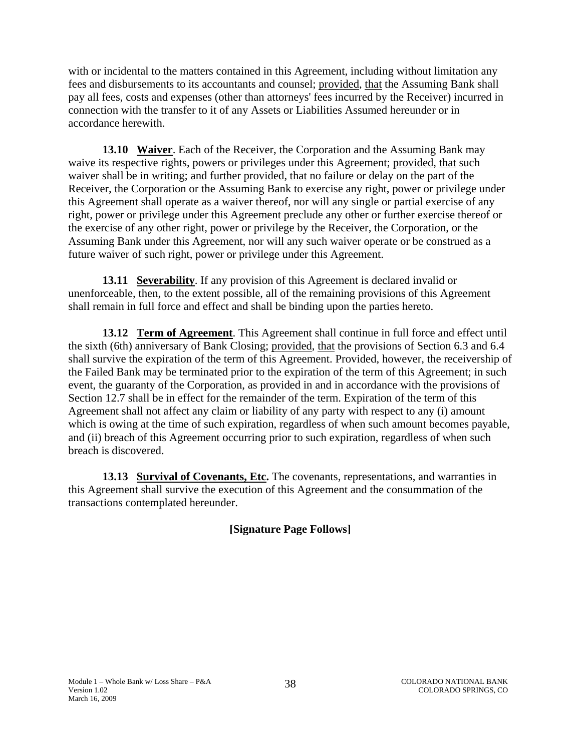with or incidental to the matters contained in this Agreement, including without limitation any fees and disbursements to its accountants and counsel; provided, that the Assuming Bank shall pay all fees, costs and expenses (other than attorneys' fees incurred by the Receiver) incurred in connection with the transfer to it of any Assets or Liabilities Assumed hereunder or in accordance herewith.

**13.10 Waiver**. Each of the Receiver, the Corporation and the Assuming Bank may waive its respective rights, powers or privileges under this Agreement; provided, that such waiver shall be in writing; and further provided, that no failure or delay on the part of the Receiver, the Corporation or the Assuming Bank to exercise any right, power or privilege under this Agreement shall operate as a waiver thereof, nor will any single or partial exercise of any right, power or privilege under this Agreement preclude any other or further exercise thereof or the exercise of any other right, power or privilege by the Receiver, the Corporation, or the Assuming Bank under this Agreement, nor will any such waiver operate or be construed as a future waiver of such right, power or privilege under this Agreement.

**13.11 Severability**. If any provision of this Agreement is declared invalid or unenforceable, then, to the extent possible, all of the remaining provisions of this Agreement shall remain in full force and effect and shall be binding upon the parties hereto.

**13.12 Term of Agreement**. This Agreement shall continue in full force and effect until the sixth (6th) anniversary of Bank Closing; provided, that the provisions of Section 6.3 and 6.4 shall survive the expiration of the term of this Agreement. Provided, however, the receivership of the Failed Bank may be terminated prior to the expiration of the term of this Agreement; in such event, the guaranty of the Corporation, as provided in and in accordance with the provisions of Section 12.7 shall be in effect for the remainder of the term. Expiration of the term of this Agreement shall not affect any claim or liability of any party with respect to any (i) amount which is owing at the time of such expiration, regardless of when such amount becomes payable, and (ii) breach of this Agreement occurring prior to such expiration, regardless of when such breach is discovered.

**13.13 Survival of Covenants, Etc.** The covenants, representations, and warranties in this Agreement shall survive the execution of this Agreement and the consummation of the transactions contemplated hereunder.

## **[Signature Page Follows]**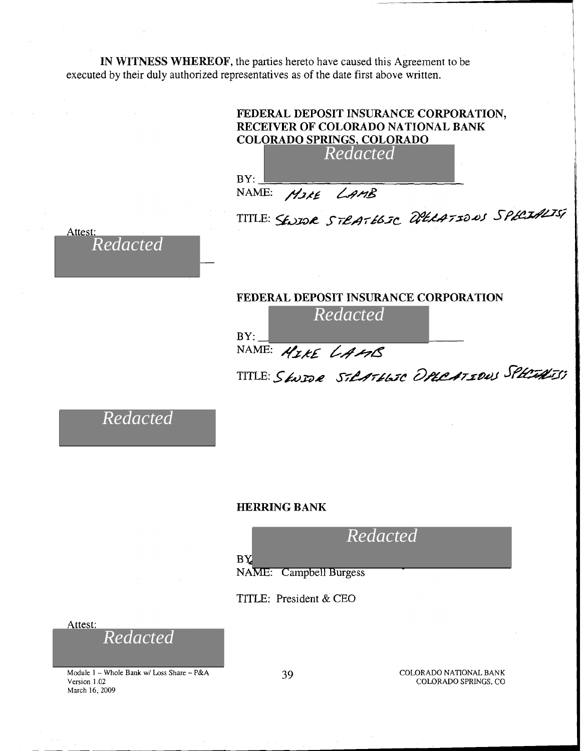**IN WITNESS WHEREOF,** the parties hereto have caused this Agreement to be executed by their duly authorized representatives as of the date first above written.

> **FEDERAL DEPOSIT INSURANCE CORPORATION, RECEIVER OF COLORADO NATIONAL BANK COLORADO SPRINGS. COLORADO**

> > *Redacted*

BY: NAME: MILE LAMB

TITLE: SENJOR STRATEBIC OPERATIONS SPECIALIST



### **FEDERAL DEPOSIT INSURANCE CORPORATION**

BY: NAME: *MIKE LASS Redacted*

TITLE: SENIOR STRATEGIC OPERATIONS SPECIALIST

*Redacted*

#### **HERRING BANK**

*Redacted*

#### **BY**

NAME: Campbell Burgess

TITLE: President & CEO

Attest:

*Redacted*

Module 1 – Whole Bank w/ Loss Share – P&A 39 COLORADO NATIONAL BANK<br>Version 1.02 COLORADO SPRINGS, CO March 16, 2009

COLORADO SPRINGS, CO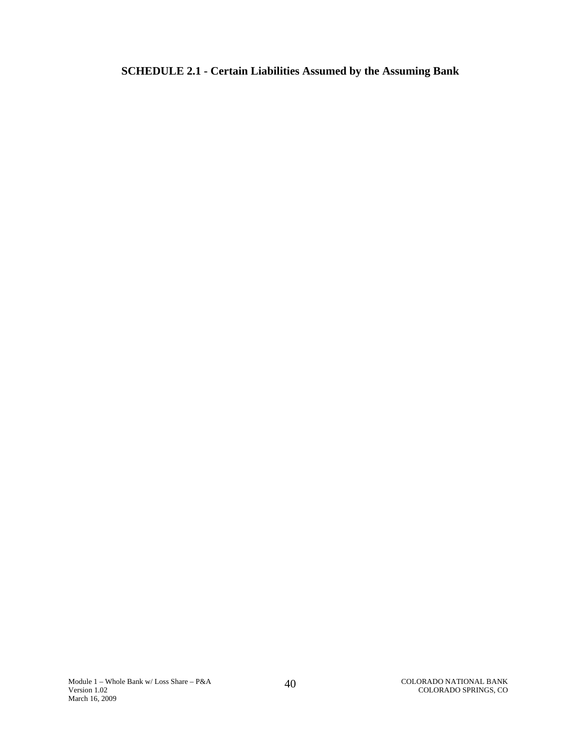**SCHEDULE 2.1 - Certain Liabilities Assumed by the Assuming Bank**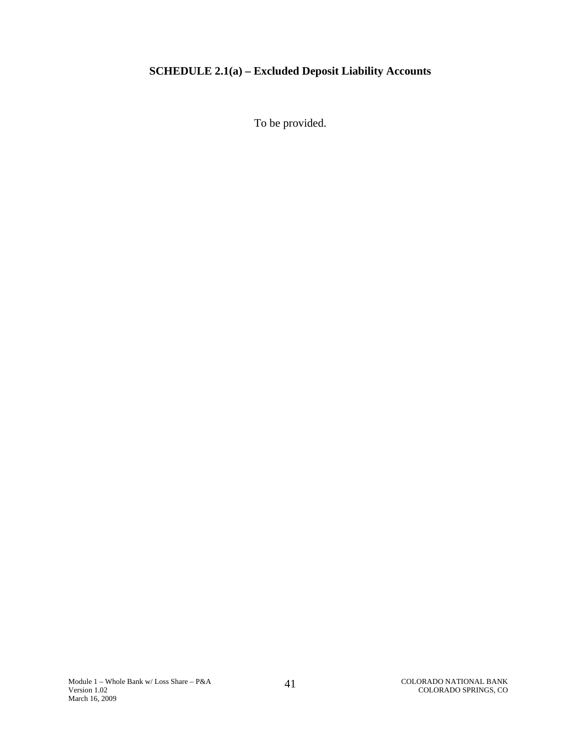# **SCHEDULE 2.1(a) – Excluded Deposit Liability Accounts**

To be provided.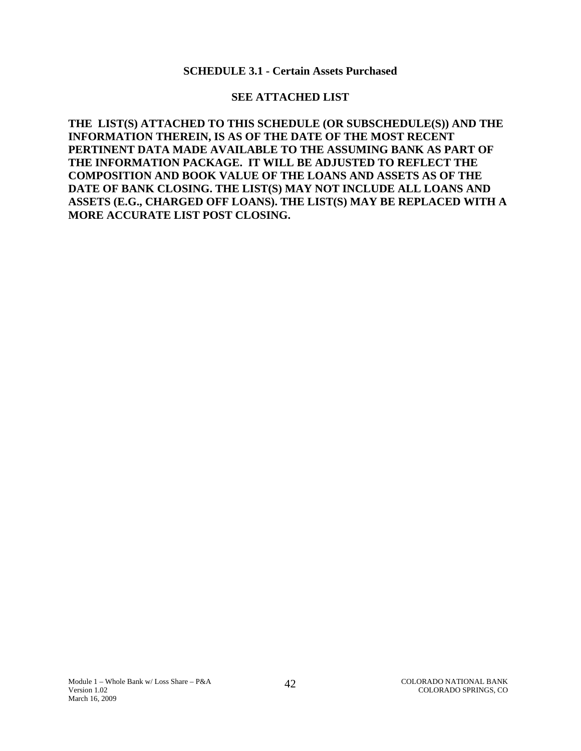#### **SCHEDULE 3.1 - Certain Assets Purchased**

#### **SEE ATTACHED LIST**

THE LIST(S) ATTACHED TO THIS SCHEDULE (OR SUBSCHEDULE(S)) AND THE **INFORMATION THEREIN, IS AS OF THE DATE OF THE MOST RECENT PERTINENT DATA MADE AVAILABLE TO THE ASSUMING BANK AS PART OF THE INFORMATION PACKAGE. IT WILL BE ADJUSTED TO REFLECT THE COMPOSITION AND BOOK VALUE OF THE LOANS AND ASSETS AS OF THE DATE OF BANK CLOSING. THE LIST(S) MAY NOT INCLUDE ALL LOANS AND ASSETS (E.G., CHARGED OFF LOANS). THE LIST(S) MAY BE REPLACED WITH A MORE ACCURATE LIST POST CLOSING.**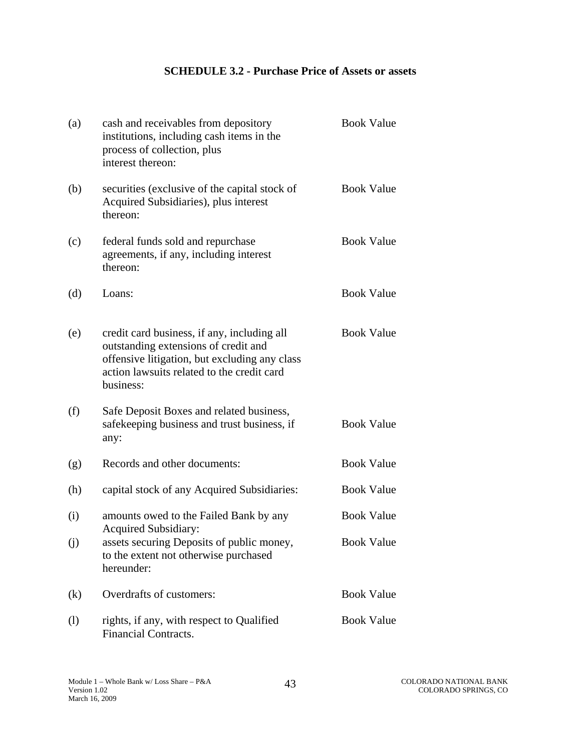## **SCHEDULE 3.2 - Purchase Price of Assets or assets**

| (a) | cash and receivables from depository<br>institutions, including cash items in the<br>process of collection, plus<br>interest thereon:                                                           | <b>Book Value</b> |
|-----|-------------------------------------------------------------------------------------------------------------------------------------------------------------------------------------------------|-------------------|
| (b) | securities (exclusive of the capital stock of<br>Acquired Subsidiaries), plus interest<br>thereon:                                                                                              | <b>Book Value</b> |
| (c) | federal funds sold and repurchase<br>agreements, if any, including interest<br>thereon:                                                                                                         | <b>Book Value</b> |
| (d) | Loans:                                                                                                                                                                                          | <b>Book Value</b> |
| (e) | credit card business, if any, including all<br>outstanding extensions of credit and<br>offensive litigation, but excluding any class<br>action lawsuits related to the credit card<br>business: | <b>Book Value</b> |
| (f) | Safe Deposit Boxes and related business,<br>safekeeping business and trust business, if<br>any:                                                                                                 | <b>Book Value</b> |
| (g) | Records and other documents:                                                                                                                                                                    | <b>Book Value</b> |
| (h) | capital stock of any Acquired Subsidiaries:                                                                                                                                                     | <b>Book Value</b> |
| (i) | amounts owed to the Failed Bank by any<br><b>Acquired Subsidiary:</b>                                                                                                                           | <b>Book Value</b> |
| (j) | assets securing Deposits of public money,<br>to the extent not otherwise purchased<br>hereunder:                                                                                                | <b>Book Value</b> |
| (k) | Overdrafts of customers:                                                                                                                                                                        | <b>Book Value</b> |
| (1) | rights, if any, with respect to Qualified<br><b>Financial Contracts.</b>                                                                                                                        | <b>Book Value</b> |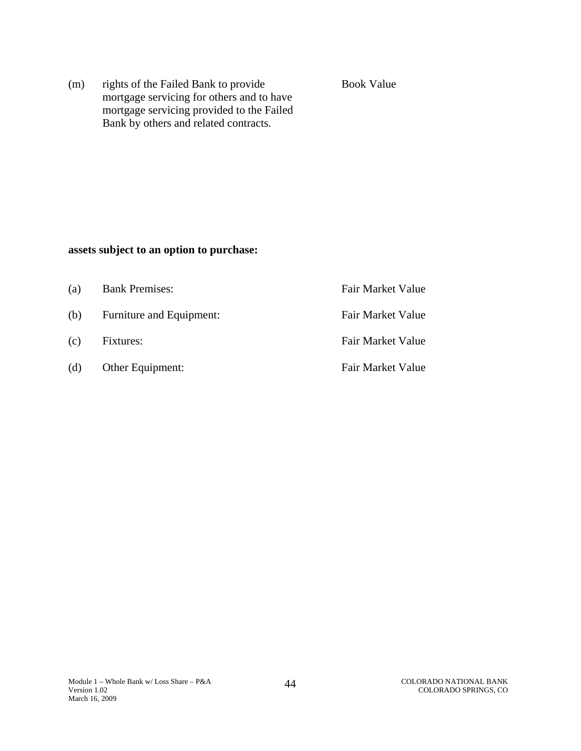(m) rights of the Failed Bank to provide Book Value mortgage servicing for others and to have mortgage servicing provided to the Failed Bank by others and related contracts.

### **assets subject to an option to purchase:**

| (a) | <b>Bank Premises:</b>    | Fair Market Value |
|-----|--------------------------|-------------------|
| (b) | Furniture and Equipment: | Fair Market Value |
| (c) | Fixtures:                | Fair Market Value |
| (d) | Other Equipment:         | Fair Market Value |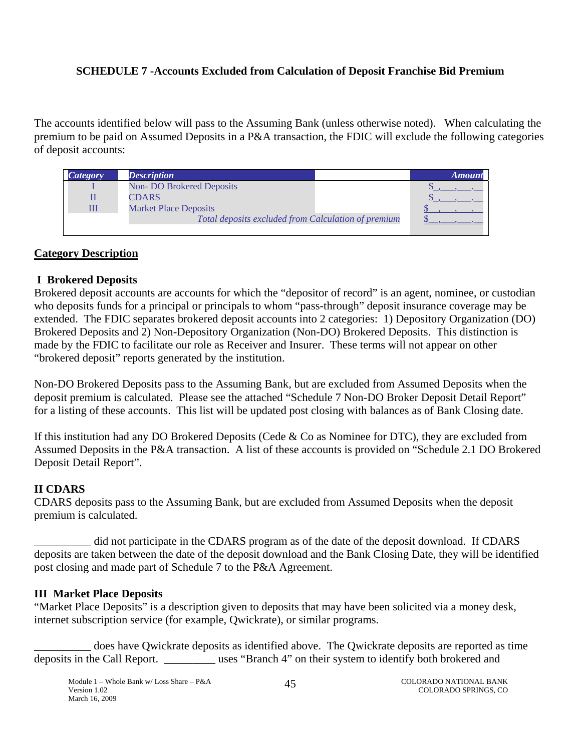## **SCHEDULE 7 -Accounts Excluded from Calculation of Deposit Franchise Bid Premium**

The accounts identified below will pass to the Assuming Bank (unless otherwise noted). When calculating the premium to be paid on Assumed Deposits in a P&A transaction, the FDIC will exclude the following categories of deposit accounts:

| <i>Category</i> | <b>Description</b>                                  | <b>Amount</b> |  |
|-----------------|-----------------------------------------------------|---------------|--|
|                 | <b>Non-DO Brokered Deposits</b>                     |               |  |
|                 | <b>CDARS</b>                                        |               |  |
| Ш               | <b>Market Place Deposits</b>                        |               |  |
|                 | Total deposits excluded from Calculation of premium |               |  |
|                 |                                                     |               |  |

### **Category Description**

### **I Brokered Deposits**

Brokered deposit accounts are accounts for which the "depositor of record" is an agent, nominee, or custodian who deposits funds for a principal or principals to whom "pass-through" deposit insurance coverage may be extended. The FDIC separates brokered deposit accounts into 2 categories: 1) Depository Organization (DO) Brokered Deposits and 2) Non-Depository Organization (Non-DO) Brokered Deposits. This distinction is made by the FDIC to facilitate our role as Receiver and Insurer. These terms will not appear on other "brokered deposit" reports generated by the institution.

Non-DO Brokered Deposits pass to the Assuming Bank, but are excluded from Assumed Deposits when the deposit premium is calculated. Please see the attached "Schedule 7 Non-DO Broker Deposit Detail Report" for a listing of these accounts. This list will be updated post closing with balances as of Bank Closing date.

If this institution had any DO Brokered Deposits (Cede & Co as Nominee for DTC), they are excluded from Assumed Deposits in the P&A transaction. A list of these accounts is provided on "Schedule 2.1 DO Brokered Deposit Detail Report".

#### **II CDARS**

CDARS deposits pass to the Assuming Bank, but are excluded from Assumed Deposits when the deposit premium is calculated.

\_\_\_\_\_\_\_\_\_\_ did not participate in the CDARS program as of the date of the deposit download. If CDARS deposits are taken between the date of the deposit download and the Bank Closing Date, they will be identified post closing and made part of Schedule 7 to the P&A Agreement.

#### **III Market Place Deposits**

"Market Place Deposits" is a description given to deposits that may have been solicited via a money desk, internet subscription service (for example, Qwickrate), or similar programs.

does have Qwickrate deposits as identified above. The Qwickrate deposits are reported as time deposits in the Call Report. \_\_\_\_\_\_\_\_\_ uses "Branch 4" on their system to identify both brokered and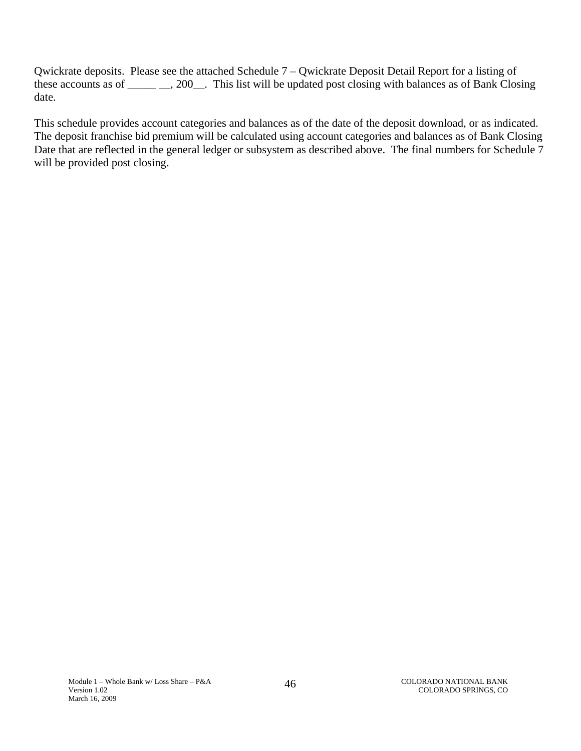Qwickrate deposits. Please see the attached Schedule 7 – Qwickrate Deposit Detail Report for a listing of these accounts as of \_\_\_\_\_ \_\_, 200\_\_. This list will be updated post closing with balances as of Bank Closing date.

This schedule provides account categories and balances as of the date of the deposit download, or as indicated. The deposit franchise bid premium will be calculated using account categories and balances as of Bank Closing Date that are reflected in the general ledger or subsystem as described above. The final numbers for Schedule 7 will be provided post closing.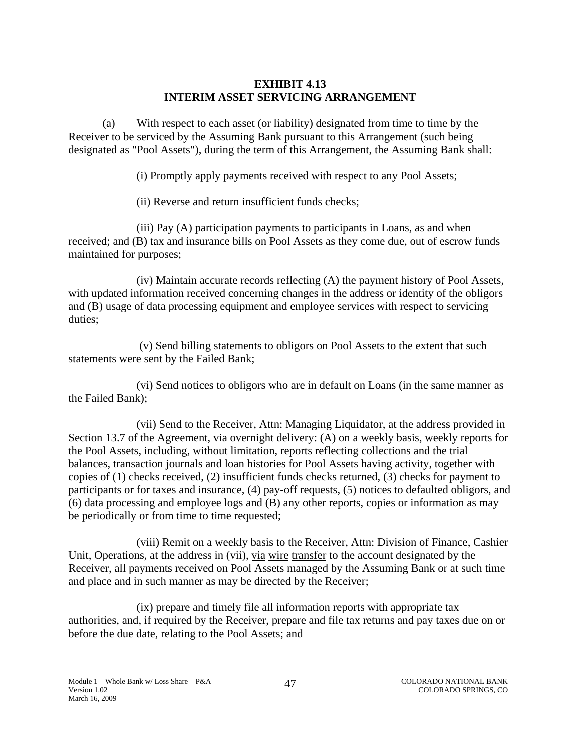### **EXHIBIT 4.13 INTERIM ASSET SERVICING ARRANGEMENT**

(a) With respect to each asset (or liability) designated from time to time by the Receiver to be serviced by the Assuming Bank pursuant to this Arrangement (such being designated as "Pool Assets"), during the term of this Arrangement, the Assuming Bank shall:

(i) Promptly apply payments received with respect to any Pool Assets;

(ii) Reverse and return insufficient funds checks;

(iii) Pay (A) participation payments to participants in Loans, as and when received; and (B) tax and insurance bills on Pool Assets as they come due, out of escrow funds maintained for purposes;

(iv) Maintain accurate records reflecting (A) the payment history of Pool Assets, with updated information received concerning changes in the address or identity of the obligors and (B) usage of data processing equipment and employee services with respect to servicing duties;

 (v) Send billing statements to obligors on Pool Assets to the extent that such statements were sent by the Failed Bank;

(vi) Send notices to obligors who are in default on Loans (in the same manner as the Failed Bank);

(vii) Send to the Receiver, Attn: Managing Liquidator, at the address provided in Section 13.7 of the Agreement, via overnight delivery: (A) on a weekly basis, weekly reports for the Pool Assets, including, without limitation, reports reflecting collections and the trial balances, transaction journals and loan histories for Pool Assets having activity, together with copies of (1) checks received, (2) insufficient funds checks returned, (3) checks for payment to participants or for taxes and insurance, (4) pay-off requests, (5) notices to defaulted obligors, and (6) data processing and employee logs and (B) any other reports, copies or information as may be periodically or from time to time requested;

(viii) Remit on a weekly basis to the Receiver, Attn: Division of Finance, Cashier Unit, Operations, at the address in (vii), via wire transfer to the account designated by the Receiver, all payments received on Pool Assets managed by the Assuming Bank or at such time and place and in such manner as may be directed by the Receiver;

(ix) prepare and timely file all information reports with appropriate tax authorities, and, if required by the Receiver, prepare and file tax returns and pay taxes due on or before the due date, relating to the Pool Assets; and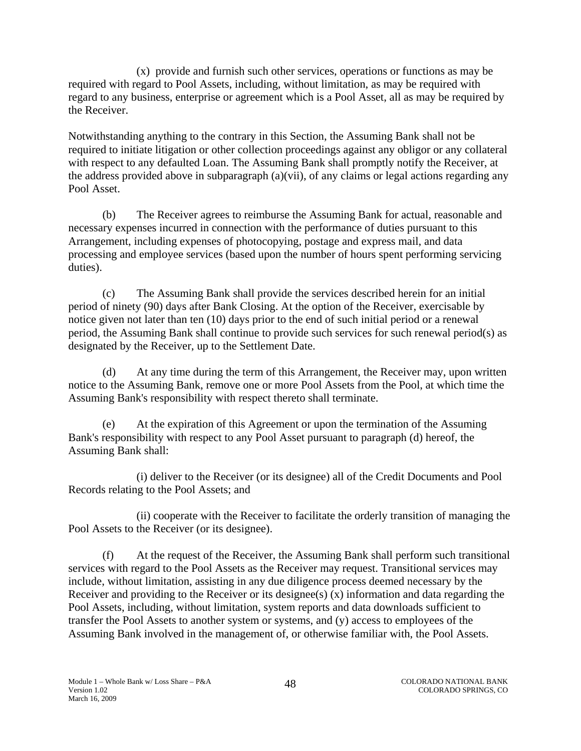(x) provide and furnish such other services, operations or functions as may be required with regard to Pool Assets, including, without limitation, as may be required with regard to any business, enterprise or agreement which is a Pool Asset, all as may be required by the Receiver.

Notwithstanding anything to the contrary in this Section, the Assuming Bank shall not be required to initiate litigation or other collection proceedings against any obligor or any collateral with respect to any defaulted Loan. The Assuming Bank shall promptly notify the Receiver, at the address provided above in subparagraph (a)(vii), of any claims or legal actions regarding any Pool Asset.

(b) The Receiver agrees to reimburse the Assuming Bank for actual, reasonable and necessary expenses incurred in connection with the performance of duties pursuant to this Arrangement, including expenses of photocopying, postage and express mail, and data processing and employee services (based upon the number of hours spent performing servicing duties).

(c) The Assuming Bank shall provide the services described herein for an initial period of ninety (90) days after Bank Closing. At the option of the Receiver, exercisable by notice given not later than ten (10) days prior to the end of such initial period or a renewal period, the Assuming Bank shall continue to provide such services for such renewal period(s) as designated by the Receiver, up to the Settlement Date.

(d) At any time during the term of this Arrangement, the Receiver may, upon written notice to the Assuming Bank, remove one or more Pool Assets from the Pool, at which time the Assuming Bank's responsibility with respect thereto shall terminate.

(e) At the expiration of this Agreement or upon the termination of the Assuming Bank's responsibility with respect to any Pool Asset pursuant to paragraph (d) hereof, the Assuming Bank shall:

(i) deliver to the Receiver (or its designee) all of the Credit Documents and Pool Records relating to the Pool Assets; and

(ii) cooperate with the Receiver to facilitate the orderly transition of managing the Pool Assets to the Receiver (or its designee).

(f) At the request of the Receiver, the Assuming Bank shall perform such transitional services with regard to the Pool Assets as the Receiver may request. Transitional services may include, without limitation, assisting in any due diligence process deemed necessary by the Receiver and providing to the Receiver or its designee(s) (x) information and data regarding the Pool Assets, including, without limitation, system reports and data downloads sufficient to transfer the Pool Assets to another system or systems, and (y) access to employees of the Assuming Bank involved in the management of, or otherwise familiar with, the Pool Assets.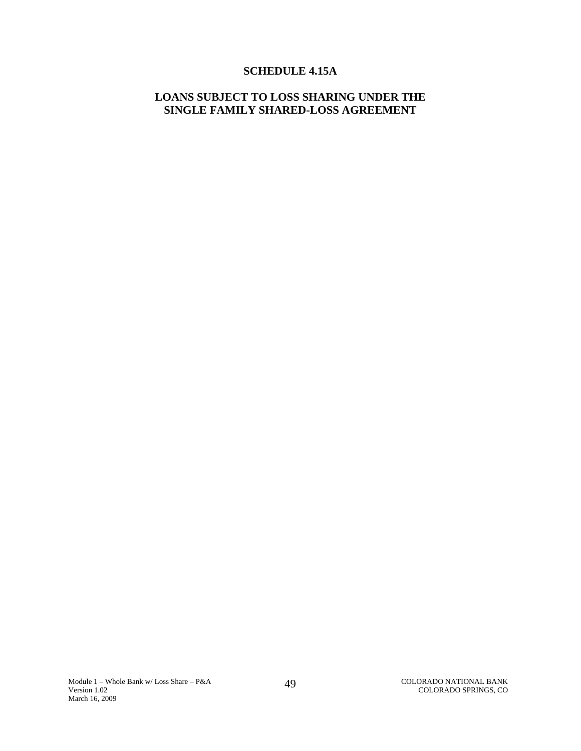#### **SCHEDULE 4.15A**

### **LOANS SUBJECT TO LOSS SHARING UNDER THE SINGLE FAMILY SHARED-LOSS AGREEMENT**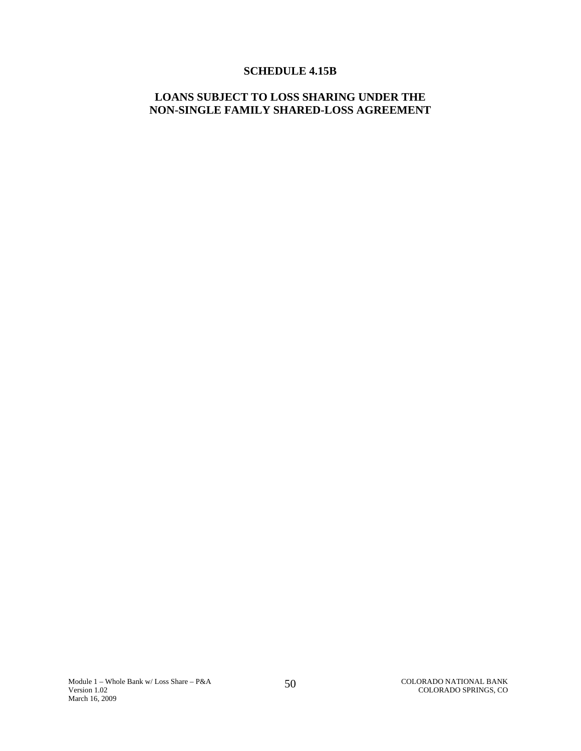#### **SCHEDULE 4.15B**

### **LOANS SUBJECT TO LOSS SHARING UNDER THE NON-SINGLE FAMILY SHARED-LOSS AGREEMENT**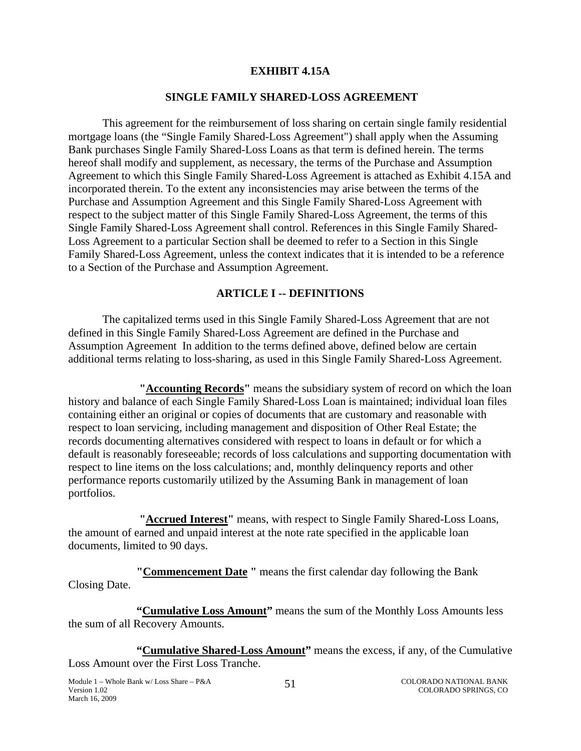#### **EXHIBIT 4.15A**

#### **SINGLE FAMILY SHARED-LOSS AGREEMENT**

This agreement for the reimbursement of loss sharing on certain single family residential mortgage loans (the "Single Family Shared-Loss Agreement") shall apply when the Assuming Bank purchases Single Family Shared-Loss Loans as that term is defined herein. The terms hereof shall modify and supplement, as necessary, the terms of the Purchase and Assumption Agreement to which this Single Family Shared-Loss Agreement is attached as Exhibit 4.15A and incorporated therein. To the extent any inconsistencies may arise between the terms of the Purchase and Assumption Agreement and this Single Family Shared-Loss Agreement with respect to the subject matter of this Single Family Shared-Loss Agreement, the terms of this Single Family Shared-Loss Agreement shall control. References in this Single Family Shared-Loss Agreement to a particular Section shall be deemed to refer to a Section in this Single Family Shared-Loss Agreement, unless the context indicates that it is intended to be a reference to a Section of the Purchase and Assumption Agreement.

#### **ARTICLE I -- DEFINITIONS**

The capitalized terms used in this Single Family Shared-Loss Agreement that are not defined in this Single Family Shared-Loss Agreement are defined in the Purchase and Assumption Agreement In addition to the terms defined above, defined below are certain additional terms relating to loss-sharing, as used in this Single Family Shared-Loss Agreement.

**"Accounting Records"** means the subsidiary system of record on which the loan history and balance of each Single Family Shared-Loss Loan is maintained; individual loan files containing either an original or copies of documents that are customary and reasonable with respect to loan servicing, including management and disposition of Other Real Estate; the records documenting alternatives considered with respect to loans in default or for which a default is reasonably foreseeable; records of loss calculations and supporting documentation with respect to line items on the loss calculations; and, monthly delinquency reports and other performance reports customarily utilized by the Assuming Bank in management of loan portfolios.

**"Accrued Interest"** means, with respect to Single Family Shared-Loss Loans, the amount of earned and unpaid interest at the note rate specified in the applicable loan documents, limited to 90 days.

**"Commencement Date "** means the first calendar day following the Bank Closing Date.

**"Cumulative Loss Amount"** means the sum of the Monthly Loss Amounts less the sum of all Recovery Amounts.

**"Cumulative Shared-Loss Amount"** means the excess, if any, of the Cumulative Loss Amount over the First Loss Tranche.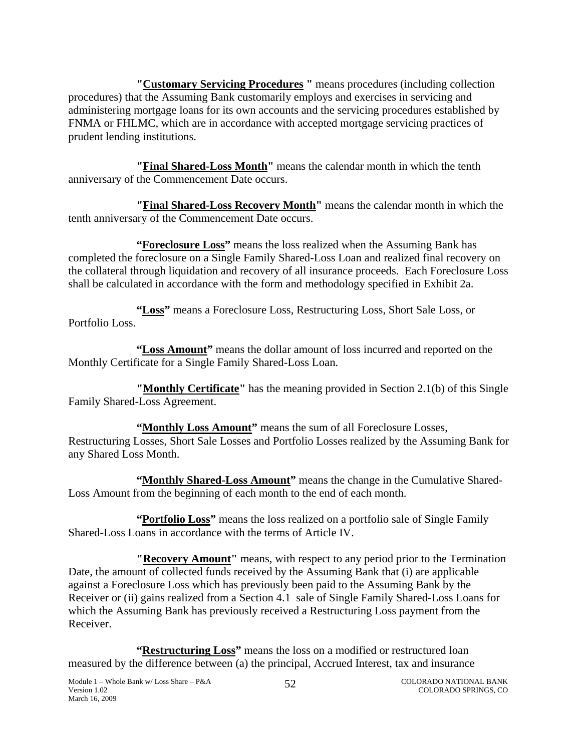**"Customary Servicing Procedures "** means procedures (including collection procedures) that the Assuming Bank customarily employs and exercises in servicing and administering mortgage loans for its own accounts and the servicing procedures established by FNMA or FHLMC, which are in accordance with accepted mortgage servicing practices of prudent lending institutions.

 anniversary of the Commencement Date occurs. **"Final Shared-Loss Month"** means the calendar month in which the tenth

**"Final Shared-Loss Recovery Month"** means the calendar month in which the tenth anniversary of the Commencement Date occurs.

**"Foreclosure Loss"** means the loss realized when the Assuming Bank has completed the foreclosure on a Single Family Shared-Loss Loan and realized final recovery on the collateral through liquidation and recovery of all insurance proceeds. Each Foreclosure Loss shall be calculated in accordance with the form and methodology specified in Exhibit 2a.

**"Loss"** means a Foreclosure Loss, Restructuring Loss, Short Sale Loss, or Portfolio Loss.

**"Loss Amount"** means the dollar amount of loss incurred and reported on the Monthly Certificate for a Single Family Shared-Loss Loan.

**"Monthly Certificate"** has the meaning provided in Section 2.1(b) of this Single Family Shared-Loss Agreement.

**"Monthly Loss Amount"** means the sum of all Foreclosure Losses, Restructuring Losses, Short Sale Losses and Portfolio Losses realized by the Assuming Bank for any Shared Loss Month.

**"Monthly Shared-Loss Amount"** means the change in the Cumulative Shared-Loss Amount from the beginning of each month to the end of each month.

**"Portfolio Loss"** means the loss realized on a portfolio sale of Single Family Shared-Loss Loans in accordance with the terms of Article IV.

**"Recovery Amount"** means, with respect to any period prior to the Termination Date, the amount of collected funds received by the Assuming Bank that (i) are applicable against a Foreclosure Loss which has previously been paid to the Assuming Bank by the Receiver or (ii) gains realized from a Section 4.1 sale of Single Family Shared-Loss Loans for which the Assuming Bank has previously received a Restructuring Loss payment from the Receiver.

"Restructuring Loss" means the loss on a modified or restructured loan measured by the difference between (a) the principal, Accrued Interest, tax and insurance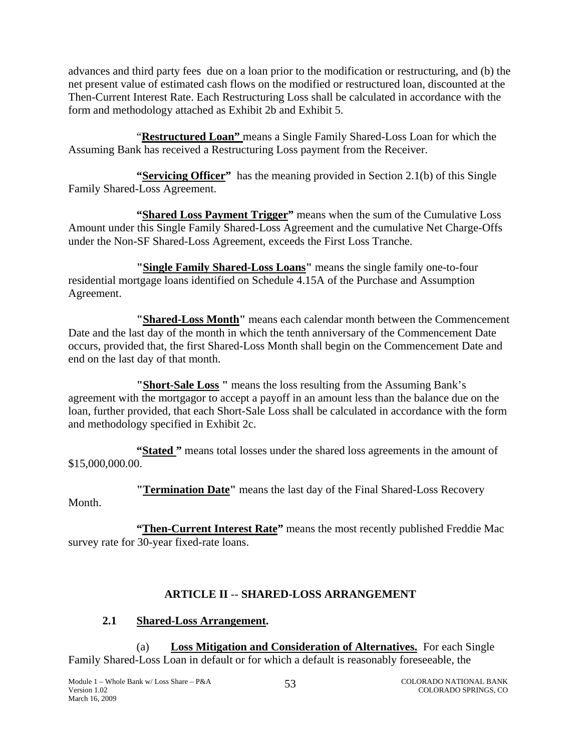advances and third party fees due on a loan prior to the modification or restructuring, and (b) the net present value of estimated cash flows on the modified or restructured loan, discounted at the Then-Current Interest Rate. Each Restructuring Loss shall be calculated in accordance with the form and methodology attached as Exhibit 2b and Exhibit 5.

"**Restructured Loan"** means a Single Family Shared-Loss Loan for which the Assuming Bank has received a Restructuring Loss payment from the Receiver.

**"Servicing Officer"** has the meaning provided in Section 2.1(b) of this Single Family Shared-Loss Agreement.

"Shared Loss Payment Trigger" means when the sum of the Cumulative Loss Amount under this Single Family Shared-Loss Agreement and the cumulative Net Charge-Offs under the Non-SF Shared-Loss Agreement, exceeds the First Loss Tranche.

**"Single Family Shared-Loss Loans"** means the single family one-to-four residential mortgage loans identified on Schedule 4.15A of the Purchase and Assumption Agreement.

**"Shared-Loss Month"** means each calendar month between the Commencement Date and the last day of the month in which the tenth anniversary of the Commencement Date occurs, provided that, the first Shared-Loss Month shall begin on the Commencement Date and end on the last day of that month.

**"Short-Sale Loss "** means the loss resulting from the Assuming Bank's agreement with the mortgagor to accept a payoff in an amount less than the balance due on the loan, further provided, that each Short-Sale Loss shall be calculated in accordance with the form and methodology specified in Exhibit 2c.

**"Stated "** means total losses under the shared loss agreements in the amount of \$15,000,000.00.

**"Termination Date"** means the last day of the Final Shared-Loss Recovery

Month.

**"Then-Current Interest Rate"** means the most recently published Freddie Mac survey rate for 30-year fixed-rate loans.

## **ARTICLE II** -- **SHARED-LOSS ARRANGEMENT**

## **2.1 Shared-Loss Arrangement.**

 (a) **Loss Mitigation and Consideration of Alternatives.** For each Single Family Shared-Loss Loan in default or for which a default is reasonably foreseeable, the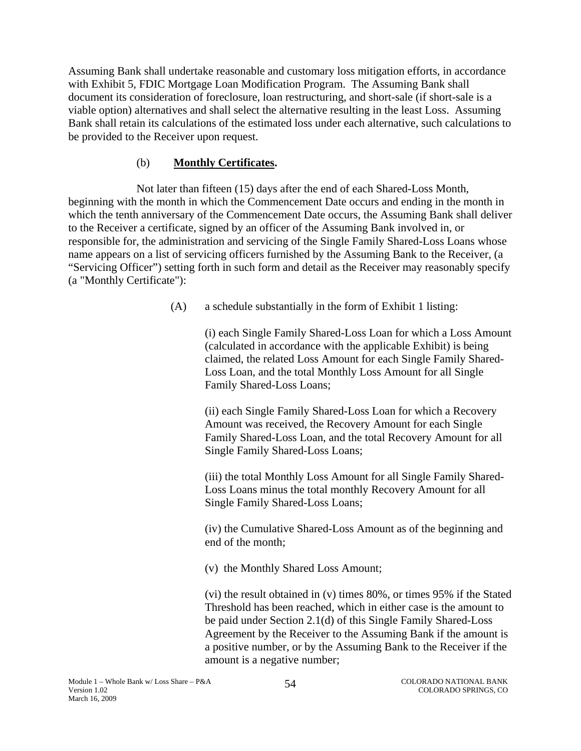Assuming Bank shall undertake reasonable and customary loss mitigation efforts, in accordance with Exhibit 5, FDIC Mortgage Loan Modification Program. The Assuming Bank shall document its consideration of foreclosure, loan restructuring, and short-sale (if short-sale is a viable option) alternatives and shall select the alternative resulting in the least Loss. Assuming Bank shall retain its calculations of the estimated loss under each alternative, such calculations to be provided to the Receiver upon request.

## (b) **Monthly Certificates.**

Not later than fifteen (15) days after the end of each Shared-Loss Month, beginning with the month in which the Commencement Date occurs and ending in the month in which the tenth anniversary of the Commencement Date occurs, the Assuming Bank shall deliver to the Receiver a certificate, signed by an officer of the Assuming Bank involved in, or responsible for, the administration and servicing of the Single Family Shared-Loss Loans whose name appears on a list of servicing officers furnished by the Assuming Bank to the Receiver, (a "Servicing Officer") setting forth in such form and detail as the Receiver may reasonably specify (a "Monthly Certificate"):

(A) a schedule substantially in the form of Exhibit 1 listing:

(i) each Single Family Shared-Loss Loan for which a Loss Amount (calculated in accordance with the applicable Exhibit) is being claimed, the related Loss Amount for each Single Family Shared-Loss Loan, and the total Monthly Loss Amount for all Single Family Shared-Loss Loans;

(ii) each Single Family Shared-Loss Loan for which a Recovery Amount was received, the Recovery Amount for each Single Family Shared-Loss Loan, and the total Recovery Amount for all Single Family Shared-Loss Loans;

(iii) the total Monthly Loss Amount for all Single Family Shared-Loss Loans minus the total monthly Recovery Amount for all Single Family Shared-Loss Loans;

(iv) the Cumulative Shared-Loss Amount as of the beginning and end of the month;

(v) the Monthly Shared Loss Amount;

(vi) the result obtained in (v) times 80%, or times 95% if the Stated Threshold has been reached, which in either case is the amount to be paid under Section 2.1(d) of this Single Family Shared-Loss Agreement by the Receiver to the Assuming Bank if the amount is a positive number, or by the Assuming Bank to the Receiver if the amount is a negative number;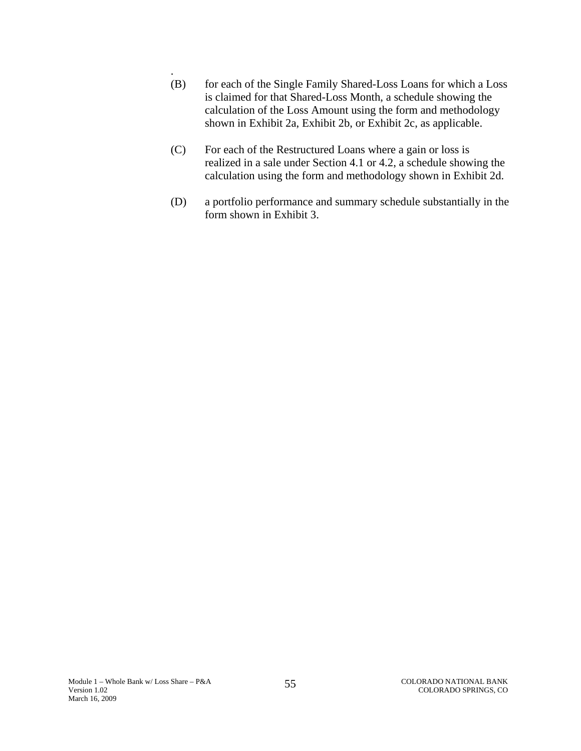- (B) for each of the Single Family Shared-Loss Loans for which a Loss is claimed for that Shared-Loss Month, a schedule showing the calculation of the Loss Amount using the form and methodology shown in Exhibit 2a, Exhibit 2b, or Exhibit 2c, as applicable.
- (C) For each of the Restructured Loans where a gain or loss is realized in a sale under Section 4.1 or 4.2, a schedule showing the calculation using the form and methodology shown in Exhibit 2d.
- (D) a portfolio performance and summary schedule substantially in the form shown in Exhibit 3.

.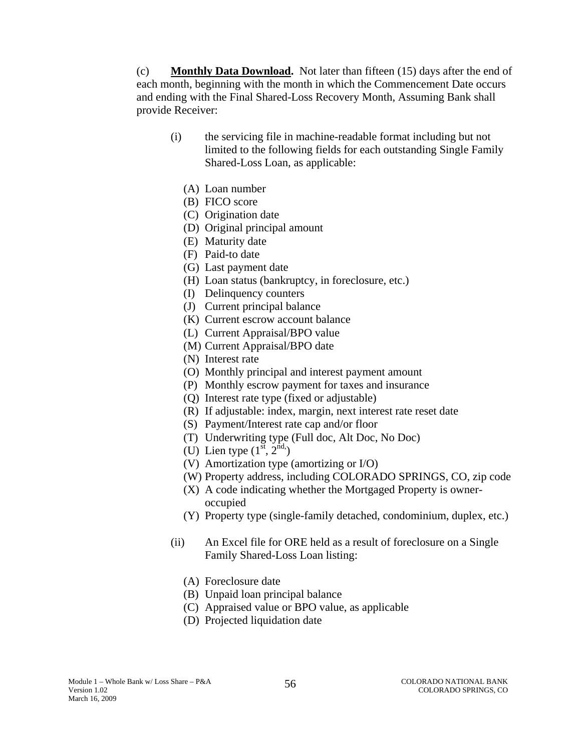(c) **Monthly Data Download.** Not later than fifteen (15) days after the end of each month, beginning with the month in which the Commencement Date occurs and ending with the Final Shared-Loss Recovery Month, Assuming Bank shall provide Receiver:

- (i) the servicing file in machine-readable format including but not limited to the following fields for each outstanding Single Family Shared-Loss Loan, as applicable:
	- (A) Loan number
	- (B) FICO score
	- (C) Origination date
	- (D) Original principal amount
	- (E) Maturity date
	- (F) Paid-to date
	- (G) Last payment date
	- (H) Loan status (bankruptcy, in foreclosure, etc.)
	- (I) Delinquency counters
	- (J) Current principal balance
	- (K) Current escrow account balance
	- (L) Current Appraisal/BPO value
	- (M) Current Appraisal/BPO date
	- (N) Interest rate
	- (O) Monthly principal and interest payment amount
	- (P) Monthly escrow payment for taxes and insurance
	- (Q) Interest rate type (fixed or adjustable)
	- (R) If adjustable: index, margin, next interest rate reset date
	- (S) Payment/Interest rate cap and/or floor
	- (T) Underwriting type (Full doc, Alt Doc, No Doc)
	- (U) Lien type  $(1<sup>st</sup>, 2<sup>nd</sup>)$
	- (V) Amortization type (amortizing or I/O)
	- (W) Property address, including COLORADO SPRINGS, CO, zip code
	- (X) A code indicating whether the Mortgaged Property is owneroccupied
	- (Y) Property type (single-family detached, condominium, duplex, etc.)
- (ii) An Excel file for ORE held as a result of foreclosure on a Single Family Shared-Loss Loan listing:
	- (A) Foreclosure date
	- (B) Unpaid loan principal balance
	- (C) Appraised value or BPO value, as applicable
	- (D) Projected liquidation date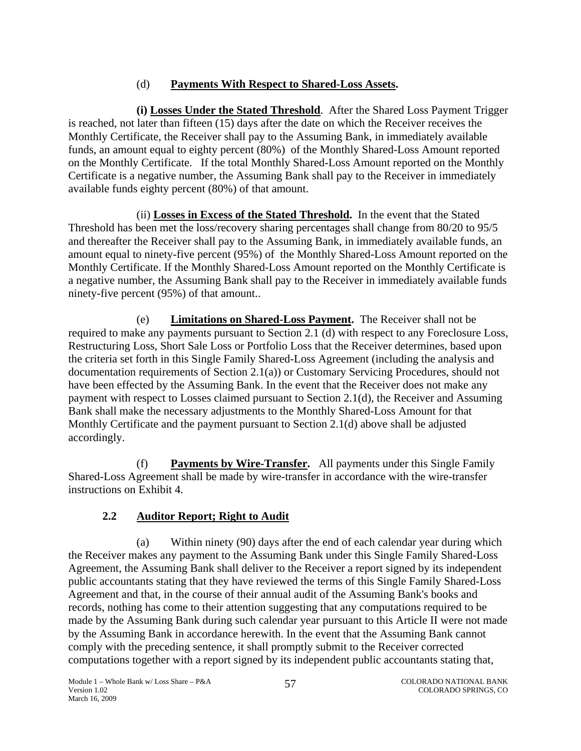## (d) **Payments With Respect to Shared-Loss Assets.**

**(i) Losses Under the Stated Threshold**. After the Shared Loss Payment Trigger is reached, not later than fifteen (15) days after the date on which the Receiver receives the Monthly Certificate, the Receiver shall pay to the Assuming Bank, in immediately available funds, an amount equal to eighty percent (80%) of the Monthly Shared-Loss Amount reported on the Monthly Certificate. If the total Monthly Shared-Loss Amount reported on the Monthly Certificate is a negative number, the Assuming Bank shall pay to the Receiver in immediately available funds eighty percent (80%) of that amount.

(ii) **Losses in Excess of the Stated Threshold.** In the event that the Stated Threshold has been met the loss/recovery sharing percentages shall change from 80/20 to 95/5 and thereafter the Receiver shall pay to the Assuming Bank, in immediately available funds, an amount equal to ninety-five percent (95%) of the Monthly Shared-Loss Amount reported on the Monthly Certificate. If the Monthly Shared-Loss Amount reported on the Monthly Certificate is a negative number, the Assuming Bank shall pay to the Receiver in immediately available funds ninety-five percent (95%) of that amount..

 accordingly. (e) **Limitations on Shared-Loss Payment.** The Receiver shall not be required to make any payments pursuant to Section 2.1 (d) with respect to any Foreclosure Loss, Restructuring Loss, Short Sale Loss or Portfolio Loss that the Receiver determines, based upon the criteria set forth in this Single Family Shared-Loss Agreement (including the analysis and documentation requirements of Section 2.1(a)) or Customary Servicing Procedures, should not have been effected by the Assuming Bank. In the event that the Receiver does not make any payment with respect to Losses claimed pursuant to Section 2.1(d), the Receiver and Assuming Bank shall make the necessary adjustments to the Monthly Shared-Loss Amount for that Monthly Certificate and the payment pursuant to Section 2.1(d) above shall be adjusted

 (f) **Payments by Wire-Transfer.** All payments under this Single Family Shared-Loss Agreement shall be made by wire-transfer in accordance with the wire-transfer instructions on Exhibit 4.

## **2.2 Auditor Report; Right to Audit**

(a) Within ninety (90) days after the end of each calendar year during which the Receiver makes any payment to the Assuming Bank under this Single Family Shared-Loss Agreement, the Assuming Bank shall deliver to the Receiver a report signed by its independent public accountants stating that they have reviewed the terms of this Single Family Shared-Loss Agreement and that, in the course of their annual audit of the Assuming Bank's books and records, nothing has come to their attention suggesting that any computations required to be made by the Assuming Bank during such calendar year pursuant to this Article II were not made by the Assuming Bank in accordance herewith. In the event that the Assuming Bank cannot comply with the preceding sentence, it shall promptly submit to the Receiver corrected computations together with a report signed by its independent public accountants stating that,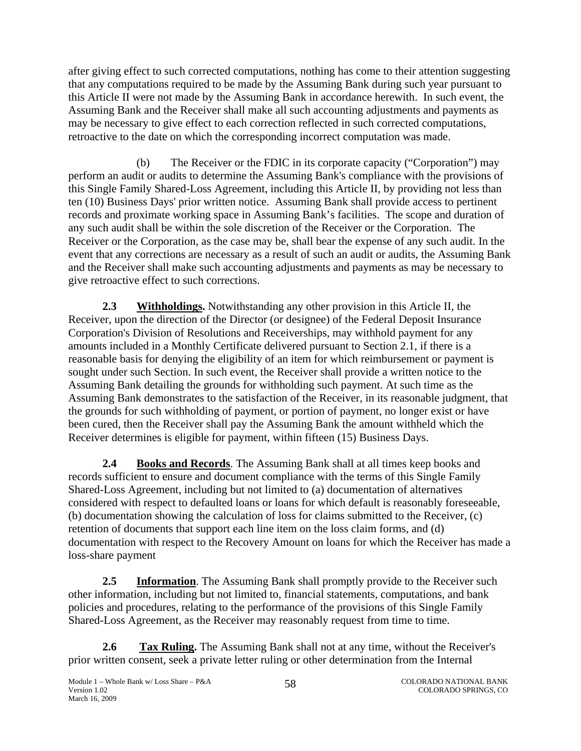after giving effect to such corrected computations, nothing has come to their attention suggesting that any computations required to be made by the Assuming Bank during such year pursuant to this Article II were not made by the Assuming Bank in accordance herewith. In such event, the Assuming Bank and the Receiver shall make all such accounting adjustments and payments as may be necessary to give effect to each correction reflected in such corrected computations, retroactive to the date on which the corresponding incorrect computation was made.

(b) The Receiver or the FDIC in its corporate capacity ("Corporation") may perform an audit or audits to determine the Assuming Bank's compliance with the provisions of this Single Family Shared-Loss Agreement, including this Article II, by providing not less than ten (10) Business Days' prior written notice. Assuming Bank shall provide access to pertinent records and proximate working space in Assuming Bank's facilities. The scope and duration of any such audit shall be within the sole discretion of the Receiver or the Corporation. The Receiver or the Corporation, as the case may be, shall bear the expense of any such audit. In the event that any corrections are necessary as a result of such an audit or audits, the Assuming Bank and the Receiver shall make such accounting adjustments and payments as may be necessary to give retroactive effect to such corrections.

**2.3 Withholdings.** Notwithstanding any other provision in this Article II, the Receiver, upon the direction of the Director (or designee) of the Federal Deposit Insurance Corporation's Division of Resolutions and Receiverships, may withhold payment for any amounts included in a Monthly Certificate delivered pursuant to Section 2.1, if there is a reasonable basis for denying the eligibility of an item for which reimbursement or payment is sought under such Section. In such event, the Receiver shall provide a written notice to the Assuming Bank detailing the grounds for withholding such payment. At such time as the Assuming Bank demonstrates to the satisfaction of the Receiver, in its reasonable judgment, that the grounds for such withholding of payment, or portion of payment, no longer exist or have been cured, then the Receiver shall pay the Assuming Bank the amount withheld which the Receiver determines is eligible for payment, within fifteen (15) Business Days.

**2.4 Books and Records**. The Assuming Bank shall at all times keep books and records sufficient to ensure and document compliance with the terms of this Single Family Shared-Loss Agreement, including but not limited to (a) documentation of alternatives considered with respect to defaulted loans or loans for which default is reasonably foreseeable, (b) documentation showing the calculation of loss for claims submitted to the Receiver, (c) retention of documents that support each line item on the loss claim forms, and (d) documentation with respect to the Recovery Amount on loans for which the Receiver has made a loss-share payment

**2.5 Information**. The Assuming Bank shall promptly provide to the Receiver such other information, including but not limited to, financial statements, computations, and bank policies and procedures, relating to the performance of the provisions of this Single Family Shared-Loss Agreement, as the Receiver may reasonably request from time to time.

**2.6 Tax Ruling.** The Assuming Bank shall not at any time, without the Receiver's prior written consent, seek a private letter ruling or other determination from the Internal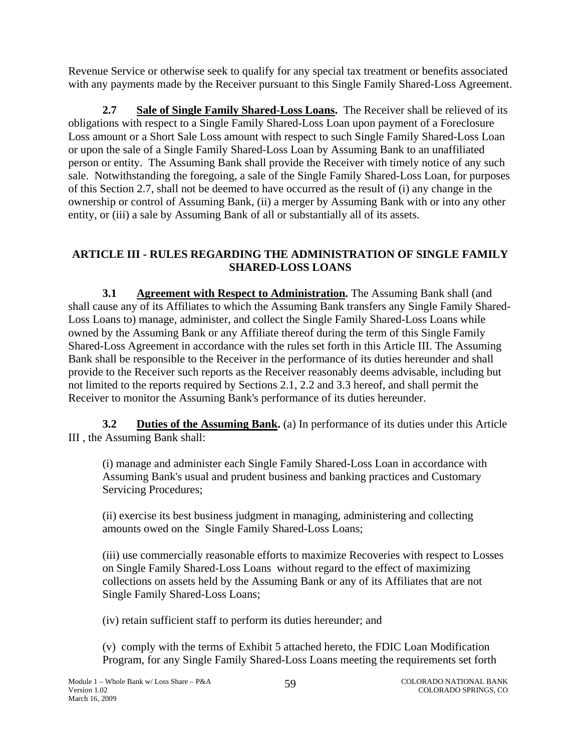Revenue Service or otherwise seek to qualify for any special tax treatment or benefits associated with any payments made by the Receiver pursuant to this Single Family Shared-Loss Agreement.

**2.7 Sale of Single Family Shared-Loss Loans.** The Receiver shall be relieved of its obligations with respect to a Single Family Shared-Loss Loan upon payment of a Foreclosure Loss amount or a Short Sale Loss amount with respect to such Single Family Shared-Loss Loan or upon the sale of a Single Family Shared-Loss Loan by Assuming Bank to an unaffiliated person or entity. The Assuming Bank shall provide the Receiver with timely notice of any such sale. Notwithstanding the foregoing, a sale of the Single Family Shared-Loss Loan, for purposes of this Section 2.7, shall not be deemed to have occurred as the result of (i) any change in the ownership or control of Assuming Bank, (ii) a merger by Assuming Bank with or into any other entity, or (iii) a sale by Assuming Bank of all or substantially all of its assets.

## **ARTICLE III - RULES REGARDING THE ADMINISTRATION OF SINGLE FAMILY SHARED-LOSS LOANS**

**3.1 Agreement with Respect to Administration.** The Assuming Bank shall (and shall cause any of its Affiliates to which the Assuming Bank transfers any Single Family Shared-Loss Loans to) manage, administer, and collect the Single Family Shared-Loss Loans while owned by the Assuming Bank or any Affiliate thereof during the term of this Single Family Shared-Loss Agreement in accordance with the rules set forth in this Article III. The Assuming Bank shall be responsible to the Receiver in the performance of its duties hereunder and shall provide to the Receiver such reports as the Receiver reasonably deems advisable, including but not limited to the reports required by Sections 2.1, 2.2 and 3.3 hereof, and shall permit the Receiver to monitor the Assuming Bank's performance of its duties hereunder.

**3.2 Duties of the Assuming Bank.** (a) In performance of its duties under this Article III , the Assuming Bank shall:

(i) manage and administer each Single Family Shared-Loss Loan in accordance with Assuming Bank's usual and prudent business and banking practices and Customary Servicing Procedures;

(ii) exercise its best business judgment in managing, administering and collecting amounts owed on the Single Family Shared-Loss Loans;

(iii) use commercially reasonable efforts to maximize Recoveries with respect to Losses on Single Family Shared-Loss Loans without regard to the effect of maximizing collections on assets held by the Assuming Bank or any of its Affiliates that are not Single Family Shared-Loss Loans;

(iv) retain sufficient staff to perform its duties hereunder; and

(v) comply with the terms of Exhibit 5 attached hereto, the FDIC Loan Modification Program, for any Single Family Shared-Loss Loans meeting the requirements set forth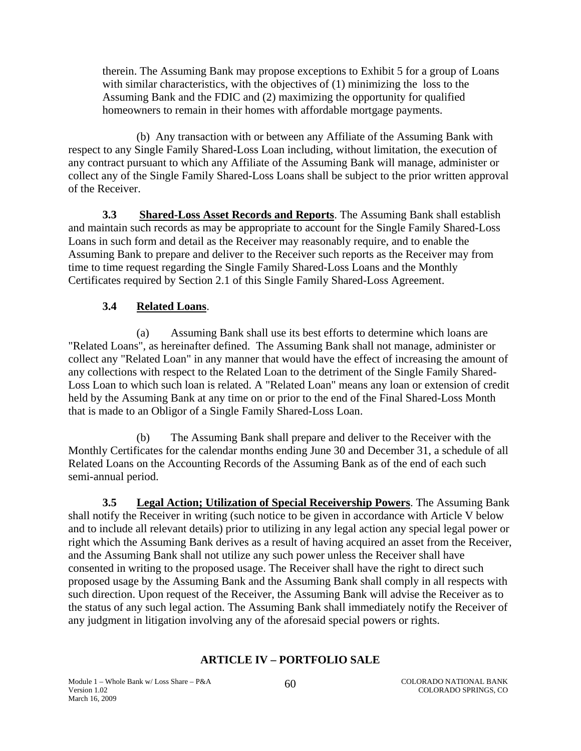therein. The Assuming Bank may propose exceptions to Exhibit 5 for a group of Loans with similar characteristics, with the objectives of (1) minimizing the loss to the Assuming Bank and the FDIC and (2) maximizing the opportunity for qualified homeowners to remain in their homes with affordable mortgage payments.

(b) Any transaction with or between any Affiliate of the Assuming Bank with respect to any Single Family Shared-Loss Loan including, without limitation, the execution of any contract pursuant to which any Affiliate of the Assuming Bank will manage, administer or collect any of the Single Family Shared-Loss Loans shall be subject to the prior written approval of the Receiver.

**3.3 Shared-Loss Asset Records and Reports**. The Assuming Bank shall establish and maintain such records as may be appropriate to account for the Single Family Shared-Loss Loans in such form and detail as the Receiver may reasonably require, and to enable the Assuming Bank to prepare and deliver to the Receiver such reports as the Receiver may from time to time request regarding the Single Family Shared-Loss Loans and the Monthly Certificates required by Section 2.1 of this Single Family Shared-Loss Agreement.

### **3.4 Related Loans**.

(a) Assuming Bank shall use its best efforts to determine which loans are "Related Loans", as hereinafter defined. The Assuming Bank shall not manage, administer or collect any "Related Loan" in any manner that would have the effect of increasing the amount of any collections with respect to the Related Loan to the detriment of the Single Family Shared-Loss Loan to which such loan is related. A "Related Loan" means any loan or extension of credit held by the Assuming Bank at any time on or prior to the end of the Final Shared-Loss Month that is made to an Obligor of a Single Family Shared-Loss Loan.

(b) The Assuming Bank shall prepare and deliver to the Receiver with the Monthly Certificates for the calendar months ending June 30 and December 31, a schedule of all Related Loans on the Accounting Records of the Assuming Bank as of the end of each such semi-annual period.

**3.5 Legal Action; Utilization of Special Receivership Powers**. The Assuming Bank shall notify the Receiver in writing (such notice to be given in accordance with Article V below and to include all relevant details) prior to utilizing in any legal action any special legal power or right which the Assuming Bank derives as a result of having acquired an asset from the Receiver, and the Assuming Bank shall not utilize any such power unless the Receiver shall have consented in writing to the proposed usage. The Receiver shall have the right to direct such proposed usage by the Assuming Bank and the Assuming Bank shall comply in all respects with such direction. Upon request of the Receiver, the Assuming Bank will advise the Receiver as to the status of any such legal action. The Assuming Bank shall immediately notify the Receiver of any judgment in litigation involving any of the aforesaid special powers or rights.

### **ARTICLE IV – PORTFOLIO SALE**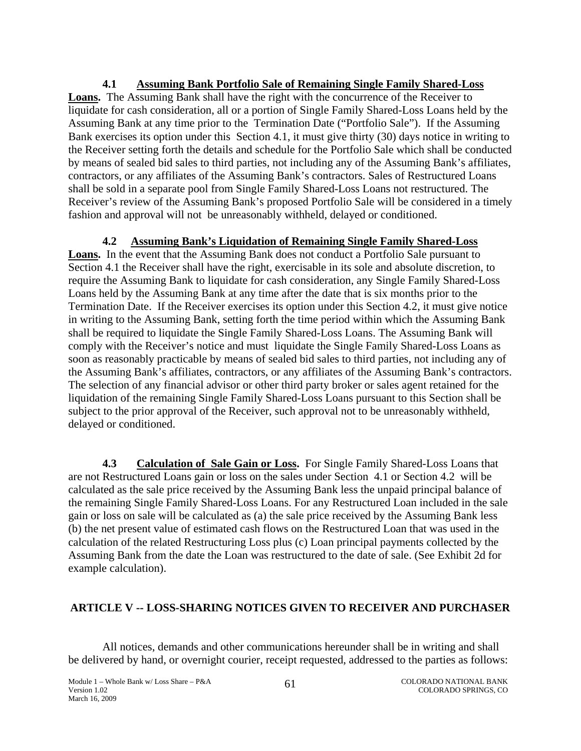**4.1 Assuming Bank Portfolio Sale of Remaining Single Family Shared-Loss Loans.** The Assuming Bank shall have the right with the concurrence of the Receiver to liquidate for cash consideration, all or a portion of Single Family Shared-Loss Loans held by the Assuming Bank at any time prior to the Termination Date ("Portfolio Sale"). If the Assuming Bank exercises its option under this Section 4.1, it must give thirty (30) days notice in writing to the Receiver setting forth the details and schedule for the Portfolio Sale which shall be conducted by means of sealed bid sales to third parties, not including any of the Assuming Bank's affiliates, contractors, or any affiliates of the Assuming Bank's contractors. Sales of Restructured Loans shall be sold in a separate pool from Single Family Shared-Loss Loans not restructured. The Receiver's review of the Assuming Bank's proposed Portfolio Sale will be considered in a timely fashion and approval will not be unreasonably withheld, delayed or conditioned.

## **4.2 Assuming Bank's Liquidation of Remaining Single Family Shared-Loss**

**Loans.** In the event that the Assuming Bank does not conduct a Portfolio Sale pursuant to Section 4.1 the Receiver shall have the right, exercisable in its sole and absolute discretion, to require the Assuming Bank to liquidate for cash consideration, any Single Family Shared-Loss Loans held by the Assuming Bank at any time after the date that is six months prior to the Termination Date. If the Receiver exercises its option under this Section 4.2, it must give notice in writing to the Assuming Bank, setting forth the time period within which the Assuming Bank shall be required to liquidate the Single Family Shared-Loss Loans. The Assuming Bank will comply with the Receiver's notice and must liquidate the Single Family Shared-Loss Loans as soon as reasonably practicable by means of sealed bid sales to third parties, not including any of the Assuming Bank's affiliates, contractors, or any affiliates of the Assuming Bank's contractors. The selection of any financial advisor or other third party broker or sales agent retained for the liquidation of the remaining Single Family Shared-Loss Loans pursuant to this Section shall be subject to the prior approval of the Receiver, such approval not to be unreasonably withheld, delayed or conditioned.

**4.3 Calculation of Sale Gain or Loss.** For Single Family Shared-Loss Loans that are not Restructured Loans gain or loss on the sales under Section 4.1 or Section 4.2 will be calculated as the sale price received by the Assuming Bank less the unpaid principal balance of the remaining Single Family Shared-Loss Loans. For any Restructured Loan included in the sale gain or loss on sale will be calculated as (a) the sale price received by the Assuming Bank less (b) the net present value of estimated cash flows on the Restructured Loan that was used in the calculation of the related Restructuring Loss plus (c) Loan principal payments collected by the Assuming Bank from the date the Loan was restructured to the date of sale. (See Exhibit 2d for example calculation).

## **ARTICLE V -- LOSS-SHARING NOTICES GIVEN TO RECEIVER AND PURCHASER**

All notices, demands and other communications hereunder shall be in writing and shall be delivered by hand, or overnight courier, receipt requested, addressed to the parties as follows: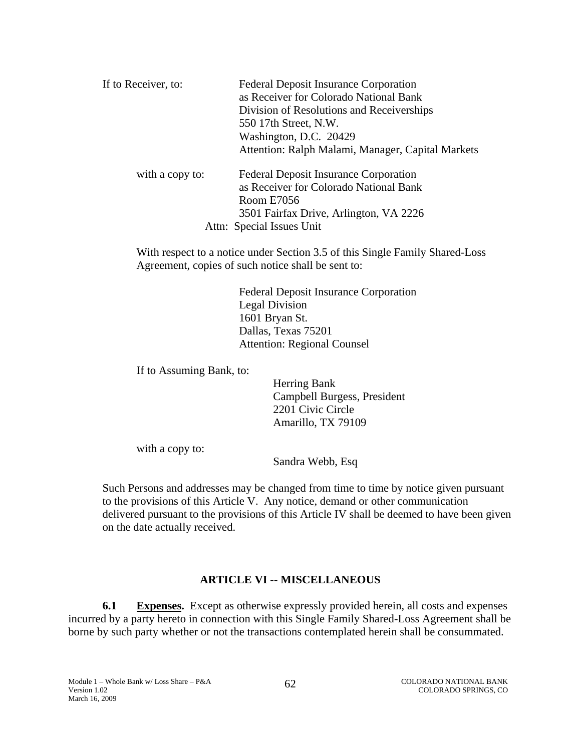| If to Receiver, to: | <b>Federal Deposit Insurance Corporation</b>      |
|---------------------|---------------------------------------------------|
|                     | as Receiver for Colorado National Bank            |
|                     | Division of Resolutions and Receiverships         |
|                     | 550 17th Street, N.W.                             |
|                     | Washington, D.C. 20429                            |
|                     | Attention: Ralph Malami, Manager, Capital Markets |
| with a copy to:     | <b>Federal Deposit Insurance Corporation</b>      |
|                     | as Receiver for Colorado National Bank            |
|                     | Room E7056                                        |
|                     | 3501 Fairfax Drive, Arlington, VA 2226            |
|                     | Attn: Special Issues Unit                         |
|                     |                                                   |

With respect to a notice under Section 3.5 of this Single Family Shared-Loss Agreement, copies of such notice shall be sent to:

> Federal Deposit Insurance Corporation Legal Division 1601 Bryan St. Dallas, Texas 75201 Attention: Regional Counsel

If to Assuming Bank, to:

Herring Bank Campbell Burgess, President 2201 Civic Circle Amarillo, TX 79109

with a copy to:

Sandra Webb, Esq

Such Persons and addresses may be changed from time to time by notice given pursuant to the provisions of this Article V. Any notice, demand or other communication delivered pursuant to the provisions of this Article IV shall be deemed to have been given on the date actually received.

### **ARTICLE VI -- MISCELLANEOUS**

**6.1 Expenses.** Except as otherwise expressly provided herein, all costs and expenses incurred by a party hereto in connection with this Single Family Shared-Loss Agreement shall be borne by such party whether or not the transactions contemplated herein shall be consummated.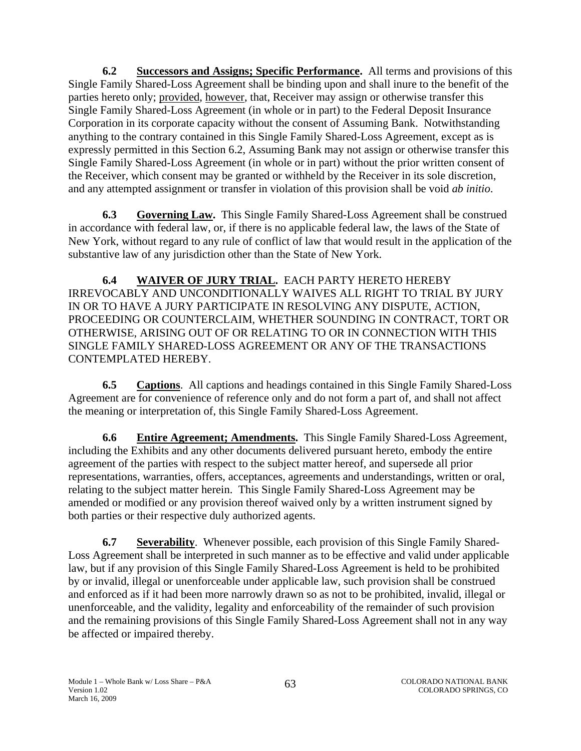**6.2 Successors and Assigns; Specific Performance.** All terms and provisions of this Single Family Shared-Loss Agreement shall be binding upon and shall inure to the benefit of the parties hereto only; provided, however, that, Receiver may assign or otherwise transfer this Single Family Shared-Loss Agreement (in whole or in part) to the Federal Deposit Insurance Corporation in its corporate capacity without the consent of Assuming Bank. Notwithstanding anything to the contrary contained in this Single Family Shared-Loss Agreement, except as is expressly permitted in this Section 6.2, Assuming Bank may not assign or otherwise transfer this Single Family Shared-Loss Agreement (in whole or in part) without the prior written consent of the Receiver, which consent may be granted or withheld by the Receiver in its sole discretion, and any attempted assignment or transfer in violation of this provision shall be void *ab initio*.

**6.3 Governing Law.** This Single Family Shared-Loss Agreement shall be construed in accordance with federal law, or, if there is no applicable federal law, the laws of the State of New York, without regard to any rule of conflict of law that would result in the application of the substantive law of any jurisdiction other than the State of New York.

**6.4 WAIVER OF JURY TRIAL.** EACH PARTY HERETO HEREBY IRREVOCABLY AND UNCONDITIONALLY WAIVES ALL RIGHT TO TRIAL BY JURY IN OR TO HAVE A JURY PARTICIPATE IN RESOLVING ANY DISPUTE, ACTION, PROCEEDING OR COUNTERCLAIM, WHETHER SOUNDING IN CONTRACT, TORT OR OTHERWISE, ARISING OUT OF OR RELATING TO OR IN CONNECTION WITH THIS SINGLE FAMILY SHARED-LOSS AGREEMENT OR ANY OF THE TRANSACTIONS CONTEMPLATED HEREBY.

**6.5 Captions**. All captions and headings contained in this Single Family Shared-Loss Agreement are for convenience of reference only and do not form a part of, and shall not affect the meaning or interpretation of, this Single Family Shared-Loss Agreement.

**6.6 Entire Agreement; Amendments.** This Single Family Shared-Loss Agreement, including the Exhibits and any other documents delivered pursuant hereto, embody the entire agreement of the parties with respect to the subject matter hereof, and supersede all prior representations, warranties, offers, acceptances, agreements and understandings, written or oral, relating to the subject matter herein. This Single Family Shared-Loss Agreement may be amended or modified or any provision thereof waived only by a written instrument signed by both parties or their respective duly authorized agents.

**6.7 Severability**. Whenever possible, each provision of this Single Family Shared-Loss Agreement shall be interpreted in such manner as to be effective and valid under applicable law, but if any provision of this Single Family Shared-Loss Agreement is held to be prohibited by or invalid, illegal or unenforceable under applicable law, such provision shall be construed and enforced as if it had been more narrowly drawn so as not to be prohibited, invalid, illegal or unenforceable, and the validity, legality and enforceability of the remainder of such provision and the remaining provisions of this Single Family Shared-Loss Agreement shall not in any way be affected or impaired thereby.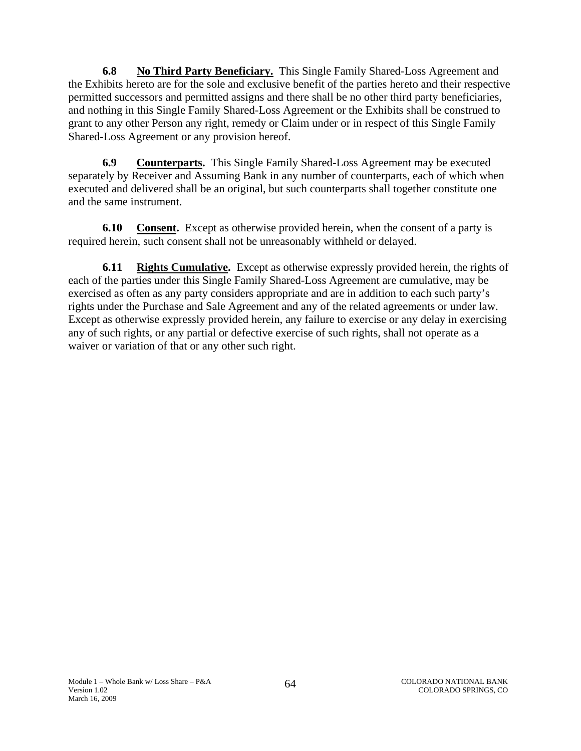**6.8 No Third Party Beneficiary.** This Single Family Shared-Loss Agreement and the Exhibits hereto are for the sole and exclusive benefit of the parties hereto and their respective permitted successors and permitted assigns and there shall be no other third party beneficiaries, and nothing in this Single Family Shared-Loss Agreement or the Exhibits shall be construed to grant to any other Person any right, remedy or Claim under or in respect of this Single Family Shared-Loss Agreement or any provision hereof.

**6.9 Counterparts.** This Single Family Shared-Loss Agreement may be executed separately by Receiver and Assuming Bank in any number of counterparts, each of which when executed and delivered shall be an original, but such counterparts shall together constitute one and the same instrument.

**6.10** Consent. Except as otherwise provided herein, when the consent of a party is required herein, such consent shall not be unreasonably withheld or delayed.

**6.11 Rights Cumulative.** Except as otherwise expressly provided herein, the rights of each of the parties under this Single Family Shared-Loss Agreement are cumulative, may be exercised as often as any party considers appropriate and are in addition to each such party's rights under the Purchase and Sale Agreement and any of the related agreements or under law. Except as otherwise expressly provided herein, any failure to exercise or any delay in exercising any of such rights, or any partial or defective exercise of such rights, shall not operate as a waiver or variation of that or any other such right.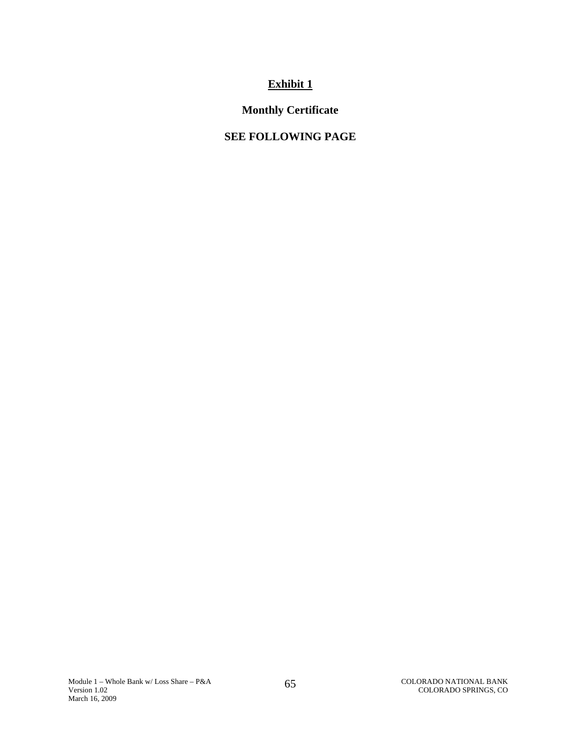## **Exhibit 1**

## **Monthly Certificate**

## **SEE FOLLOWING PAGE**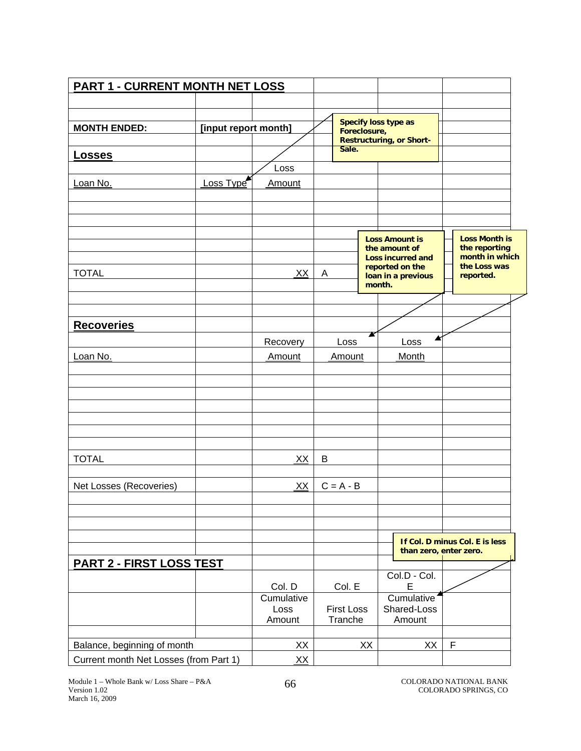| <b>PART 1 - CURRENT MONTH NET LOSS</b> |                      |            |        |                   |       |                                       |                                |
|----------------------------------------|----------------------|------------|--------|-------------------|-------|---------------------------------------|--------------------------------|
|                                        |                      |            |        |                   |       |                                       |                                |
|                                        |                      |            |        |                   |       |                                       |                                |
| <b>MONTH ENDED:</b>                    | [input report month] |            |        | Foreclosure,      |       | Specify loss type as                  |                                |
|                                        |                      |            |        |                   |       | <b>Restructuring, or Short-</b>       |                                |
| <b>Losses</b>                          |                      |            |        | Sale.             |       |                                       |                                |
|                                        |                      | Loss       |        |                   |       |                                       |                                |
| Loan No.                               | Loss Type            | Amount     |        |                   |       |                                       |                                |
|                                        |                      |            |        |                   |       |                                       |                                |
|                                        |                      |            |        |                   |       |                                       |                                |
|                                        |                      |            |        |                   |       |                                       |                                |
|                                        |                      |            |        |                   |       | <b>Loss Amount is</b>                 | <b>Loss Month is</b>           |
|                                        |                      |            |        |                   |       | the amount of                         | the reporting                  |
|                                        |                      |            |        |                   |       | <b>Loss incurred and</b>              | month in which<br>the Loss was |
| <b>TOTAL</b>                           |                      | XX         | Α      |                   |       | reported on the<br>loan in a previous | reported.                      |
|                                        |                      |            |        |                   |       | month.                                |                                |
|                                        |                      |            |        |                   |       |                                       |                                |
|                                        |                      |            |        |                   |       |                                       |                                |
| <b>Recoveries</b>                      |                      |            |        |                   |       |                                       |                                |
|                                        |                      | Recovery   |        | Loss              |       | ◢<br>Loss                             |                                |
| Loan No.                               |                      | Amount     | Amount |                   | Month |                                       |                                |
|                                        |                      |            |        |                   |       |                                       |                                |
|                                        |                      |            |        |                   |       |                                       |                                |
|                                        |                      |            |        |                   |       |                                       |                                |
|                                        |                      |            |        |                   |       |                                       |                                |
|                                        |                      |            |        |                   |       |                                       |                                |
|                                        |                      |            |        |                   |       |                                       |                                |
|                                        |                      |            |        |                   |       |                                       |                                |
| <b>TOTAL</b>                           |                      | XX         | B      |                   |       |                                       |                                |
|                                        |                      |            |        |                   |       |                                       |                                |
| Net Losses (Recoveries)                |                      | X X        |        | $C = A - B$       |       |                                       |                                |
|                                        |                      |            |        |                   |       |                                       |                                |
|                                        |                      |            |        |                   |       |                                       |                                |
|                                        |                      |            |        |                   |       |                                       |                                |
|                                        |                      |            |        |                   |       |                                       | If Col. D minus Col. E is less |
| <b>PART 2 - FIRST LOSS TEST</b>        |                      |            |        |                   |       |                                       | than zero, enter zero.         |
|                                        |                      |            |        |                   |       | $Col.D$ - $Col.$                      |                                |
|                                        |                      | Col. D     |        | Col. E            |       | E                                     |                                |
|                                        |                      | Cumulative |        |                   |       | Cumulative                            |                                |
|                                        |                      | Loss       |        | <b>First Loss</b> |       | Shared-Loss                           |                                |
|                                        |                      | Amount     |        | Tranche           |       | Amount                                |                                |
| Balance, beginning of month            |                      | XX         |        |                   | XX    | XX                                    | F                              |
|                                        |                      |            |        |                   |       |                                       |                                |
| Current month Net Losses (from Part 1) |                      | XX         |        |                   |       |                                       |                                |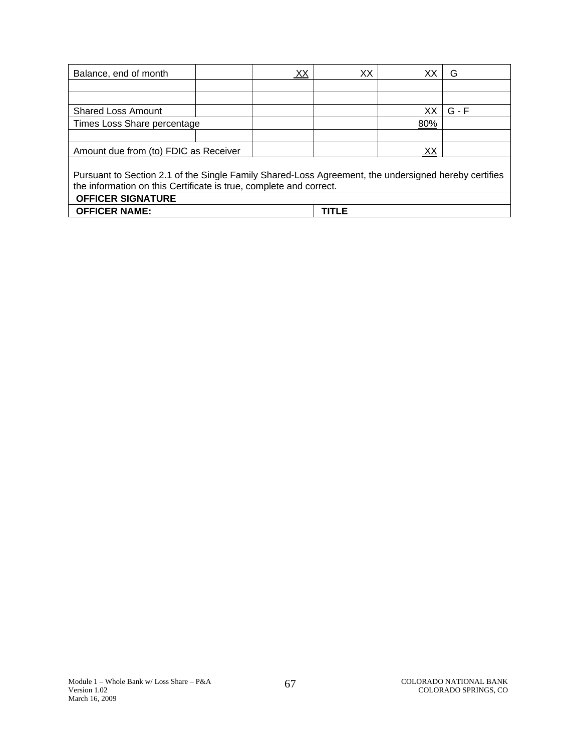| Balance, end of month                                                                                                                                                      |              | XX | XХ |     | G       |  |  |
|----------------------------------------------------------------------------------------------------------------------------------------------------------------------------|--------------|----|----|-----|---------|--|--|
|                                                                                                                                                                            |              |    |    |     |         |  |  |
|                                                                                                                                                                            |              |    |    |     |         |  |  |
| <b>Shared Loss Amount</b>                                                                                                                                                  |              |    |    | xх  | $G - F$ |  |  |
| Times Loss Share percentage                                                                                                                                                |              |    |    | 80% |         |  |  |
|                                                                                                                                                                            |              |    |    |     |         |  |  |
| Amount due from (to) FDIC as Receiver                                                                                                                                      |              |    | XX |     |         |  |  |
| Pursuant to Section 2.1 of the Single Family Shared-Loss Agreement, the undersigned hereby certifies<br>the information on this Certificate is true, complete and correct. |              |    |    |     |         |  |  |
| <b>OFFICER SIGNATURE</b>                                                                                                                                                   |              |    |    |     |         |  |  |
| <b>OFFICER NAME:</b>                                                                                                                                                       | <b>TITLE</b> |    |    |     |         |  |  |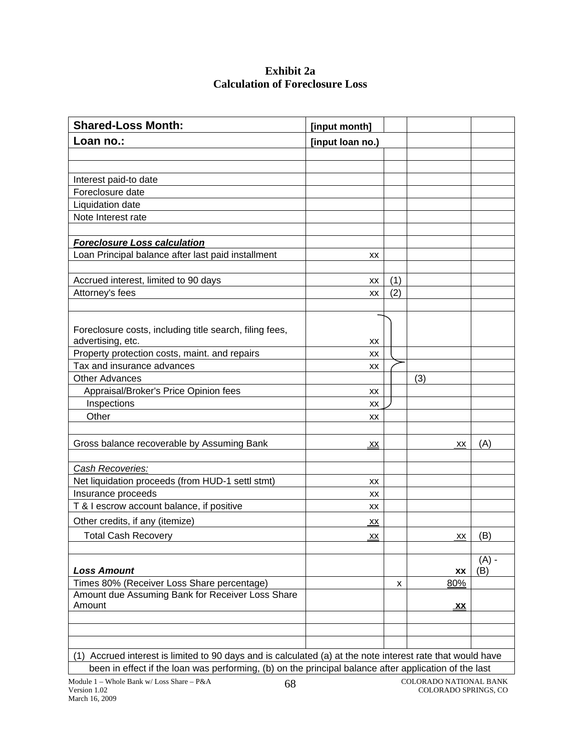## **Exhibit 2a Calculation of Foreclosure Loss**

| <b>Shared-Loss Month:</b>                                                                                  | [input month]    |     |           |         |  |  |  |  |
|------------------------------------------------------------------------------------------------------------|------------------|-----|-----------|---------|--|--|--|--|
| Loan no.:                                                                                                  | [input loan no.) |     |           |         |  |  |  |  |
|                                                                                                            |                  |     |           |         |  |  |  |  |
|                                                                                                            |                  |     |           |         |  |  |  |  |
| Interest paid-to date                                                                                      |                  |     |           |         |  |  |  |  |
| Foreclosure date                                                                                           |                  |     |           |         |  |  |  |  |
| Liquidation date                                                                                           |                  |     |           |         |  |  |  |  |
| Note Interest rate                                                                                         |                  |     |           |         |  |  |  |  |
|                                                                                                            |                  |     |           |         |  |  |  |  |
| <b>Foreclosure Loss calculation</b>                                                                        |                  |     |           |         |  |  |  |  |
| Loan Principal balance after last paid installment                                                         | XX               |     |           |         |  |  |  |  |
|                                                                                                            |                  |     |           |         |  |  |  |  |
| Accrued interest, limited to 90 days                                                                       | XX               | (1) |           |         |  |  |  |  |
| Attorney's fees                                                                                            | XX               | (2) |           |         |  |  |  |  |
|                                                                                                            |                  |     |           |         |  |  |  |  |
|                                                                                                            |                  |     |           |         |  |  |  |  |
| Foreclosure costs, including title search, filing fees,                                                    |                  |     |           |         |  |  |  |  |
| advertising, etc.                                                                                          | XX               |     |           |         |  |  |  |  |
| Property protection costs, maint. and repairs                                                              | XX               |     |           |         |  |  |  |  |
| Tax and insurance advances                                                                                 | XX               |     |           |         |  |  |  |  |
| <b>Other Advances</b>                                                                                      |                  |     | (3)       |         |  |  |  |  |
| Appraisal/Broker's Price Opinion fees                                                                      | XX               |     |           |         |  |  |  |  |
| Inspections                                                                                                | XX               |     |           |         |  |  |  |  |
| Other                                                                                                      | XX               |     |           |         |  |  |  |  |
|                                                                                                            |                  |     |           |         |  |  |  |  |
| Gross balance recoverable by Assuming Bank                                                                 | <u>XX</u>        |     | ХX        | (A)     |  |  |  |  |
|                                                                                                            |                  |     |           |         |  |  |  |  |
| Cash Recoveries:                                                                                           |                  |     |           |         |  |  |  |  |
| Net liquidation proceeds (from HUD-1 settl stmt)                                                           | XX               |     |           |         |  |  |  |  |
| Insurance proceeds                                                                                         | XX               |     |           |         |  |  |  |  |
| T & I escrow account balance, if positive                                                                  | XХ               |     |           |         |  |  |  |  |
| Other credits, if any (itemize)                                                                            | xх               |     |           |         |  |  |  |  |
| <b>Total Cash Recovery</b>                                                                                 | <u>XX</u>        |     | XX        | (B)     |  |  |  |  |
|                                                                                                            |                  |     |           |         |  |  |  |  |
|                                                                                                            |                  |     |           | $(A)$ - |  |  |  |  |
| <b>Loss Amount</b>                                                                                         |                  |     | XX        | (B)     |  |  |  |  |
| Times 80% (Receiver Loss Share percentage)                                                                 |                  | x   | 80%       |         |  |  |  |  |
| Amount due Assuming Bank for Receiver Loss Share                                                           |                  |     |           |         |  |  |  |  |
| Amount                                                                                                     |                  |     | <u>XX</u> |         |  |  |  |  |
|                                                                                                            |                  |     |           |         |  |  |  |  |
|                                                                                                            |                  |     |           |         |  |  |  |  |
|                                                                                                            |                  |     |           |         |  |  |  |  |
| (1) Accrued interest is limited to 90 days and is calculated (a) at the note interest rate that would have |                  |     |           |         |  |  |  |  |
| been in effect if the loan was performing, (b) on the principal balance after application of the last      |                  |     |           |         |  |  |  |  |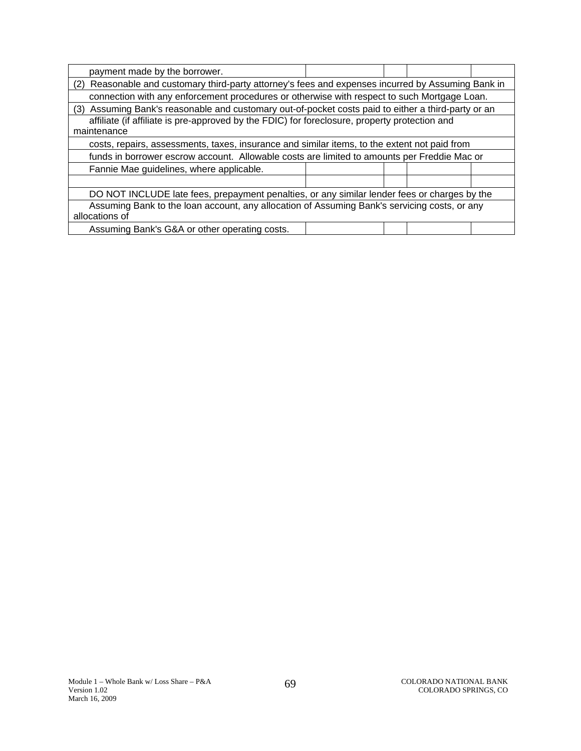| payment made by the borrower.                                                                                  |                                                                                               |  |  |  |  |  |
|----------------------------------------------------------------------------------------------------------------|-----------------------------------------------------------------------------------------------|--|--|--|--|--|
| (2) Reasonable and customary third-party attorney's fees and expenses incurred by Assuming Bank in             |                                                                                               |  |  |  |  |  |
| connection with any enforcement procedures or otherwise with respect to such Mortgage Loan.                    |                                                                                               |  |  |  |  |  |
| (3) Assuming Bank's reasonable and customary out-of-pocket costs paid to either a third-party or an            |                                                                                               |  |  |  |  |  |
| maintenance                                                                                                    | affiliate (if affiliate is pre-approved by the FDIC) for foreclosure, property protection and |  |  |  |  |  |
| costs, repairs, assessments, taxes, insurance and similar items, to the extent not paid from                   |                                                                                               |  |  |  |  |  |
| funds in borrower escrow account. Allowable costs are limited to amounts per Freddie Mac or                    |                                                                                               |  |  |  |  |  |
| Fannie Mae guidelines, where applicable.                                                                       |                                                                                               |  |  |  |  |  |
|                                                                                                                |                                                                                               |  |  |  |  |  |
| DO NOT INCLUDE late fees, prepayment penalties, or any similar lender fees or charges by the                   |                                                                                               |  |  |  |  |  |
| Assuming Bank to the loan account, any allocation of Assuming Bank's servicing costs, or any<br>allocations of |                                                                                               |  |  |  |  |  |
| Assuming Bank's G&A or other operating costs.                                                                  |                                                                                               |  |  |  |  |  |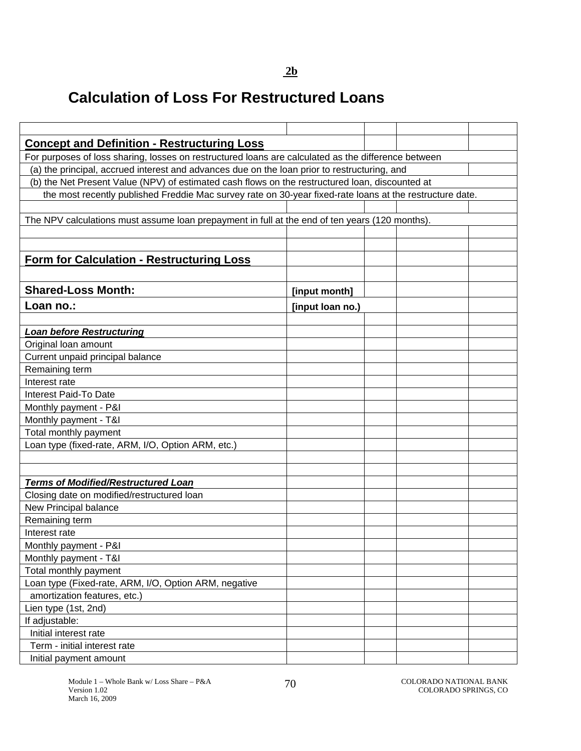# **Calculation of Loss For Restructured Loans**

| <b>Concept and Definition - Restructuring Loss</b>                                                       |                  |  |  |
|----------------------------------------------------------------------------------------------------------|------------------|--|--|
| For purposes of loss sharing, losses on restructured loans are calculated as the difference between      |                  |  |  |
| (a) the principal, accrued interest and advances due on the loan prior to restructuring, and             |                  |  |  |
| (b) the Net Present Value (NPV) of estimated cash flows on the restructured loan, discounted at          |                  |  |  |
| the most recently published Freddie Mac survey rate on 30-year fixed-rate loans at the restructure date. |                  |  |  |
|                                                                                                          |                  |  |  |
| The NPV calculations must assume loan prepayment in full at the end of ten years (120 months).           |                  |  |  |
|                                                                                                          |                  |  |  |
|                                                                                                          |                  |  |  |
| <b>Form for Calculation - Restructuring Loss</b>                                                         |                  |  |  |
|                                                                                                          |                  |  |  |
| <b>Shared-Loss Month:</b>                                                                                | [input month]    |  |  |
| Loan no.:                                                                                                | [input loan no.) |  |  |
|                                                                                                          |                  |  |  |
| <b>Loan before Restructuring</b>                                                                         |                  |  |  |
| Original loan amount                                                                                     |                  |  |  |
| Current unpaid principal balance                                                                         |                  |  |  |
| Remaining term                                                                                           |                  |  |  |
| Interest rate                                                                                            |                  |  |  |
| Interest Paid-To Date                                                                                    |                  |  |  |
| Monthly payment - P&I                                                                                    |                  |  |  |
| Monthly payment - T&I                                                                                    |                  |  |  |
| Total monthly payment                                                                                    |                  |  |  |
| Loan type (fixed-rate, ARM, I/O, Option ARM, etc.)                                                       |                  |  |  |
|                                                                                                          |                  |  |  |
|                                                                                                          |                  |  |  |
| <b>Terms of Modified/Restructured Loan</b>                                                               |                  |  |  |
| Closing date on modified/restructured loan                                                               |                  |  |  |
| New Principal balance                                                                                    |                  |  |  |
| Remaining term                                                                                           |                  |  |  |
| Interest rate                                                                                            |                  |  |  |
| Monthly payment - P&I                                                                                    |                  |  |  |
| Monthly payment - T&I                                                                                    |                  |  |  |
| Total monthly payment                                                                                    |                  |  |  |
| Loan type (Fixed-rate, ARM, I/O, Option ARM, negative                                                    |                  |  |  |
| amortization features, etc.)                                                                             |                  |  |  |
| Lien type (1st, 2nd)                                                                                     |                  |  |  |
| If adjustable:                                                                                           |                  |  |  |
| Initial interest rate                                                                                    |                  |  |  |
| Term - initial interest rate                                                                             |                  |  |  |
| Initial payment amount                                                                                   |                  |  |  |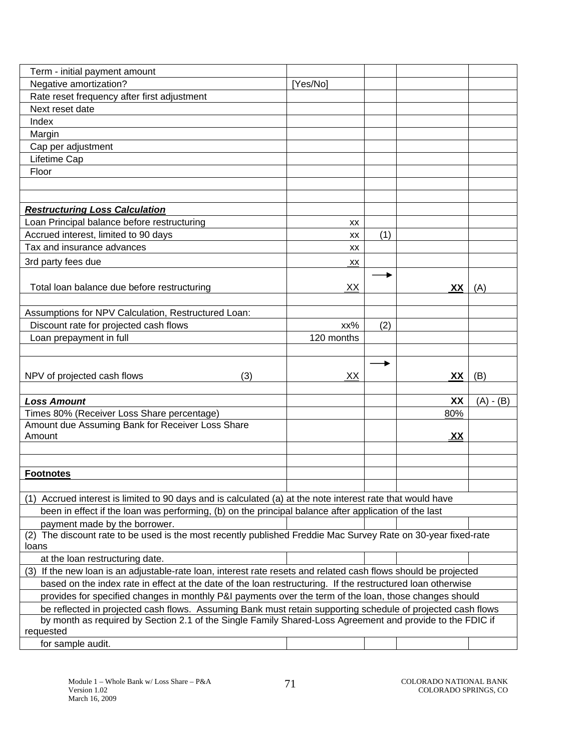| Term - initial payment amount                                                                                   |            |     |     |             |  |
|-----------------------------------------------------------------------------------------------------------------|------------|-----|-----|-------------|--|
| Negative amortization?                                                                                          | [Yes/No]   |     |     |             |  |
| Rate reset frequency after first adjustment                                                                     |            |     |     |             |  |
| Next reset date                                                                                                 |            |     |     |             |  |
| Index                                                                                                           |            |     |     |             |  |
| Margin                                                                                                          |            |     |     |             |  |
| Cap per adjustment                                                                                              |            |     |     |             |  |
| Lifetime Cap                                                                                                    |            |     |     |             |  |
| Floor                                                                                                           |            |     |     |             |  |
|                                                                                                                 |            |     |     |             |  |
|                                                                                                                 |            |     |     |             |  |
| <b>Restructuring Loss Calculation</b>                                                                           |            |     |     |             |  |
| Loan Principal balance before restructuring                                                                     | XX         |     |     |             |  |
| Accrued interest, limited to 90 days                                                                            | XX         | (1) |     |             |  |
| Tax and insurance advances                                                                                      | XX         |     |     |             |  |
|                                                                                                                 |            |     |     |             |  |
| 3rd party fees due                                                                                              | XX         |     |     |             |  |
|                                                                                                                 |            |     |     |             |  |
| Total loan balance due before restructuring                                                                     | XX         |     | XX  | (A)         |  |
|                                                                                                                 |            |     |     |             |  |
| Assumptions for NPV Calculation, Restructured Loan:                                                             |            |     |     |             |  |
| Discount rate for projected cash flows                                                                          | xx%        | (2) |     |             |  |
| Loan prepayment in full                                                                                         | 120 months |     |     |             |  |
|                                                                                                                 |            |     |     |             |  |
|                                                                                                                 |            |     |     |             |  |
| NPV of projected cash flows<br>(3)                                                                              | XX         |     | XX  | (B)         |  |
|                                                                                                                 |            |     |     |             |  |
| <b>Loss Amount</b>                                                                                              |            |     | XX  | $(A) - (B)$ |  |
| Times 80% (Receiver Loss Share percentage)                                                                      |            |     | 80% |             |  |
| Amount due Assuming Bank for Receiver Loss Share<br>Amount                                                      |            |     | XX  |             |  |
|                                                                                                                 |            |     |     |             |  |
|                                                                                                                 |            |     |     |             |  |
|                                                                                                                 |            |     |     |             |  |
| <b>Footnotes</b>                                                                                                |            |     |     |             |  |
| (1) Accrued interest is limited to 90 days and is calculated (a) at the note interest rate that would have      |            |     |     |             |  |
| been in effect if the loan was performing, (b) on the principal balance after application of the last           |            |     |     |             |  |
| payment made by the borrower.                                                                                   |            |     |     |             |  |
| (2) The discount rate to be used is the most recently published Freddie Mac Survey Rate on 30-year fixed-rate   |            |     |     |             |  |
| loans                                                                                                           |            |     |     |             |  |
| at the loan restructuring date.                                                                                 |            |     |     |             |  |
| (3) If the new loan is an adjustable-rate loan, interest rate resets and related cash flows should be projected |            |     |     |             |  |
| based on the index rate in effect at the date of the loan restructuring. If the restructured loan otherwise     |            |     |     |             |  |
| provides for specified changes in monthly P&I payments over the term of the loan, those changes should          |            |     |     |             |  |
| be reflected in projected cash flows. Assuming Bank must retain supporting schedule of projected cash flows     |            |     |     |             |  |
| by month as required by Section 2.1 of the Single Family Shared-Loss Agreement and provide to the FDIC if       |            |     |     |             |  |
| requested                                                                                                       |            |     |     |             |  |
| for sample audit.                                                                                               |            |     |     |             |  |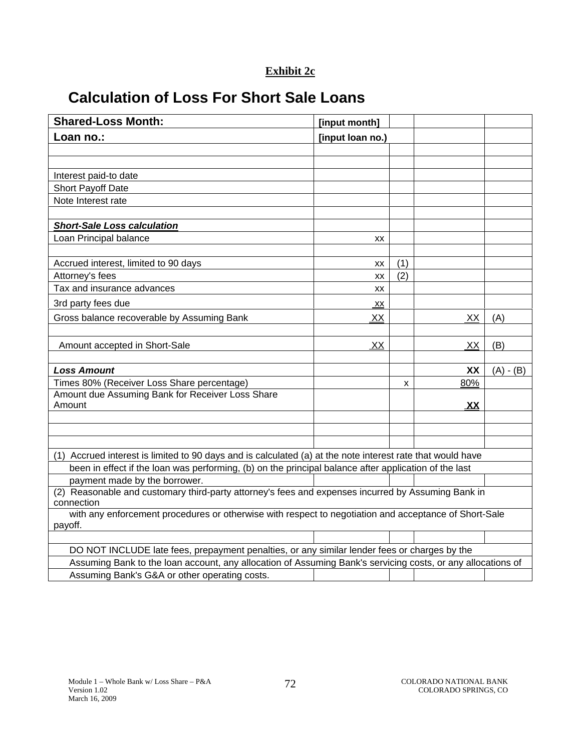| <b>Shared-Loss Month:</b>                                                                                        | [input month]    |     |           |             |
|------------------------------------------------------------------------------------------------------------------|------------------|-----|-----------|-------------|
| Loan no.:                                                                                                        | [input loan no.) |     |           |             |
|                                                                                                                  |                  |     |           |             |
|                                                                                                                  |                  |     |           |             |
| Interest paid-to date                                                                                            |                  |     |           |             |
| Short Payoff Date                                                                                                |                  |     |           |             |
| Note Interest rate                                                                                               |                  |     |           |             |
| <b>Short-Sale Loss calculation</b>                                                                               |                  |     |           |             |
| Loan Principal balance                                                                                           | XX               |     |           |             |
| Accrued interest, limited to 90 days                                                                             | XX               | (1) |           |             |
| Attorney's fees                                                                                                  | XX               | (2) |           |             |
| Tax and insurance advances                                                                                       | XX               |     |           |             |
| 3rd party fees due                                                                                               | ХX               |     |           |             |
| Gross balance recoverable by Assuming Bank                                                                       | XX               |     | XX        | (A)         |
| Amount accepted in Short-Sale                                                                                    | XX               |     | XX        | (B)         |
| <b>Loss Amount</b>                                                                                               |                  |     | XX        | $(A) - (B)$ |
| Times 80% (Receiver Loss Share percentage)                                                                       |                  | x   | 80%       |             |
| Amount due Assuming Bank for Receiver Loss Share<br>Amount                                                       |                  |     | <u>XX</u> |             |
|                                                                                                                  |                  |     |           |             |
|                                                                                                                  |                  |     |           |             |
| (1) Accrued interest is limited to 90 days and is calculated (a) at the note interest rate that would have       |                  |     |           |             |
| been in effect if the loan was performing, (b) on the principal balance after application of the last            |                  |     |           |             |
| payment made by the borrower.                                                                                    |                  |     |           |             |
| (2) Reasonable and customary third-party attorney's fees and expenses incurred by Assuming Bank in<br>connection |                  |     |           |             |
| with any enforcement procedures or otherwise with respect to negotiation and acceptance of Short-Sale<br>payoff. |                  |     |           |             |
|                                                                                                                  |                  |     |           |             |
| DO NOT INCLUDE late fees, prepayment penalties, or any similar lender fees or charges by the                     |                  |     |           |             |
| Assuming Bank to the loan account, any allocation of Assuming Bank's servicing costs, or any allocations of      |                  |     |           |             |
| Assuming Bank's G&A or other operating costs.                                                                    |                  |     |           |             |

**Exhibit 2c** 

# **Calculation of Loss For Short Sale Loans**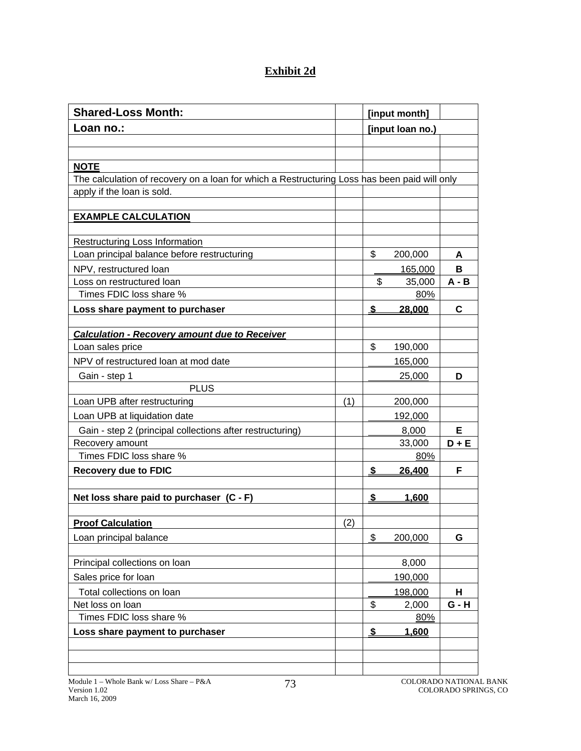# **Exhibit 2d**

| <b>Shared-Loss Month:</b>                                                                    | [input month]    |                           |         |         |
|----------------------------------------------------------------------------------------------|------------------|---------------------------|---------|---------|
| Loan no.:                                                                                    | [input loan no.) |                           |         |         |
|                                                                                              |                  |                           |         |         |
|                                                                                              |                  |                           |         |         |
| <b>NOTE</b>                                                                                  |                  |                           |         |         |
| The calculation of recovery on a loan for which a Restructuring Loss has been paid will only |                  |                           |         |         |
| apply if the loan is sold.                                                                   |                  |                           |         |         |
|                                                                                              |                  |                           |         |         |
| <b>EXAMPLE CALCULATION</b>                                                                   |                  |                           |         |         |
| Restructuring Loss Information                                                               |                  |                           |         |         |
| Loan principal balance before restructuring                                                  |                  | \$                        | 200,000 | A       |
| NPV, restructured loan                                                                       |                  |                           | 165,000 | B       |
| Loss on restructured loan                                                                    |                  | \$                        | 35,000  | $A - B$ |
| Times FDIC loss share %                                                                      |                  |                           | 80%     |         |
| Loss share payment to purchaser                                                              |                  | $\mathbf{\mathfrak{L}}$   | 28,000  | C       |
|                                                                                              |                  |                           |         |         |
| <b>Calculation - Recovery amount due to Receiver</b>                                         |                  |                           |         |         |
| Loan sales price                                                                             |                  | \$                        | 190,000 |         |
| NPV of restructured loan at mod date                                                         |                  |                           | 165,000 |         |
| Gain - step 1                                                                                |                  |                           | 25,000  | D       |
| <b>PLUS</b>                                                                                  |                  |                           |         |         |
| Loan UPB after restructuring                                                                 | (1)              |                           | 200,000 |         |
| Loan UPB at liquidation date                                                                 |                  |                           | 192,000 |         |
| Gain - step 2 (principal collections after restructuring)                                    |                  |                           | 8,000   | Е       |
| Recovery amount                                                                              |                  |                           | 33,000  | $D + E$ |
| Times FDIC loss share %                                                                      |                  |                           | 80%     |         |
| <b>Recovery due to FDIC</b>                                                                  |                  | $\mathbf{\hat{s}}$        | 26.400  | F       |
|                                                                                              |                  |                           |         |         |
| Net loss share paid to purchaser (C - F)                                                     |                  | <u>\$</u>                 | 1,600   |         |
|                                                                                              |                  |                           |         |         |
| <b>Proof Calculation</b>                                                                     | (2)              |                           |         |         |
| Loan principal balance                                                                       |                  | \$                        | 200,000 | G       |
|                                                                                              |                  |                           |         |         |
| Principal collections on loan                                                                |                  |                           | 8,000   |         |
| Sales price for loan                                                                         |                  |                           | 190,000 |         |
| Total collections on loan                                                                    |                  |                           | 198,000 | н       |
| Net loss on loan                                                                             |                  | \$                        | 2,000   | G - H   |
| Times FDIC loss share %                                                                      |                  |                           | 80%     |         |
| Loss share payment to purchaser                                                              |                  | $\boldsymbol{\mathsf{s}}$ | 1,600   |         |
|                                                                                              |                  |                           |         |         |
|                                                                                              |                  |                           |         |         |

ı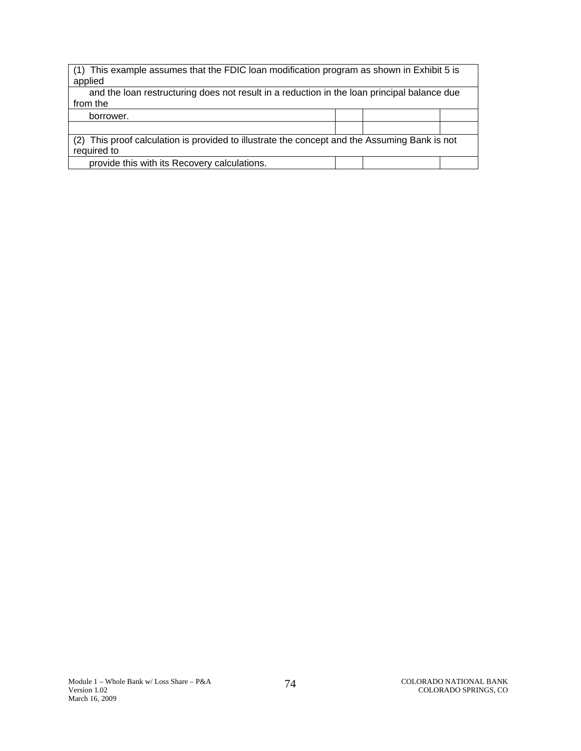| (1) This example assumes that the FDIC loan modification program as shown in Exhibit 5 is<br>applied         |  |  |  |  |  |  |  |
|--------------------------------------------------------------------------------------------------------------|--|--|--|--|--|--|--|
| and the loan restructuring does not result in a reduction in the loan principal balance due                  |  |  |  |  |  |  |  |
| from the                                                                                                     |  |  |  |  |  |  |  |
| borrower.                                                                                                    |  |  |  |  |  |  |  |
|                                                                                                              |  |  |  |  |  |  |  |
| (2) This proof calculation is provided to illustrate the concept and the Assuming Bank is not<br>required to |  |  |  |  |  |  |  |
| provide this with its Recovery calculations.                                                                 |  |  |  |  |  |  |  |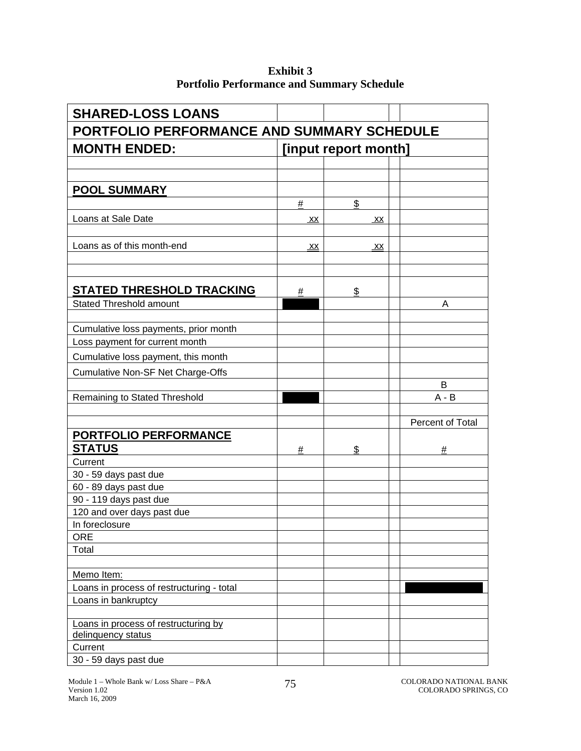| <b>Exhibit 3</b>                                  |
|---------------------------------------------------|
| <b>Portfolio Performance and Summary Schedule</b> |

| <b>SHARED-LOSS LOANS</b>                    |           |               |                  |  |  |
|---------------------------------------------|-----------|---------------|------------------|--|--|
| PORTFOLIO PERFORMANCE AND SUMMARY SCHEDULE  |           |               |                  |  |  |
| <b>MONTH ENDED:</b><br>[input report month] |           |               |                  |  |  |
|                                             |           |               |                  |  |  |
|                                             |           |               |                  |  |  |
| <b>POOL SUMMARY</b>                         |           |               |                  |  |  |
|                                             | $\#$      | \$            |                  |  |  |
| Loans at Sale Date                          | <u>xx</u> | <u>xx</u>     |                  |  |  |
|                                             |           |               |                  |  |  |
| Loans as of this month-end                  | ХX        | XX            |                  |  |  |
|                                             |           |               |                  |  |  |
|                                             |           |               |                  |  |  |
|                                             |           |               |                  |  |  |
| STATED THRESHOLD TRACKING                   | #         | $\frac{2}{3}$ |                  |  |  |
| <b>Stated Threshold amount</b>              |           |               | A                |  |  |
| Cumulative loss payments, prior month       |           |               |                  |  |  |
| Loss payment for current month              |           |               |                  |  |  |
|                                             |           |               |                  |  |  |
| Cumulative loss payment, this month         |           |               |                  |  |  |
| <b>Cumulative Non-SF Net Charge-Offs</b>    |           |               |                  |  |  |
|                                             |           |               | B                |  |  |
| Remaining to Stated Threshold               |           |               | $A - B$          |  |  |
|                                             |           |               | Percent of Total |  |  |
| <b>PORTFOLIO PERFORMANCE</b>                |           |               |                  |  |  |
| <b>STATUS</b>                               | #         | \$            | #                |  |  |
| Current                                     |           |               |                  |  |  |
| 30 - 59 days past due                       |           |               |                  |  |  |
| 60 - 89 days past due                       |           |               |                  |  |  |
| 90 - 119 days past due                      |           |               |                  |  |  |
| 120 and over days past due                  |           |               |                  |  |  |
| In foreclosure                              |           |               |                  |  |  |
| <b>ORE</b>                                  |           |               |                  |  |  |
| Total                                       |           |               |                  |  |  |
|                                             |           |               |                  |  |  |
| Memo Item:                                  |           |               |                  |  |  |
| Loans in process of restructuring - total   |           |               |                  |  |  |
| Loans in bankruptcy                         |           |               |                  |  |  |
| Loans in process of restructuring by        |           |               |                  |  |  |
| delinquency status                          |           |               |                  |  |  |
| Current                                     |           |               |                  |  |  |
| 30 - 59 days past due                       |           |               |                  |  |  |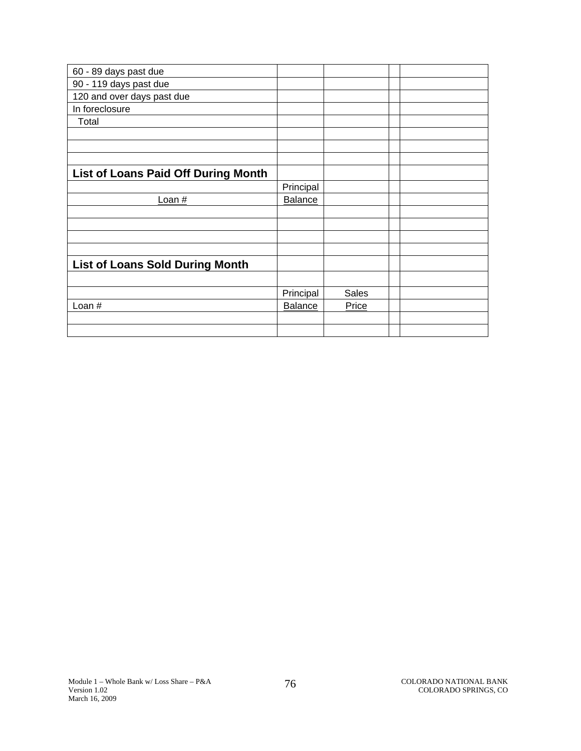| 60 - 89 days past due                      |           |              |  |
|--------------------------------------------|-----------|--------------|--|
| 90 - 119 days past due                     |           |              |  |
| 120 and over days past due                 |           |              |  |
| In foreclosure                             |           |              |  |
| Total                                      |           |              |  |
|                                            |           |              |  |
|                                            |           |              |  |
|                                            |           |              |  |
| <b>List of Loans Paid Off During Month</b> |           |              |  |
|                                            | Principal |              |  |
| Loan $#$                                   | Balance   |              |  |
|                                            |           |              |  |
|                                            |           |              |  |
|                                            |           |              |  |
|                                            |           |              |  |
| <b>List of Loans Sold During Month</b>     |           |              |  |
|                                            |           |              |  |
|                                            | Principal | <b>Sales</b> |  |
| Loan $#$                                   | Balance   | Price        |  |
|                                            |           |              |  |
|                                            |           |              |  |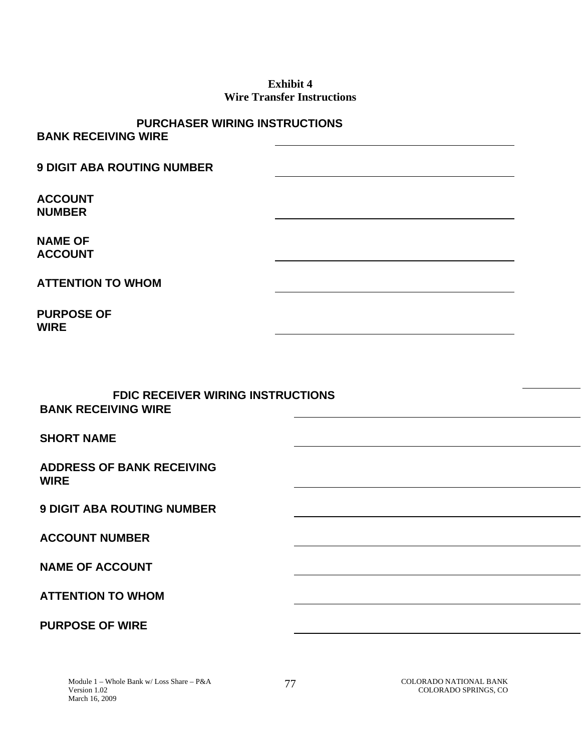#### **Exhibit 4 Wire Transfer Instructions**

#### **PURCHASER WIRING INSTRUCTIONS BANK RECEIVING WIRE**

**9 DIGIT ABA ROUTING NUMBER ACCOUNT NUMBER NAME OF ACCOUNT ATTENTION TO WHOM PURPOSE OF WIRE** 

# **FDIC RECEIVER WIRING INSTRUCTIONS BANK RECEIVING WIRE**

**SHORT NAME** 

**ADDRESS OF BANK RECEIVING WIRE** 

**9 DIGIT ABA ROUTING NUMBER** 

**ACCOUNT NUMBER** 

**NAME OF ACCOUNT** 

**ATTENTION TO WHOM** 

**PURPOSE OF WIRE**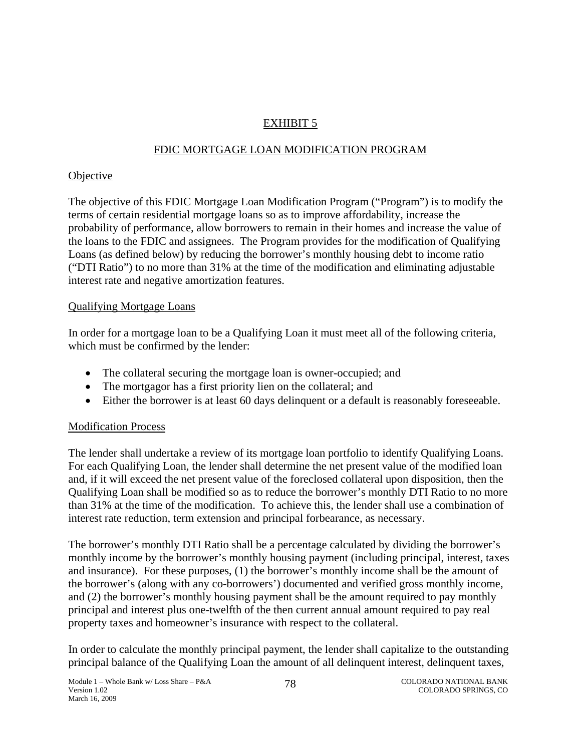# EXHIBIT 5

# FDIC MORTGAGE LOAN MODIFICATION PROGRAM

# **Objective**

The objective of this FDIC Mortgage Loan Modification Program ("Program") is to modify the terms of certain residential mortgage loans so as to improve affordability, increase the probability of performance, allow borrowers to remain in their homes and increase the value of the loans to the FDIC and assignees. The Program provides for the modification of Qualifying Loans (as defined below) by reducing the borrower's monthly housing debt to income ratio ("DTI Ratio") to no more than 31% at the time of the modification and eliminating adjustable interest rate and negative amortization features.

# Qualifying Mortgage Loans

In order for a mortgage loan to be a Qualifying Loan it must meet all of the following criteria, which must be confirmed by the lender:

- The collateral securing the mortgage loan is owner-occupied; and
- The mortgagor has a first priority lien on the collateral; and
- Either the borrower is at least 60 days delinquent or a default is reasonably foreseeable. Modification Process

The lender shall undertake a review of its mortgage loan portfolio to identify Qualifying Loans. For each Qualifying Loan, the lender shall determine the net present value of the modified loan and, if it will exceed the net present value of the foreclosed collateral upon disposition, then the Qualifying Loan shall be modified so as to reduce the borrower's monthly DTI Ratio to no more than 31% at the time of the modification. To achieve this, the lender shall use a combination of interest rate reduction, term extension and principal forbearance, as necessary.

The borrower's monthly DTI Ratio shall be a percentage calculated by dividing the borrower's monthly income by the borrower's monthly housing payment (including principal, interest, taxes and insurance). For these purposes, (1) the borrower's monthly income shall be the amount of the borrower's (along with any co-borrowers') documented and verified gross monthly income, and (2) the borrower's monthly housing payment shall be the amount required to pay monthly principal and interest plus one-twelfth of the then current annual amount required to pay real property taxes and homeowner's insurance with respect to the collateral.

In order to calculate the monthly principal payment, the lender shall capitalize to the outstanding principal balance of the Qualifying Loan the amount of all delinquent interest, delinquent taxes,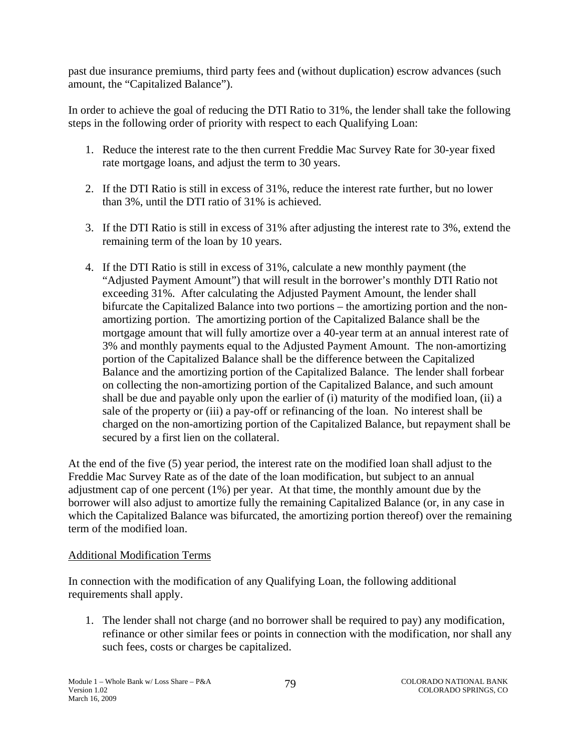past due insurance premiums, third party fees and (without duplication) escrow advances (such amount, the "Capitalized Balance").

In order to achieve the goal of reducing the DTI Ratio to 31%, the lender shall take the following steps in the following order of priority with respect to each Qualifying Loan:

- 1. Reduce the interest rate to the then current Freddie Mac Survey Rate for 30-year fixed rate mortgage loans, and adjust the term to 30 years.
- 2. If the DTI Ratio is still in excess of 31%, reduce the interest rate further, but no lower than 3%, until the DTI ratio of 31% is achieved.
- 3. If the DTI Ratio is still in excess of 31% after adjusting the interest rate to 3%, extend the remaining term of the loan by 10 years.
- 4. If the DTI Ratio is still in excess of 31%, calculate a new monthly payment (the "Adjusted Payment Amount") that will result in the borrower's monthly DTI Ratio not exceeding 31%. After calculating the Adjusted Payment Amount, the lender shall bifurcate the Capitalized Balance into two portions – the amortizing portion and the nonamortizing portion. The amortizing portion of the Capitalized Balance shall be the mortgage amount that will fully amortize over a 40-year term at an annual interest rate of 3% and monthly payments equal to the Adjusted Payment Amount. The non-amortizing portion of the Capitalized Balance shall be the difference between the Capitalized Balance and the amortizing portion of the Capitalized Balance. The lender shall forbear on collecting the non-amortizing portion of the Capitalized Balance, and such amount shall be due and payable only upon the earlier of (i) maturity of the modified loan, (ii) a sale of the property or (iii) a pay-off or refinancing of the loan. No interest shall be charged on the non-amortizing portion of the Capitalized Balance, but repayment shall be secured by a first lien on the collateral.

At the end of the five (5) year period, the interest rate on the modified loan shall adjust to the Freddie Mac Survey Rate as of the date of the loan modification, but subject to an annual adjustment cap of one percent (1%) per year. At that time, the monthly amount due by the borrower will also adjust to amortize fully the remaining Capitalized Balance (or, in any case in which the Capitalized Balance was bifurcated, the amortizing portion thereof) over the remaining term of the modified loan.

### Additional Modification Terms

In connection with the modification of any Qualifying Loan, the following additional requirements shall apply.

1. The lender shall not charge (and no borrower shall be required to pay) any modification, refinance or other similar fees or points in connection with the modification, nor shall any such fees, costs or charges be capitalized.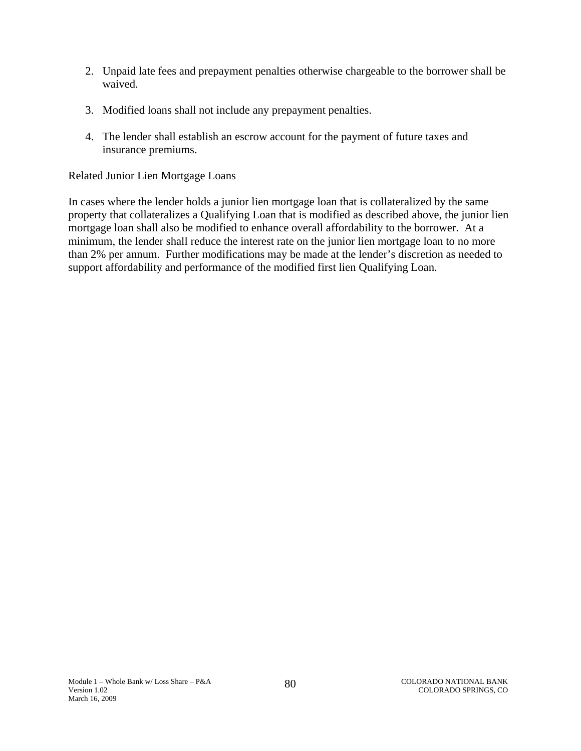- 2. Unpaid late fees and prepayment penalties otherwise chargeable to the borrower shall be waived.
- 3. Modified loans shall not include any prepayment penalties.
- 4. The lender shall establish an escrow account for the payment of future taxes and insurance premiums.

### Related Junior Lien Mortgage Loans

In cases where the lender holds a junior lien mortgage loan that is collateralized by the same property that collateralizes a Qualifying Loan that is modified as described above, the junior lien mortgage loan shall also be modified to enhance overall affordability to the borrower. At a minimum, the lender shall reduce the interest rate on the junior lien mortgage loan to no more than 2% per annum. Further modifications may be made at the lender's discretion as needed to support affordability and performance of the modified first lien Qualifying Loan.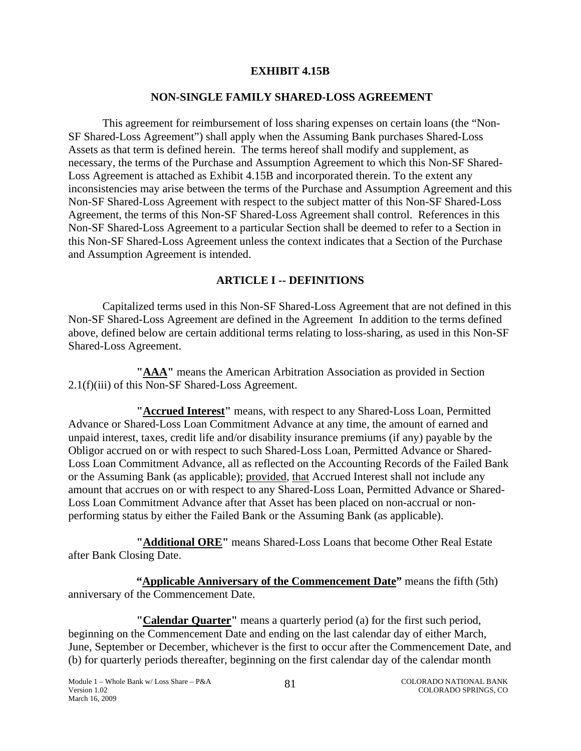#### **EXHIBIT 4.15B**

#### **NON-SINGLE FAMILY SHARED-LOSS AGREEMENT**

This agreement for reimbursement of loss sharing expenses on certain loans (the "Non-SF Shared-Loss Agreement") shall apply when the Assuming Bank purchases Shared-Loss Assets as that term is defined herein. The terms hereof shall modify and supplement, as necessary, the terms of the Purchase and Assumption Agreement to which this Non-SF Shared-Loss Agreement is attached as Exhibit 4.15B and incorporated therein. To the extent any inconsistencies may arise between the terms of the Purchase and Assumption Agreement and this Non-SF Shared-Loss Agreement with respect to the subject matter of this Non-SF Shared-Loss Agreement, the terms of this Non-SF Shared-Loss Agreement shall control. References in this Non-SF Shared-Loss Agreement to a particular Section shall be deemed to refer to a Section in this Non-SF Shared-Loss Agreement unless the context indicates that a Section of the Purchase and Assumption Agreement is intended.

### **ARTICLE I -- DEFINITIONS**

Capitalized terms used in this Non-SF Shared-Loss Agreement that are not defined in this Non-SF Shared-Loss Agreement are defined in the Agreement In addition to the terms defined above, defined below are certain additional terms relating to loss-sharing, as used in this Non-SF Shared-Loss Agreement.

**"AAA"** means the American Arbitration Association as provided in Section 2.1(f)(iii) of this Non-SF Shared-Loss Agreement.

**"Accrued Interest"** means, with respect to any Shared-Loss Loan, Permitted Advance or Shared-Loss Loan Commitment Advance at any time, the amount of earned and unpaid interest, taxes, credit life and/or disability insurance premiums (if any) payable by the Obligor accrued on or with respect to such Shared-Loss Loan, Permitted Advance or Shared-Loss Loan Commitment Advance, all as reflected on the Accounting Records of the Failed Bank or the Assuming Bank (as applicable); provided, that Accrued Interest shall not include any amount that accrues on or with respect to any Shared-Loss Loan, Permitted Advance or Shared-Loss Loan Commitment Advance after that Asset has been placed on non-accrual or nonperforming status by either the Failed Bank or the Assuming Bank (as applicable).

**"Additional ORE"** means Shared-Loss Loans that become Other Real Estate after Bank Closing Date.

**Examplicable Anniversary of the Commencement Date**" means the fifth (5th) anniversary of the Commencement Date.

**"Calendar Quarter"** means a quarterly period (a) for the first such period, beginning on the Commencement Date and ending on the last calendar day of either March, June, September or December, whichever is the first to occur after the Commencement Date, and (b) for quarterly periods thereafter, beginning on the first calendar day of the calendar month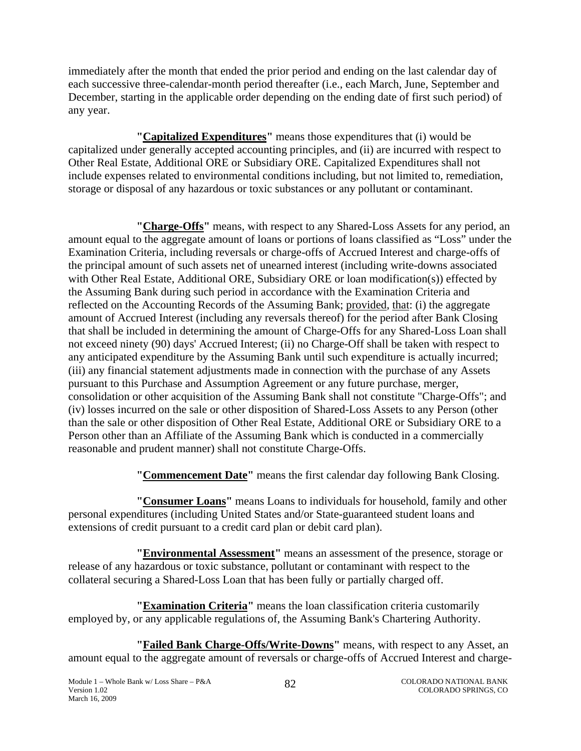immediately after the month that ended the prior period and ending on the last calendar day of each successive three-calendar-month period thereafter (i.e., each March, June, September and December, starting in the applicable order depending on the ending date of first such period) of any year.

**"Capitalized Expenditures"** means those expenditures that (i) would be capitalized under generally accepted accounting principles, and (ii) are incurred with respect to Other Real Estate, Additional ORE or Subsidiary ORE. Capitalized Expenditures shall not include expenses related to environmental conditions including, but not limited to, remediation, storage or disposal of any hazardous or toxic substances or any pollutant or contaminant.

**"Charge-Offs"** means, with respect to any Shared-Loss Assets for any period, an amount equal to the aggregate amount of loans or portions of loans classified as "Loss" under the Examination Criteria, including reversals or charge-offs of Accrued Interest and charge-offs of the principal amount of such assets net of unearned interest (including write-downs associated with Other Real Estate, Additional ORE, Subsidiary ORE or loan modification(s)) effected by the Assuming Bank during such period in accordance with the Examination Criteria and reflected on the Accounting Records of the Assuming Bank; provided, that: (i) the aggregate amount of Accrued Interest (including any reversals thereof) for the period after Bank Closing that shall be included in determining the amount of Charge-Offs for any Shared-Loss Loan shall not exceed ninety (90) days' Accrued Interest; (ii) no Charge-Off shall be taken with respect to any anticipated expenditure by the Assuming Bank until such expenditure is actually incurred; (iii) any financial statement adjustments made in connection with the purchase of any Assets pursuant to this Purchase and Assumption Agreement or any future purchase, merger, consolidation or other acquisition of the Assuming Bank shall not constitute "Charge-Offs"; and (iv) losses incurred on the sale or other disposition of Shared-Loss Assets to any Person (other than the sale or other disposition of Other Real Estate, Additional ORE or Subsidiary ORE to a Person other than an Affiliate of the Assuming Bank which is conducted in a commercially reasonable and prudent manner) shall not constitute Charge-Offs.

**"Commencement Date"** means the first calendar day following Bank Closing.

**"Consumer Loans"** means Loans to individuals for household, family and other personal expenditures (including United States and/or State-guaranteed student loans and extensions of credit pursuant to a credit card plan or debit card plan).

**"Environmental Assessment"** means an assessment of the presence, storage or release of any hazardous or toxic substance, pollutant or contaminant with respect to the collateral securing a Shared-Loss Loan that has been fully or partially charged off.

**"Examination Criteria"** means the loan classification criteria customarily employed by, or any applicable regulations of, the Assuming Bank's Chartering Authority.

**"Failed Bank Charge-Offs/Write-Downs"** means, with respect to any Asset, an amount equal to the aggregate amount of reversals or charge-offs of Accrued Interest and charge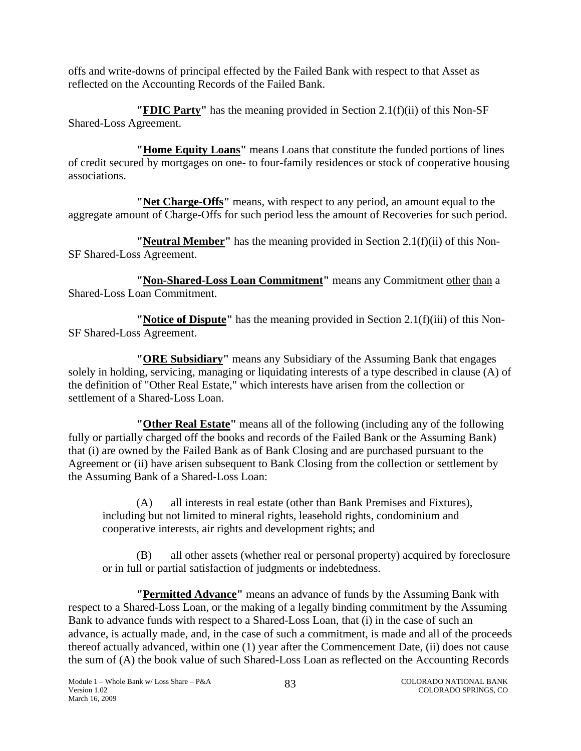offs and write-downs of principal effected by the Failed Bank with respect to that Asset as reflected on the Accounting Records of the Failed Bank.

**"FDIC Party"** has the meaning provided in Section 2.1(f)(ii) of this Non-SF Shared-Loss Agreement.

**"Home Equity Loans"** means Loans that constitute the funded portions of lines of credit secured by mortgages on one- to four-family residences or stock of cooperative housing associations.

**"Net Charge-Offs"** means, with respect to any period, an amount equal to the aggregate amount of Charge-Offs for such period less the amount of Recoveries for such period.

 SF Shared-Loss Agreement. **"Neutral Member"** has the meaning provided in Section 2.1(f)(ii) of this Non-

**"Non-Shared-Loss Loan Commitment"** means any Commitment other than a Shared-Loss Loan Commitment.

**"Notice of Dispute"** has the meaning provided in Section 2.1(f)(iii) of this Non-SF Shared-Loss Agreement.

**"ORE Subsidiary"** means any Subsidiary of the Assuming Bank that engages solely in holding, servicing, managing or liquidating interests of a type described in clause (A) of the definition of "Other Real Estate," which interests have arisen from the collection or settlement of a Shared-Loss Loan.

**"Other Real Estate"** means all of the following (including any of the following fully or partially charged off the books and records of the Failed Bank or the Assuming Bank) that (i) are owned by the Failed Bank as of Bank Closing and are purchased pursuant to the Agreement or (ii) have arisen subsequent to Bank Closing from the collection or settlement by the Assuming Bank of a Shared-Loss Loan:

(A) all interests in real estate (other than Bank Premises and Fixtures), including but not limited to mineral rights, leasehold rights, condominium and cooperative interests, air rights and development rights; and

(B) all other assets (whether real or personal property) acquired by foreclosure or in full or partial satisfaction of judgments or indebtedness.

**"Permitted Advance"** means an advance of funds by the Assuming Bank with respect to a Shared-Loss Loan, or the making of a legally binding commitment by the Assuming Bank to advance funds with respect to a Shared-Loss Loan, that (i) in the case of such an advance, is actually made, and, in the case of such a commitment, is made and all of the proceeds thereof actually advanced, within one (1) year after the Commencement Date, (ii) does not cause the sum of (A) the book value of such Shared-Loss Loan as reflected on the Accounting Records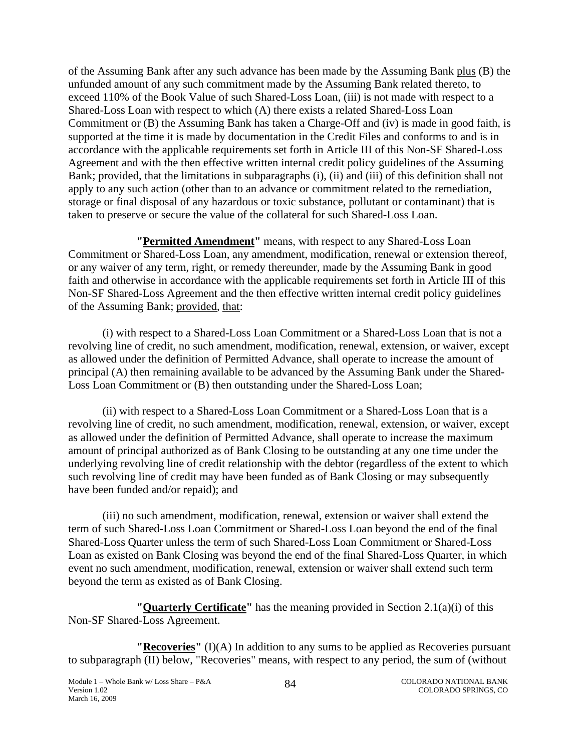of the Assuming Bank after any such advance has been made by the Assuming Bank plus (B) the unfunded amount of any such commitment made by the Assuming Bank related thereto, to exceed 110% of the Book Value of such Shared-Loss Loan, (iii) is not made with respect to a Shared-Loss Loan with respect to which (A) there exists a related Shared-Loss Loan Commitment or (B) the Assuming Bank has taken a Charge-Off and (iv) is made in good faith, is supported at the time it is made by documentation in the Credit Files and conforms to and is in accordance with the applicable requirements set forth in Article III of this Non-SF Shared-Loss Agreement and with the then effective written internal credit policy guidelines of the Assuming Bank; provided, that the limitations in subparagraphs (i), (ii) and (iii) of this definition shall not apply to any such action (other than to an advance or commitment related to the remediation, storage or final disposal of any hazardous or toxic substance, pollutant or contaminant) that is taken to preserve or secure the value of the collateral for such Shared-Loss Loan.

**"Permitted Amendment"** means, with respect to any Shared-Loss Loan Commitment or Shared-Loss Loan, any amendment, modification, renewal or extension thereof, or any waiver of any term, right, or remedy thereunder, made by the Assuming Bank in good faith and otherwise in accordance with the applicable requirements set forth in Article III of this Non-SF Shared-Loss Agreement and the then effective written internal credit policy guidelines of the Assuming Bank; provided, that:

(i) with respect to a Shared-Loss Loan Commitment or a Shared-Loss Loan that is not a revolving line of credit, no such amendment, modification, renewal, extension, or waiver, except as allowed under the definition of Permitted Advance, shall operate to increase the amount of principal (A) then remaining available to be advanced by the Assuming Bank under the Shared-Loss Loan Commitment or (B) then outstanding under the Shared-Loss Loan;

(ii) with respect to a Shared-Loss Loan Commitment or a Shared-Loss Loan that is a revolving line of credit, no such amendment, modification, renewal, extension, or waiver, except as allowed under the definition of Permitted Advance, shall operate to increase the maximum amount of principal authorized as of Bank Closing to be outstanding at any one time under the underlying revolving line of credit relationship with the debtor (regardless of the extent to which such revolving line of credit may have been funded as of Bank Closing or may subsequently have been funded and/or repaid); and

(iii) no such amendment, modification, renewal, extension or waiver shall extend the term of such Shared-Loss Loan Commitment or Shared-Loss Loan beyond the end of the final Shared-Loss Quarter unless the term of such Shared-Loss Loan Commitment or Shared-Loss Loan as existed on Bank Closing was beyond the end of the final Shared-Loss Quarter, in which event no such amendment, modification, renewal, extension or waiver shall extend such term beyond the term as existed as of Bank Closing.

**"Quarterly Certificate"** has the meaning provided in Section 2.1(a)(i) of this Non-SF Shared-Loss Agreement.

**"Recoveries"** (I)(A) In addition to any sums to be applied as Recoveries pursuant to subparagraph (II) below, "Recoveries" means, with respect to any period, the sum of (without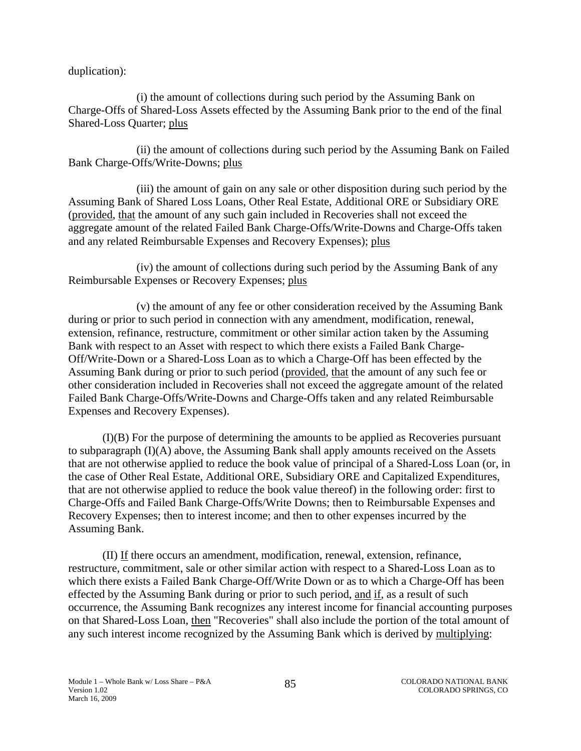duplication):

Shared-Loss Quarter; plus (i) the amount of collections during such period by the Assuming Bank on Charge-Offs of Shared-Loss Assets effected by the Assuming Bank prior to the end of the final

(ii) the amount of collections during such period by the Assuming Bank on Failed Bank Charge-Offs/Write-Downs; plus

(iii) the amount of gain on any sale or other disposition during such period by the Assuming Bank of Shared Loss Loans, Other Real Estate, Additional ORE or Subsidiary ORE (provided, that the amount of any such gain included in Recoveries shall not exceed the aggregate amount of the related Failed Bank Charge-Offs/Write-Downs and Charge-Offs taken and any related Reimbursable Expenses and Recovery Expenses); plus

(iv) the amount of collections during such period by the Assuming Bank of any Reimbursable Expenses or Recovery Expenses; plus

(v) the amount of any fee or other consideration received by the Assuming Bank during or prior to such period in connection with any amendment, modification, renewal, extension, refinance, restructure, commitment or other similar action taken by the Assuming Bank with respect to an Asset with respect to which there exists a Failed Bank Charge-Off/Write-Down or a Shared-Loss Loan as to which a Charge-Off has been effected by the Assuming Bank during or prior to such period (provided, that the amount of any such fee or other consideration included in Recoveries shall not exceed the aggregate amount of the related Failed Bank Charge-Offs/Write-Downs and Charge-Offs taken and any related Reimbursable Expenses and Recovery Expenses).

(I)(B) For the purpose of determining the amounts to be applied as Recoveries pursuant to subparagraph (I)(A) above, the Assuming Bank shall apply amounts received on the Assets that are not otherwise applied to reduce the book value of principal of a Shared-Loss Loan (or, in the case of Other Real Estate, Additional ORE, Subsidiary ORE and Capitalized Expenditures, that are not otherwise applied to reduce the book value thereof) in the following order: first to Charge-Offs and Failed Bank Charge-Offs/Write Downs; then to Reimbursable Expenses and Recovery Expenses; then to interest income; and then to other expenses incurred by the Assuming Bank.

(II) If there occurs an amendment, modification, renewal, extension, refinance, restructure, commitment, sale or other similar action with respect to a Shared-Loss Loan as to which there exists a Failed Bank Charge-Off/Write Down or as to which a Charge-Off has been effected by the Assuming Bank during or prior to such period, and if, as a result of such occurrence, the Assuming Bank recognizes any interest income for financial accounting purposes on that Shared-Loss Loan, then "Recoveries" shall also include the portion of the total amount of any such interest income recognized by the Assuming Bank which is derived by multiplying: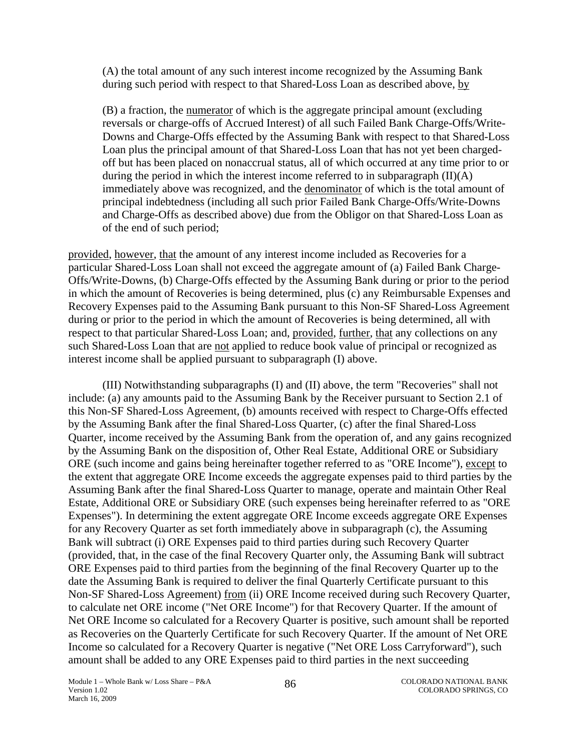(A) the total amount of any such interest income recognized by the Assuming Bank during such period with respect to that Shared-Loss Loan as described above, by

(B) a fraction, the numerator of which is the aggregate principal amount (excluding reversals or charge-offs of Accrued Interest) of all such Failed Bank Charge-Offs/Write-Downs and Charge-Offs effected by the Assuming Bank with respect to that Shared-Loss Loan plus the principal amount of that Shared-Loss Loan that has not yet been chargedoff but has been placed on nonaccrual status, all of which occurred at any time prior to or during the period in which the interest income referred to in subparagraph  $(II)(A)$ immediately above was recognized, and the denominator of which is the total amount of principal indebtedness (including all such prior Failed Bank Charge-Offs/Write-Downs and Charge-Offs as described above) due from the Obligor on that Shared-Loss Loan as of the end of such period;

provided, however, that the amount of any interest income included as Recoveries for a particular Shared-Loss Loan shall not exceed the aggregate amount of (a) Failed Bank Charge-Offs/Write-Downs, (b) Charge-Offs effected by the Assuming Bank during or prior to the period in which the amount of Recoveries is being determined, plus (c) any Reimbursable Expenses and Recovery Expenses paid to the Assuming Bank pursuant to this Non-SF Shared-Loss Agreement during or prior to the period in which the amount of Recoveries is being determined, all with respect to that particular Shared-Loss Loan; and, provided, further, that any collections on any such Shared-Loss Loan that are not applied to reduce book value of principal or recognized as interest income shall be applied pursuant to subparagraph (I) above.

(III) Notwithstanding subparagraphs (I) and (II) above, the term "Recoveries" shall not include: (a) any amounts paid to the Assuming Bank by the Receiver pursuant to Section 2.1 of this Non-SF Shared-Loss Agreement, (b) amounts received with respect to Charge-Offs effected by the Assuming Bank after the final Shared-Loss Quarter, (c) after the final Shared-Loss Quarter, income received by the Assuming Bank from the operation of, and any gains recognized by the Assuming Bank on the disposition of, Other Real Estate, Additional ORE or Subsidiary ORE (such income and gains being hereinafter together referred to as "ORE Income"), except to the extent that aggregate ORE Income exceeds the aggregate expenses paid to third parties by the Assuming Bank after the final Shared-Loss Quarter to manage, operate and maintain Other Real Estate, Additional ORE or Subsidiary ORE (such expenses being hereinafter referred to as "ORE Expenses"). In determining the extent aggregate ORE Income exceeds aggregate ORE Expenses for any Recovery Quarter as set forth immediately above in subparagraph (c), the Assuming Bank will subtract (i) ORE Expenses paid to third parties during such Recovery Quarter (provided, that, in the case of the final Recovery Quarter only, the Assuming Bank will subtract ORE Expenses paid to third parties from the beginning of the final Recovery Quarter up to the date the Assuming Bank is required to deliver the final Quarterly Certificate pursuant to this Non-SF Shared-Loss Agreement) from (ii) ORE Income received during such Recovery Quarter, to calculate net ORE income ("Net ORE Income") for that Recovery Quarter. If the amount of Net ORE Income so calculated for a Recovery Quarter is positive, such amount shall be reported as Recoveries on the Quarterly Certificate for such Recovery Quarter. If the amount of Net ORE Income so calculated for a Recovery Quarter is negative ("Net ORE Loss Carryforward"), such amount shall be added to any ORE Expenses paid to third parties in the next succeeding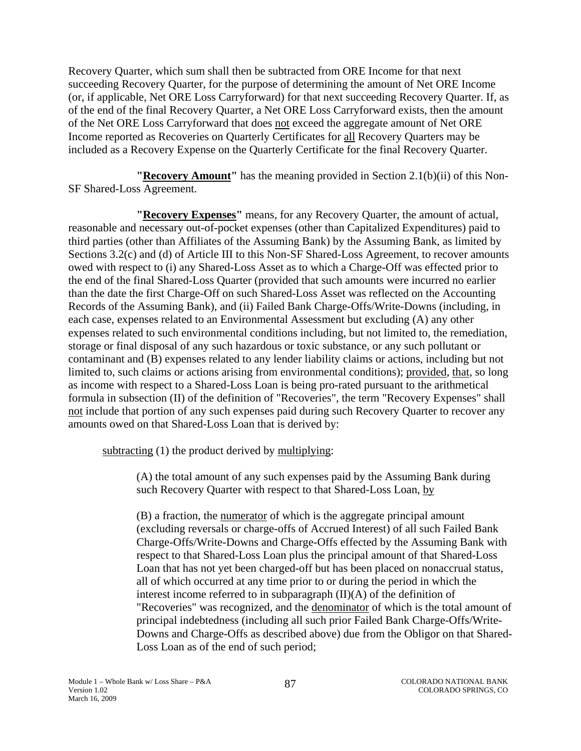Recovery Quarter, which sum shall then be subtracted from ORE Income for that next succeeding Recovery Quarter, for the purpose of determining the amount of Net ORE Income (or, if applicable, Net ORE Loss Carryforward) for that next succeeding Recovery Quarter. If, as of the end of the final Recovery Quarter, a Net ORE Loss Carryforward exists, then the amount of the Net ORE Loss Carryforward that does not exceed the aggregate amount of Net ORE Income reported as Recoveries on Quarterly Certificates for all Recovery Quarters may be included as a Recovery Expense on the Quarterly Certificate for the final Recovery Quarter.

**"Recovery Amount"** has the meaning provided in Section 2.1(b)(ii) of this Non-SF Shared-Loss Agreement.

**"Recovery Expenses"** means, for any Recovery Quarter, the amount of actual, reasonable and necessary out-of-pocket expenses (other than Capitalized Expenditures) paid to third parties (other than Affiliates of the Assuming Bank) by the Assuming Bank, as limited by Sections 3.2(c) and (d) of Article III to this Non-SF Shared-Loss Agreement, to recover amounts owed with respect to (i) any Shared-Loss Asset as to which a Charge-Off was effected prior to the end of the final Shared-Loss Quarter (provided that such amounts were incurred no earlier than the date the first Charge-Off on such Shared-Loss Asset was reflected on the Accounting Records of the Assuming Bank), and (ii) Failed Bank Charge-Offs/Write-Downs (including, in each case, expenses related to an Environmental Assessment but excluding (A) any other expenses related to such environmental conditions including, but not limited to, the remediation, storage or final disposal of any such hazardous or toxic substance, or any such pollutant or contaminant and (B) expenses related to any lender liability claims or actions, including but not limited to, such claims or actions arising from environmental conditions); provided, that, so long as income with respect to a Shared-Loss Loan is being pro-rated pursuant to the arithmetical formula in subsection (II) of the definition of "Recoveries", the term "Recovery Expenses" shall not include that portion of any such expenses paid during such Recovery Quarter to recover any amounts owed on that Shared-Loss Loan that is derived by:

subtracting (1) the product derived by multiplying:

(A) the total amount of any such expenses paid by the Assuming Bank during such Recovery Quarter with respect to that Shared-Loss Loan, by

(B) a fraction, the numerator of which is the aggregate principal amount (excluding reversals or charge-offs of Accrued Interest) of all such Failed Bank Charge-Offs/Write-Downs and Charge-Offs effected by the Assuming Bank with respect to that Shared-Loss Loan plus the principal amount of that Shared-Loss Loan that has not yet been charged-off but has been placed on nonaccrual status, all of which occurred at any time prior to or during the period in which the interest income referred to in subparagraph (II)(A) of the definition of "Recoveries" was recognized, and the denominator of which is the total amount of principal indebtedness (including all such prior Failed Bank Charge-Offs/Write-Downs and Charge-Offs as described above) due from the Obligor on that Shared-Loss Loan as of the end of such period;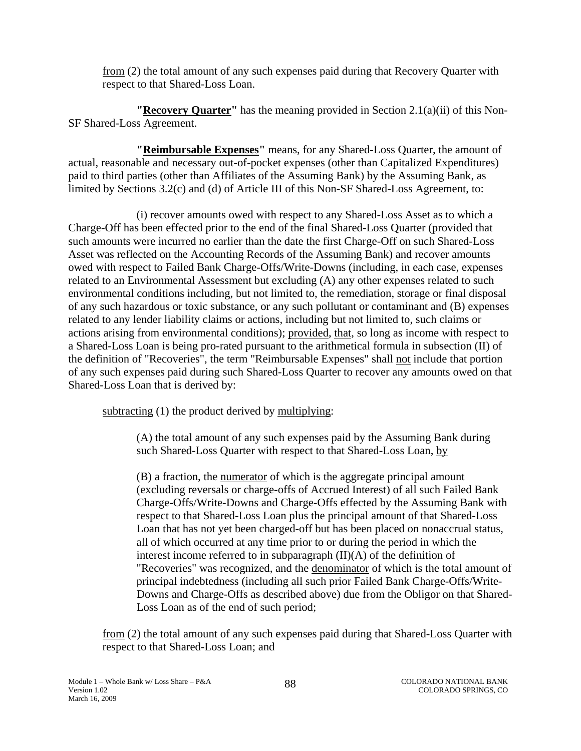from (2) the total amount of any such expenses paid during that Recovery Quarter with respect to that Shared-Loss Loan.

**"Recovery Quarter"** has the meaning provided in Section 2.1(a)(ii) of this Non-SF Shared-Loss Agreement.

**"Reimbursable Expenses"** means, for any Shared-Loss Quarter, the amount of actual, reasonable and necessary out-of-pocket expenses (other than Capitalized Expenditures) paid to third parties (other than Affiliates of the Assuming Bank) by the Assuming Bank, as limited by Sections 3.2(c) and (d) of Article III of this Non-SF Shared-Loss Agreement, to:

(i) recover amounts owed with respect to any Shared-Loss Asset as to which a Charge-Off has been effected prior to the end of the final Shared-Loss Quarter (provided that such amounts were incurred no earlier than the date the first Charge-Off on such Shared-Loss Asset was reflected on the Accounting Records of the Assuming Bank) and recover amounts owed with respect to Failed Bank Charge-Offs/Write-Downs (including, in each case, expenses related to an Environmental Assessment but excluding (A) any other expenses related to such environmental conditions including, but not limited to, the remediation, storage or final disposal of any such hazardous or toxic substance, or any such pollutant or contaminant and (B) expenses related to any lender liability claims or actions, including but not limited to, such claims or actions arising from environmental conditions); provided, that, so long as income with respect to a Shared-Loss Loan is being pro-rated pursuant to the arithmetical formula in subsection (II) of the definition of "Recoveries", the term "Reimbursable Expenses" shall not include that portion of any such expenses paid during such Shared-Loss Quarter to recover any amounts owed on that Shared-Loss Loan that is derived by:

subtracting (1) the product derived by multiplying:

(A) the total amount of any such expenses paid by the Assuming Bank during such Shared-Loss Quarter with respect to that Shared-Loss Loan, by

(B) a fraction, the numerator of which is the aggregate principal amount (excluding reversals or charge-offs of Accrued Interest) of all such Failed Bank Charge-Offs/Write-Downs and Charge-Offs effected by the Assuming Bank with respect to that Shared-Loss Loan plus the principal amount of that Shared-Loss Loan that has not yet been charged-off but has been placed on nonaccrual status, all of which occurred at any time prior to or during the period in which the interest income referred to in subparagraph  $(II)(A)$  of the definition of "Recoveries" was recognized, and the denominator of which is the total amount of principal indebtedness (including all such prior Failed Bank Charge-Offs/Write-Downs and Charge-Offs as described above) due from the Obligor on that Shared-Loss Loan as of the end of such period;

from (2) the total amount of any such expenses paid during that Shared-Loss Quarter with respect to that Shared-Loss Loan; and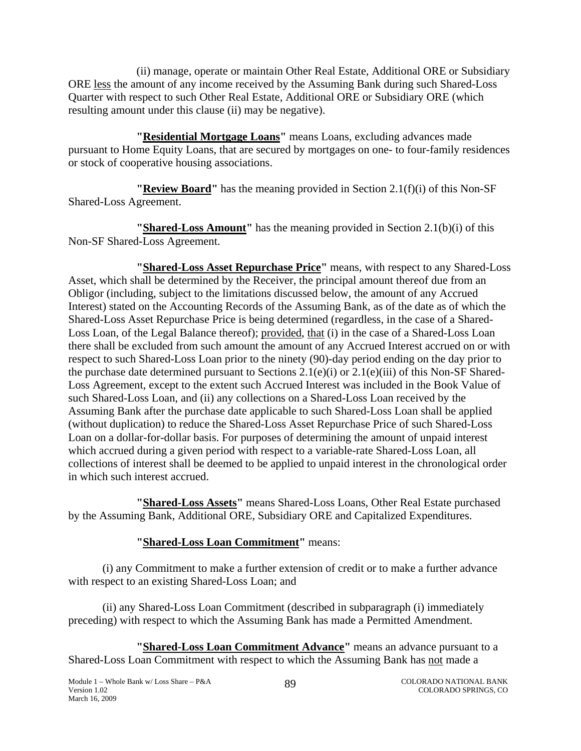(ii) manage, operate or maintain Other Real Estate, Additional ORE or Subsidiary ORE less the amount of any income received by the Assuming Bank during such Shared-Loss Quarter with respect to such Other Real Estate, Additional ORE or Subsidiary ORE (which resulting amount under this clause (ii) may be negative).

**"Residential Mortgage Loans"** means Loans, excluding advances made pursuant to Home Equity Loans, that are secured by mortgages on one- to four-family residences or stock of cooperative housing associations.

**"Review Board"** has the meaning provided in Section 2.1(f)(i) of this Non-SF Shared-Loss Agreement.

**"Shared-Loss Amount"** has the meaning provided in Section 2.1(b)(i) of this Non-SF Shared-Loss Agreement.

 in which such interest accrued. **"Shared-Loss Asset Repurchase Price"** means, with respect to any Shared-Loss Asset, which shall be determined by the Receiver, the principal amount thereof due from an Obligor (including, subject to the limitations discussed below, the amount of any Accrued Interest) stated on the Accounting Records of the Assuming Bank, as of the date as of which the Shared-Loss Asset Repurchase Price is being determined (regardless, in the case of a Shared-Loss Loan, of the Legal Balance thereof); provided, that (i) in the case of a Shared-Loss Loan there shall be excluded from such amount the amount of any Accrued Interest accrued on or with respect to such Shared-Loss Loan prior to the ninety (90)-day period ending on the day prior to the purchase date determined pursuant to Sections  $2.1(e)(i)$  or  $2.1(e)(iii)$  of this Non-SF Shared-Loss Agreement, except to the extent such Accrued Interest was included in the Book Value of such Shared-Loss Loan, and (ii) any collections on a Shared-Loss Loan received by the Assuming Bank after the purchase date applicable to such Shared-Loss Loan shall be applied (without duplication) to reduce the Shared-Loss Asset Repurchase Price of such Shared-Loss Loan on a dollar-for-dollar basis. For purposes of determining the amount of unpaid interest which accrued during a given period with respect to a variable-rate Shared-Loss Loan, all collections of interest shall be deemed to be applied to unpaid interest in the chronological order

**"Shared-Loss Assets"** means Shared-Loss Loans, Other Real Estate purchased by the Assuming Bank, Additional ORE, Subsidiary ORE and Capitalized Expenditures.

# **"Shared-Loss Loan Commitment"** means:

(i) any Commitment to make a further extension of credit or to make a further advance with respect to an existing Shared-Loss Loan; and

(ii) any Shared-Loss Loan Commitment (described in subparagraph (i) immediately preceding) with respect to which the Assuming Bank has made a Permitted Amendment.

**"Shared-Loss Loan Commitment Advance"** means an advance pursuant to a Shared-Loss Loan Commitment with respect to which the Assuming Bank has not made a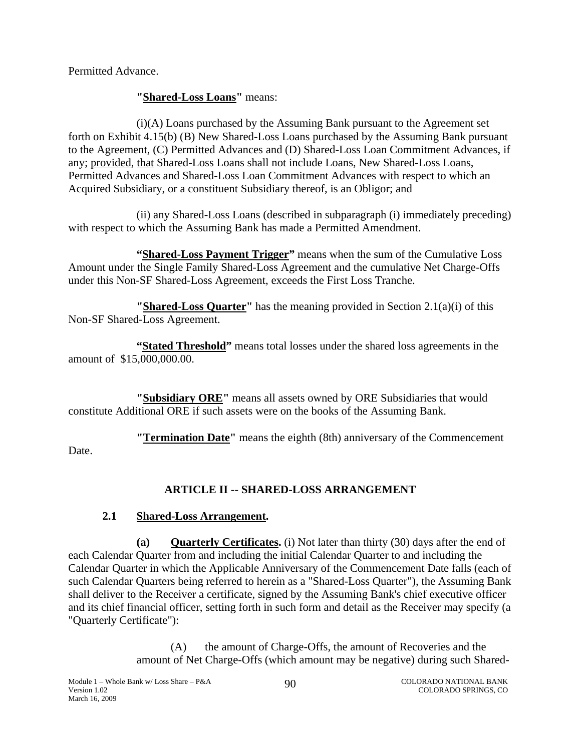Permitted Advance.

# **"Shared-Loss Loans"** means:

(i)(A) Loans purchased by the Assuming Bank pursuant to the Agreement set forth on Exhibit 4.15(b) (B) New Shared-Loss Loans purchased by the Assuming Bank pursuant to the Agreement, (C) Permitted Advances and (D) Shared-Loss Loan Commitment Advances, if any; provided, that Shared-Loss Loans shall not include Loans, New Shared-Loss Loans, Permitted Advances and Shared-Loss Loan Commitment Advances with respect to which an Acquired Subsidiary, or a constituent Subsidiary thereof, is an Obligor; and

(ii) any Shared-Loss Loans (described in subparagraph (i) immediately preceding) with respect to which the Assuming Bank has made a Permitted Amendment.

**"Shared-Loss Payment Trigger"** means when the sum of the Cumulative Loss Amount under the Single Family Shared-Loss Agreement and the cumulative Net Charge-Offs under this Non-SF Shared-Loss Agreement, exceeds the First Loss Tranche.

**"Shared-Loss Quarter"** has the meaning provided in Section 2.1(a)(i) of this Non-SF Shared-Loss Agreement.

**"Stated Threshold"** means total losses under the shared loss agreements in the amount of \$15,000,000.00.

**"Subsidiary ORE"** means all assets owned by ORE Subsidiaries that would constitute Additional ORE if such assets were on the books of the Assuming Bank.

**"Termination Date"** means the eighth (8th) anniversary of the Commencement Date.

# **ARTICLE II** -- **SHARED-LOSS ARRANGEMENT**

# **2.1 Shared-Loss Arrangement.**

**(a) Quarterly Certificates.** (i) Not later than thirty (30) days after the end of each Calendar Quarter from and including the initial Calendar Quarter to and including the Calendar Quarter in which the Applicable Anniversary of the Commencement Date falls (each of such Calendar Quarters being referred to herein as a "Shared-Loss Quarter"), the Assuming Bank shall deliver to the Receiver a certificate, signed by the Assuming Bank's chief executive officer and its chief financial officer, setting forth in such form and detail as the Receiver may specify (a "Quarterly Certificate"):

> (A) the amount of Charge-Offs, the amount of Recoveries and the amount of Net Charge-Offs (which amount may be negative) during such Shared-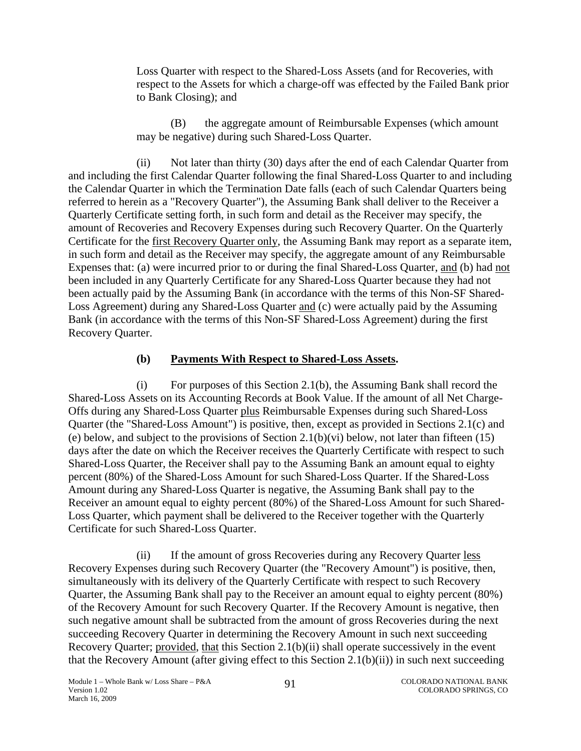Loss Quarter with respect to the Shared-Loss Assets (and for Recoveries, with respect to the Assets for which a charge-off was effected by the Failed Bank prior to Bank Closing); and

(B) the aggregate amount of Reimbursable Expenses (which amount may be negative) during such Shared-Loss Quarter.

(ii) Not later than thirty (30) days after the end of each Calendar Quarter from and including the first Calendar Quarter following the final Shared-Loss Quarter to and including the Calendar Quarter in which the Termination Date falls (each of such Calendar Quarters being referred to herein as a "Recovery Quarter"), the Assuming Bank shall deliver to the Receiver a Quarterly Certificate setting forth, in such form and detail as the Receiver may specify, the amount of Recoveries and Recovery Expenses during such Recovery Quarter. On the Quarterly Certificate for the first Recovery Quarter only, the Assuming Bank may report as a separate item, in such form and detail as the Receiver may specify, the aggregate amount of any Reimbursable Expenses that: (a) were incurred prior to or during the final Shared-Loss Quarter, and (b) had not been included in any Quarterly Certificate for any Shared-Loss Quarter because they had not been actually paid by the Assuming Bank (in accordance with the terms of this Non-SF Shared-Loss Agreement) during any Shared-Loss Quarter and (c) were actually paid by the Assuming Bank (in accordance with the terms of this Non-SF Shared-Loss Agreement) during the first Recovery Quarter.

# **(b) Payments With Respect to Shared-Loss Assets.**

 $(i)$  For purposes of this Section 2.1(b), the Assuming Bank shall record the Shared-Loss Assets on its Accounting Records at Book Value. If the amount of all Net Charge-Offs during any Shared-Loss Quarter plus Reimbursable Expenses during such Shared-Loss Quarter (the "Shared-Loss Amount") is positive, then, except as provided in Sections 2.1(c) and (e) below, and subject to the provisions of Section 2.1(b)(vi) below, not later than fifteen (15) days after the date on which the Receiver receives the Quarterly Certificate with respect to such Shared-Loss Quarter, the Receiver shall pay to the Assuming Bank an amount equal to eighty percent (80%) of the Shared-Loss Amount for such Shared-Loss Quarter. If the Shared-Loss Amount during any Shared-Loss Quarter is negative, the Assuming Bank shall pay to the Receiver an amount equal to eighty percent (80%) of the Shared-Loss Amount for such Shared-Loss Quarter, which payment shall be delivered to the Receiver together with the Quarterly Certificate for such Shared-Loss Quarter.

(ii) If the amount of gross Recoveries during any Recovery Quarter less Recovery Expenses during such Recovery Quarter (the "Recovery Amount") is positive, then, simultaneously with its delivery of the Quarterly Certificate with respect to such Recovery Quarter, the Assuming Bank shall pay to the Receiver an amount equal to eighty percent (80%) of the Recovery Amount for such Recovery Quarter. If the Recovery Amount is negative, then such negative amount shall be subtracted from the amount of gross Recoveries during the next succeeding Recovery Quarter in determining the Recovery Amount in such next succeeding Recovery Quarter; provided, that this Section 2.1(b)(ii) shall operate successively in the event that the Recovery Amount (after giving effect to this Section 2.1(b)(ii)) in such next succeeding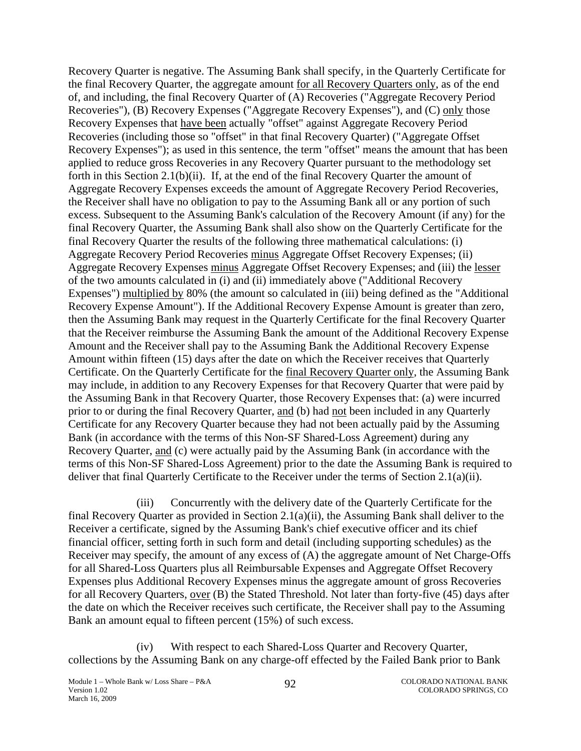Recovery Quarter is negative. The Assuming Bank shall specify, in the Quarterly Certificate for the final Recovery Quarter, the aggregate amount for all Recovery Quarters only, as of the end of, and including, the final Recovery Quarter of (A) Recoveries ("Aggregate Recovery Period Recoveries"), (B) Recovery Expenses ("Aggregate Recovery Expenses"), and (C) only those Recovery Expenses that have been actually "offset" against Aggregate Recovery Period Recoveries (including those so "offset" in that final Recovery Quarter) ("Aggregate Offset Recovery Expenses"); as used in this sentence, the term "offset" means the amount that has been applied to reduce gross Recoveries in any Recovery Quarter pursuant to the methodology set forth in this Section 2.1(b)(ii). If, at the end of the final Recovery Quarter the amount of Aggregate Recovery Expenses exceeds the amount of Aggregate Recovery Period Recoveries, the Receiver shall have no obligation to pay to the Assuming Bank all or any portion of such excess. Subsequent to the Assuming Bank's calculation of the Recovery Amount (if any) for the final Recovery Quarter, the Assuming Bank shall also show on the Quarterly Certificate for the final Recovery Quarter the results of the following three mathematical calculations: (i) Aggregate Recovery Period Recoveries minus Aggregate Offset Recovery Expenses; (ii) Aggregate Recovery Expenses minus Aggregate Offset Recovery Expenses; and (iii) the lesser of the two amounts calculated in (i) and (ii) immediately above ("Additional Recovery Expenses") multiplied by 80% (the amount so calculated in (iii) being defined as the "Additional Recovery Expense Amount"). If the Additional Recovery Expense Amount is greater than zero, then the Assuming Bank may request in the Quarterly Certificate for the final Recovery Quarter that the Receiver reimburse the Assuming Bank the amount of the Additional Recovery Expense Amount and the Receiver shall pay to the Assuming Bank the Additional Recovery Expense Amount within fifteen (15) days after the date on which the Receiver receives that Quarterly Certificate. On the Quarterly Certificate for the final Recovery Quarter only, the Assuming Bank may include, in addition to any Recovery Expenses for that Recovery Quarter that were paid by the Assuming Bank in that Recovery Quarter, those Recovery Expenses that: (a) were incurred prior to or during the final Recovery Quarter, and (b) had not been included in any Quarterly Certificate for any Recovery Quarter because they had not been actually paid by the Assuming Bank (in accordance with the terms of this Non-SF Shared-Loss Agreement) during any Recovery Quarter, and (c) were actually paid by the Assuming Bank (in accordance with the terms of this Non-SF Shared-Loss Agreement) prior to the date the Assuming Bank is required to deliver that final Quarterly Certificate to the Receiver under the terms of Section 2.1(a)(ii).

(iii) Concurrently with the delivery date of the Quarterly Certificate for the final Recovery Quarter as provided in Section 2.1(a)(ii), the Assuming Bank shall deliver to the Receiver a certificate, signed by the Assuming Bank's chief executive officer and its chief financial officer, setting forth in such form and detail (including supporting schedules) as the Receiver may specify, the amount of any excess of (A) the aggregate amount of Net Charge-Offs for all Shared-Loss Quarters plus all Reimbursable Expenses and Aggregate Offset Recovery Expenses plus Additional Recovery Expenses minus the aggregate amount of gross Recoveries for all Recovery Quarters, over (B) the Stated Threshold. Not later than forty-five (45) days after the date on which the Receiver receives such certificate, the Receiver shall pay to the Assuming Bank an amount equal to fifteen percent (15%) of such excess.

(iv) With respect to each Shared-Loss Quarter and Recovery Quarter, collections by the Assuming Bank on any charge-off effected by the Failed Bank prior to Bank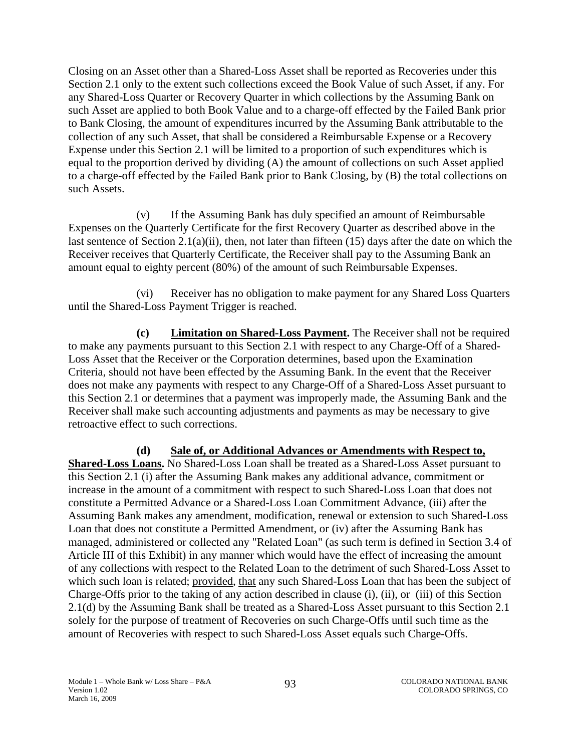Closing on an Asset other than a Shared-Loss Asset shall be reported as Recoveries under this Section 2.1 only to the extent such collections exceed the Book Value of such Asset, if any. For any Shared-Loss Quarter or Recovery Quarter in which collections by the Assuming Bank on such Asset are applied to both Book Value and to a charge-off effected by the Failed Bank prior to Bank Closing, the amount of expenditures incurred by the Assuming Bank attributable to the collection of any such Asset, that shall be considered a Reimbursable Expense or a Recovery Expense under this Section 2.1 will be limited to a proportion of such expenditures which is equal to the proportion derived by dividing (A) the amount of collections on such Asset applied to a charge-off effected by the Failed Bank prior to Bank Closing, by (B) the total collections on such Assets.

(v) If the Assuming Bank has duly specified an amount of Reimbursable Expenses on the Quarterly Certificate for the first Recovery Quarter as described above in the last sentence of Section 2.1(a)(ii), then, not later than fifteen (15) days after the date on which the Receiver receives that Quarterly Certificate, the Receiver shall pay to the Assuming Bank an amount equal to eighty percent (80%) of the amount of such Reimbursable Expenses.

(vi) Receiver has no obligation to make payment for any Shared Loss Quarters until the Shared-Loss Payment Trigger is reached.

**(c) Limitation on Shared-Loss Payment.** The Receiver shall not be required to make any payments pursuant to this Section 2.1 with respect to any Charge-Off of a Shared-Loss Asset that the Receiver or the Corporation determines, based upon the Examination Criteria, should not have been effected by the Assuming Bank. In the event that the Receiver does not make any payments with respect to any Charge-Off of a Shared-Loss Asset pursuant to this Section 2.1 or determines that a payment was improperly made, the Assuming Bank and the Receiver shall make such accounting adjustments and payments as may be necessary to give retroactive effect to such corrections.

**(d) Sale of, or Additional Advances or Amendments with Respect to, Shared-Loss Loans.** No Shared-Loss Loan shall be treated as a Shared-Loss Asset pursuant to this Section 2.1 (i) after the Assuming Bank makes any additional advance, commitment or increase in the amount of a commitment with respect to such Shared-Loss Loan that does not constitute a Permitted Advance or a Shared-Loss Loan Commitment Advance, (iii) after the Assuming Bank makes any amendment, modification, renewal or extension to such Shared-Loss Loan that does not constitute a Permitted Amendment, or (iv) after the Assuming Bank has managed, administered or collected any "Related Loan" (as such term is defined in Section 3.4 of Article III of this Exhibit) in any manner which would have the effect of increasing the amount of any collections with respect to the Related Loan to the detriment of such Shared-Loss Asset to which such loan is related; provided, that any such Shared-Loss Loan that has been the subject of Charge-Offs prior to the taking of any action described in clause (i), (ii), or (iii) of this Section 2.1(d) by the Assuming Bank shall be treated as a Shared-Loss Asset pursuant to this Section 2.1 solely for the purpose of treatment of Recoveries on such Charge-Offs until such time as the amount of Recoveries with respect to such Shared-Loss Asset equals such Charge-Offs.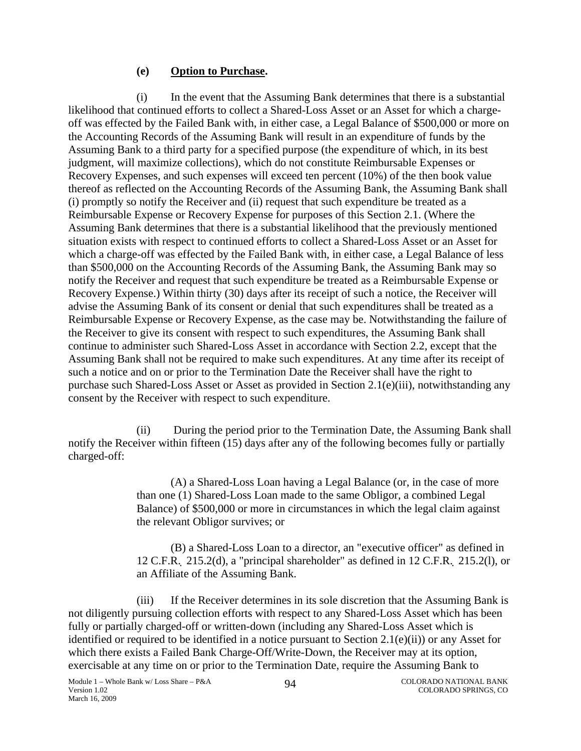### **(e) Option to Purchase.**

(i) In the event that the Assuming Bank determines that there is a substantial likelihood that continued efforts to collect a Shared-Loss Asset or an Asset for which a chargeoff was effected by the Failed Bank with, in either case, a Legal Balance of \$500,000 or more on the Accounting Records of the Assuming Bank will result in an expenditure of funds by the Assuming Bank to a third party for a specified purpose (the expenditure of which, in its best judgment, will maximize collections), which do not constitute Reimbursable Expenses or Recovery Expenses, and such expenses will exceed ten percent (10%) of the then book value thereof as reflected on the Accounting Records of the Assuming Bank, the Assuming Bank shall (i) promptly so notify the Receiver and (ii) request that such expenditure be treated as a Reimbursable Expense or Recovery Expense for purposes of this Section 2.1. (Where the Assuming Bank determines that there is a substantial likelihood that the previously mentioned situation exists with respect to continued efforts to collect a Shared-Loss Asset or an Asset for which a charge-off was effected by the Failed Bank with, in either case, a Legal Balance of less than \$500,000 on the Accounting Records of the Assuming Bank, the Assuming Bank may so notify the Receiver and request that such expenditure be treated as a Reimbursable Expense or Recovery Expense.) Within thirty (30) days after its receipt of such a notice, the Receiver will advise the Assuming Bank of its consent or denial that such expenditures shall be treated as a Reimbursable Expense or Recovery Expense, as the case may be. Notwithstanding the failure of the Receiver to give its consent with respect to such expenditures, the Assuming Bank shall continue to administer such Shared-Loss Asset in accordance with Section 2.2, except that the Assuming Bank shall not be required to make such expenditures. At any time after its receipt of such a notice and on or prior to the Termination Date the Receiver shall have the right to purchase such Shared-Loss Asset or Asset as provided in Section 2.1(e)(iii), notwithstanding any consent by the Receiver with respect to such expenditure.

(ii) During the period prior to the Termination Date, the Assuming Bank shall notify the Receiver within fifteen (15) days after any of the following becomes fully or partially charged-off:

> (A) a Shared-Loss Loan having a Legal Balance (or, in the case of more than one (1) Shared-Loss Loan made to the same Obligor, a combined Legal Balance) of \$500,000 or more in circumstances in which the legal claim against the relevant Obligor survives; or

(B) a Shared-Loss Loan to a director, an "executive officer" as defined in 12 C.F.R. 215.2(d), a "principal shareholder" as defined in 12 C.F.R. 215.2(l), or an Affiliate of the Assuming Bank.

(iii) If the Receiver determines in its sole discretion that the Assuming Bank is not diligently pursuing collection efforts with respect to any Shared-Loss Asset which has been fully or partially charged-off or written-down (including any Shared-Loss Asset which is identified or required to be identified in a notice pursuant to Section 2.1(e)(ii)) or any Asset for which there exists a Failed Bank Charge-Off/Write-Down, the Receiver may at its option, exercisable at any time on or prior to the Termination Date, require the Assuming Bank to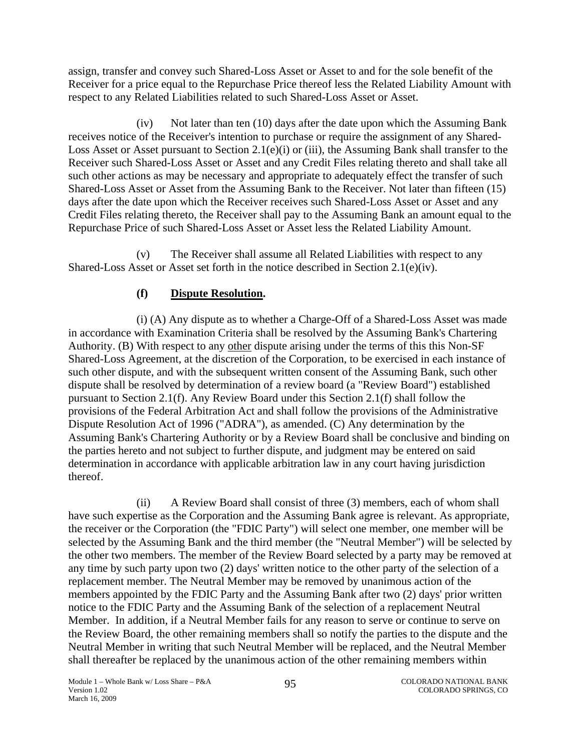assign, transfer and convey such Shared-Loss Asset or Asset to and for the sole benefit of the Receiver for a price equal to the Repurchase Price thereof less the Related Liability Amount with respect to any Related Liabilities related to such Shared-Loss Asset or Asset.

(iv) Not later than ten (10) days after the date upon which the Assuming Bank receives notice of the Receiver's intention to purchase or require the assignment of any Shared-Loss Asset or Asset pursuant to Section 2.1(e)(i) or (iii), the Assuming Bank shall transfer to the Receiver such Shared-Loss Asset or Asset and any Credit Files relating thereto and shall take all such other actions as may be necessary and appropriate to adequately effect the transfer of such Shared-Loss Asset or Asset from the Assuming Bank to the Receiver. Not later than fifteen (15) days after the date upon which the Receiver receives such Shared-Loss Asset or Asset and any Credit Files relating thereto, the Receiver shall pay to the Assuming Bank an amount equal to the Repurchase Price of such Shared-Loss Asset or Asset less the Related Liability Amount.

(v) The Receiver shall assume all Related Liabilities with respect to any Shared-Loss Asset or Asset set forth in the notice described in Section 2.1(e)(iv).

# **(f) Dispute Resolution.**

(i) (A) Any dispute as to whether a Charge-Off of a Shared-Loss Asset was made in accordance with Examination Criteria shall be resolved by the Assuming Bank's Chartering Authority. (B) With respect to any other dispute arising under the terms of this this Non-SF Shared-Loss Agreement, at the discretion of the Corporation, to be exercised in each instance of such other dispute, and with the subsequent written consent of the Assuming Bank, such other dispute shall be resolved by determination of a review board (a "Review Board") established pursuant to Section 2.1(f). Any Review Board under this Section 2.1(f) shall follow the provisions of the Federal Arbitration Act and shall follow the provisions of the Administrative Dispute Resolution Act of 1996 ("ADRA"), as amended. (C) Any determination by the Assuming Bank's Chartering Authority or by a Review Board shall be conclusive and binding on the parties hereto and not subject to further dispute, and judgment may be entered on said determination in accordance with applicable arbitration law in any court having jurisdiction thereof.

(ii) A Review Board shall consist of three (3) members, each of whom shall have such expertise as the Corporation and the Assuming Bank agree is relevant. As appropriate, the receiver or the Corporation (the "FDIC Party") will select one member, one member will be selected by the Assuming Bank and the third member (the "Neutral Member") will be selected by the other two members. The member of the Review Board selected by a party may be removed at any time by such party upon two (2) days' written notice to the other party of the selection of a replacement member. The Neutral Member may be removed by unanimous action of the members appointed by the FDIC Party and the Assuming Bank after two (2) days' prior written notice to the FDIC Party and the Assuming Bank of the selection of a replacement Neutral Member. In addition, if a Neutral Member fails for any reason to serve or continue to serve on the Review Board, the other remaining members shall so notify the parties to the dispute and the Neutral Member in writing that such Neutral Member will be replaced, and the Neutral Member shall thereafter be replaced by the unanimous action of the other remaining members within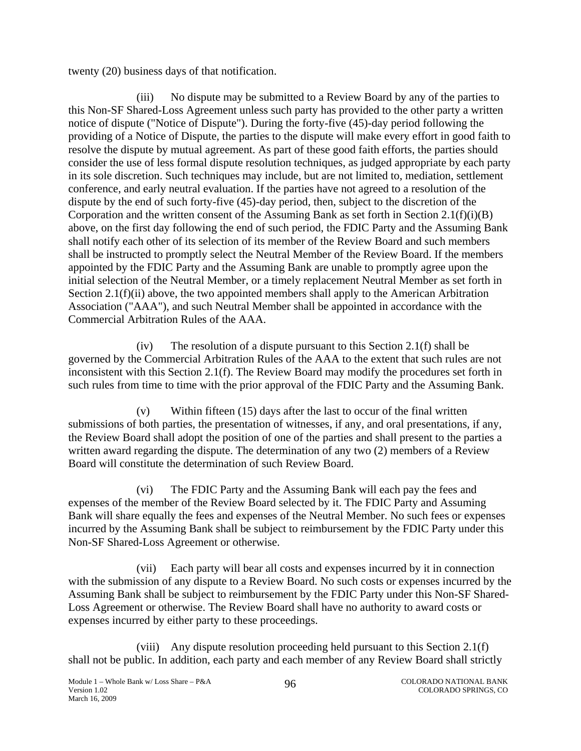twenty (20) business days of that notification.

(iii) No dispute may be submitted to a Review Board by any of the parties to this Non-SF Shared-Loss Agreement unless such party has provided to the other party a written notice of dispute ("Notice of Dispute"). During the forty-five (45)-day period following the providing of a Notice of Dispute, the parties to the dispute will make every effort in good faith to resolve the dispute by mutual agreement. As part of these good faith efforts, the parties should consider the use of less formal dispute resolution techniques, as judged appropriate by each party in its sole discretion. Such techniques may include, but are not limited to, mediation, settlement conference, and early neutral evaluation. If the parties have not agreed to a resolution of the dispute by the end of such forty-five (45)-day period, then, subject to the discretion of the Corporation and the written consent of the Assuming Bank as set forth in Section 2.1(f)(i)(B) above, on the first day following the end of such period, the FDIC Party and the Assuming Bank shall notify each other of its selection of its member of the Review Board and such members shall be instructed to promptly select the Neutral Member of the Review Board. If the members appointed by the FDIC Party and the Assuming Bank are unable to promptly agree upon the initial selection of the Neutral Member, or a timely replacement Neutral Member as set forth in Section 2.1(f)(ii) above, the two appointed members shall apply to the American Arbitration Association ("AAA"), and such Neutral Member shall be appointed in accordance with the Commercial Arbitration Rules of the AAA.

(iv) The resolution of a dispute pursuant to this Section 2.1(f) shall be governed by the Commercial Arbitration Rules of the AAA to the extent that such rules are not inconsistent with this Section 2.1(f). The Review Board may modify the procedures set forth in such rules from time to time with the prior approval of the FDIC Party and the Assuming Bank.

(v) Within fifteen (15) days after the last to occur of the final written submissions of both parties, the presentation of witnesses, if any, and oral presentations, if any, the Review Board shall adopt the position of one of the parties and shall present to the parties a written award regarding the dispute. The determination of any two (2) members of a Review Board will constitute the determination of such Review Board.

(vi) The FDIC Party and the Assuming Bank will each pay the fees and expenses of the member of the Review Board selected by it. The FDIC Party and Assuming Bank will share equally the fees and expenses of the Neutral Member. No such fees or expenses incurred by the Assuming Bank shall be subject to reimbursement by the FDIC Party under this Non-SF Shared-Loss Agreement or otherwise.

(vii) Each party will bear all costs and expenses incurred by it in connection with the submission of any dispute to a Review Board. No such costs or expenses incurred by the Assuming Bank shall be subject to reimbursement by the FDIC Party under this Non-SF Shared-Loss Agreement or otherwise. The Review Board shall have no authority to award costs or expenses incurred by either party to these proceedings.

(viii) Any dispute resolution proceeding held pursuant to this Section 2.1(f) shall not be public. In addition, each party and each member of any Review Board shall strictly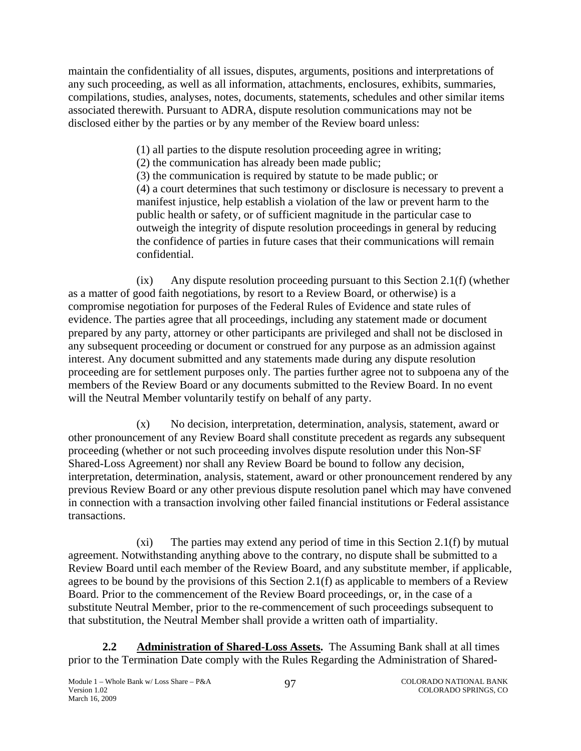maintain the confidentiality of all issues, disputes, arguments, positions and interpretations of any such proceeding, as well as all information, attachments, enclosures, exhibits, summaries, compilations, studies, analyses, notes, documents, statements, schedules and other similar items associated therewith. Pursuant to ADRA, dispute resolution communications may not be disclosed either by the parties or by any member of the Review board unless:

(1) all parties to the dispute resolution proceeding agree in writing;

(2) the communication has already been made public;

(3) the communication is required by statute to be made public; or (4) a court determines that such testimony or disclosure is necessary to prevent a manifest injustice, help establish a violation of the law or prevent harm to the public health or safety, or of sufficient magnitude in the particular case to outweigh the integrity of dispute resolution proceedings in general by reducing the confidence of parties in future cases that their communications will remain confidential.

(ix) Any dispute resolution proceeding pursuant to this Section 2.1(f) (whether as a matter of good faith negotiations, by resort to a Review Board, or otherwise) is a compromise negotiation for purposes of the Federal Rules of Evidence and state rules of evidence. The parties agree that all proceedings, including any statement made or document prepared by any party, attorney or other participants are privileged and shall not be disclosed in any subsequent proceeding or document or construed for any purpose as an admission against interest. Any document submitted and any statements made during any dispute resolution proceeding are for settlement purposes only. The parties further agree not to subpoena any of the members of the Review Board or any documents submitted to the Review Board. In no event will the Neutral Member voluntarily testify on behalf of any party.

(x) No decision, interpretation, determination, analysis, statement, award or other pronouncement of any Review Board shall constitute precedent as regards any subsequent proceeding (whether or not such proceeding involves dispute resolution under this Non-SF Shared-Loss Agreement) nor shall any Review Board be bound to follow any decision, interpretation, determination, analysis, statement, award or other pronouncement rendered by any previous Review Board or any other previous dispute resolution panel which may have convened in connection with a transaction involving other failed financial institutions or Federal assistance transactions.

(xi) The parties may extend any period of time in this Section 2.1(f) by mutual agreement. Notwithstanding anything above to the contrary, no dispute shall be submitted to a Review Board until each member of the Review Board, and any substitute member, if applicable, agrees to be bound by the provisions of this Section 2.1(f) as applicable to members of a Review Board. Prior to the commencement of the Review Board proceedings, or, in the case of a substitute Neutral Member, prior to the re-commencement of such proceedings subsequent to that substitution, the Neutral Member shall provide a written oath of impartiality.

**2.2 Administration of Shared-Loss Assets.** The Assuming Bank shall at all times prior to the Termination Date comply with the Rules Regarding the Administration of Shared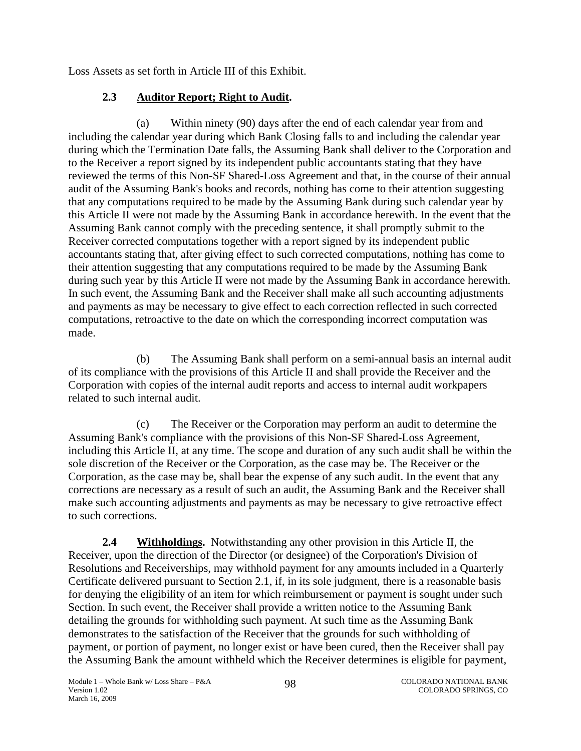Loss Assets as set forth in Article III of this Exhibit.

# **2.3 Auditor Report; Right to Audit.**

(a) Within ninety (90) days after the end of each calendar year from and including the calendar year during which Bank Closing falls to and including the calendar year during which the Termination Date falls, the Assuming Bank shall deliver to the Corporation and to the Receiver a report signed by its independent public accountants stating that they have reviewed the terms of this Non-SF Shared-Loss Agreement and that, in the course of their annual audit of the Assuming Bank's books and records, nothing has come to their attention suggesting that any computations required to be made by the Assuming Bank during such calendar year by this Article II were not made by the Assuming Bank in accordance herewith. In the event that the Assuming Bank cannot comply with the preceding sentence, it shall promptly submit to the Receiver corrected computations together with a report signed by its independent public accountants stating that, after giving effect to such corrected computations, nothing has come to their attention suggesting that any computations required to be made by the Assuming Bank during such year by this Article II were not made by the Assuming Bank in accordance herewith. In such event, the Assuming Bank and the Receiver shall make all such accounting adjustments and payments as may be necessary to give effect to each correction reflected in such corrected computations, retroactive to the date on which the corresponding incorrect computation was made.

(b) The Assuming Bank shall perform on a semi-annual basis an internal audit of its compliance with the provisions of this Article II and shall provide the Receiver and the Corporation with copies of the internal audit reports and access to internal audit workpapers related to such internal audit.

(c) The Receiver or the Corporation may perform an audit to determine the Assuming Bank's compliance with the provisions of this Non-SF Shared-Loss Agreement, including this Article II, at any time. The scope and duration of any such audit shall be within the sole discretion of the Receiver or the Corporation, as the case may be. The Receiver or the Corporation, as the case may be, shall bear the expense of any such audit. In the event that any corrections are necessary as a result of such an audit, the Assuming Bank and the Receiver shall make such accounting adjustments and payments as may be necessary to give retroactive effect to such corrections.

**2.4 Withholdings.** Notwithstanding any other provision in this Article II, the Receiver, upon the direction of the Director (or designee) of the Corporation's Division of Resolutions and Receiverships, may withhold payment for any amounts included in a Quarterly Certificate delivered pursuant to Section 2.1, if, in its sole judgment, there is a reasonable basis for denying the eligibility of an item for which reimbursement or payment is sought under such Section. In such event, the Receiver shall provide a written notice to the Assuming Bank detailing the grounds for withholding such payment. At such time as the Assuming Bank demonstrates to the satisfaction of the Receiver that the grounds for such withholding of payment, or portion of payment, no longer exist or have been cured, then the Receiver shall pay the Assuming Bank the amount withheld which the Receiver determines is eligible for payment,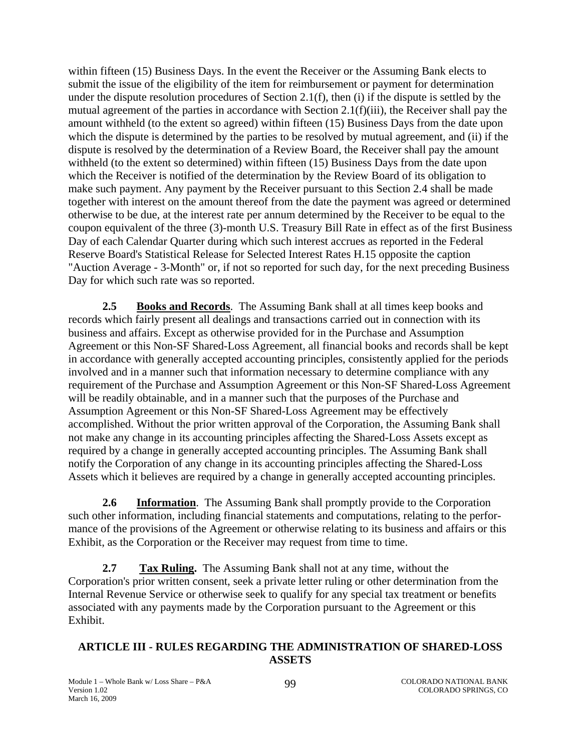within fifteen (15) Business Days. In the event the Receiver or the Assuming Bank elects to submit the issue of the eligibility of the item for reimbursement or payment for determination under the dispute resolution procedures of Section 2.1(f), then (i) if the dispute is settled by the mutual agreement of the parties in accordance with Section 2.1(f)(iii), the Receiver shall pay the amount withheld (to the extent so agreed) within fifteen (15) Business Days from the date upon which the dispute is determined by the parties to be resolved by mutual agreement, and (ii) if the dispute is resolved by the determination of a Review Board, the Receiver shall pay the amount withheld (to the extent so determined) within fifteen (15) Business Days from the date upon which the Receiver is notified of the determination by the Review Board of its obligation to make such payment. Any payment by the Receiver pursuant to this Section 2.4 shall be made together with interest on the amount thereof from the date the payment was agreed or determined otherwise to be due, at the interest rate per annum determined by the Receiver to be equal to the coupon equivalent of the three (3)-month U.S. Treasury Bill Rate in effect as of the first Business Day of each Calendar Quarter during which such interest accrues as reported in the Federal Reserve Board's Statistical Release for Selected Interest Rates H.15 opposite the caption "Auction Average - 3-Month" or, if not so reported for such day, for the next preceding Business Day for which such rate was so reported.

**2.5 Books and Records**. The Assuming Bank shall at all times keep books and records which fairly present all dealings and transactions carried out in connection with its business and affairs. Except as otherwise provided for in the Purchase and Assumption Agreement or this Non-SF Shared-Loss Agreement, all financial books and records shall be kept in accordance with generally accepted accounting principles, consistently applied for the periods involved and in a manner such that information necessary to determine compliance with any requirement of the Purchase and Assumption Agreement or this Non-SF Shared-Loss Agreement will be readily obtainable, and in a manner such that the purposes of the Purchase and Assumption Agreement or this Non-SF Shared-Loss Agreement may be effectively accomplished. Without the prior written approval of the Corporation, the Assuming Bank shall not make any change in its accounting principles affecting the Shared-Loss Assets except as required by a change in generally accepted accounting principles. The Assuming Bank shall notify the Corporation of any change in its accounting principles affecting the Shared-Loss Assets which it believes are required by a change in generally accepted accounting principles.

**2.6 Information**. The Assuming Bank shall promptly provide to the Corporation such other information, including financial statements and computations, relating to the performance of the provisions of the Agreement or otherwise relating to its business and affairs or this Exhibit, as the Corporation or the Receiver may request from time to time.

**2.7 Tax Ruling.** The Assuming Bank shall not at any time, without the Corporation's prior written consent, seek a private letter ruling or other determination from the Internal Revenue Service or otherwise seek to qualify for any special tax treatment or benefits associated with any payments made by the Corporation pursuant to the Agreement or this Exhibit.

# **ARTICLE III - RULES REGARDING THE ADMINISTRATION OF SHARED-LOSS ASSETS**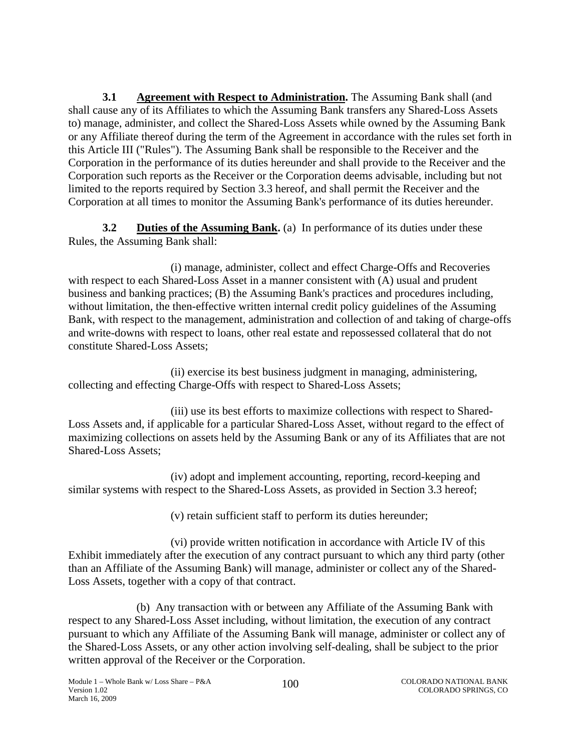**3.1 Agreement with Respect to Administration.** The Assuming Bank shall (and shall cause any of its Affiliates to which the Assuming Bank transfers any Shared-Loss Assets to) manage, administer, and collect the Shared-Loss Assets while owned by the Assuming Bank or any Affiliate thereof during the term of the Agreement in accordance with the rules set forth in this Article III ("Rules"). The Assuming Bank shall be responsible to the Receiver and the Corporation in the performance of its duties hereunder and shall provide to the Receiver and the Corporation such reports as the Receiver or the Corporation deems advisable, including but not limited to the reports required by Section 3.3 hereof, and shall permit the Receiver and the Corporation at all times to monitor the Assuming Bank's performance of its duties hereunder.

**3.2 Duties of the Assuming Bank.** (a) In performance of its duties under these Rules, the Assuming Bank shall:

(i) manage, administer, collect and effect Charge-Offs and Recoveries with respect to each Shared-Loss Asset in a manner consistent with (A) usual and prudent business and banking practices; (B) the Assuming Bank's practices and procedures including, without limitation, the then-effective written internal credit policy guidelines of the Assuming Bank, with respect to the management, administration and collection of and taking of charge-offs and write-downs with respect to loans, other real estate and repossessed collateral that do not constitute Shared-Loss Assets;

(ii) exercise its best business judgment in managing, administering, collecting and effecting Charge-Offs with respect to Shared-Loss Assets;

(iii) use its best efforts to maximize collections with respect to Shared-Loss Assets and, if applicable for a particular Shared-Loss Asset, without regard to the effect of maximizing collections on assets held by the Assuming Bank or any of its Affiliates that are not Shared-Loss Assets;

(iv) adopt and implement accounting, reporting, record-keeping and similar systems with respect to the Shared-Loss Assets, as provided in Section 3.3 hereof;

(v) retain sufficient staff to perform its duties hereunder;

(vi) provide written notification in accordance with Article IV of this Exhibit immediately after the execution of any contract pursuant to which any third party (other than an Affiliate of the Assuming Bank) will manage, administer or collect any of the Shared-Loss Assets, together with a copy of that contract.

(b) Any transaction with or between any Affiliate of the Assuming Bank with respect to any Shared-Loss Asset including, without limitation, the execution of any contract pursuant to which any Affiliate of the Assuming Bank will manage, administer or collect any of the Shared-Loss Assets, or any other action involving self-dealing, shall be subject to the prior written approval of the Receiver or the Corporation.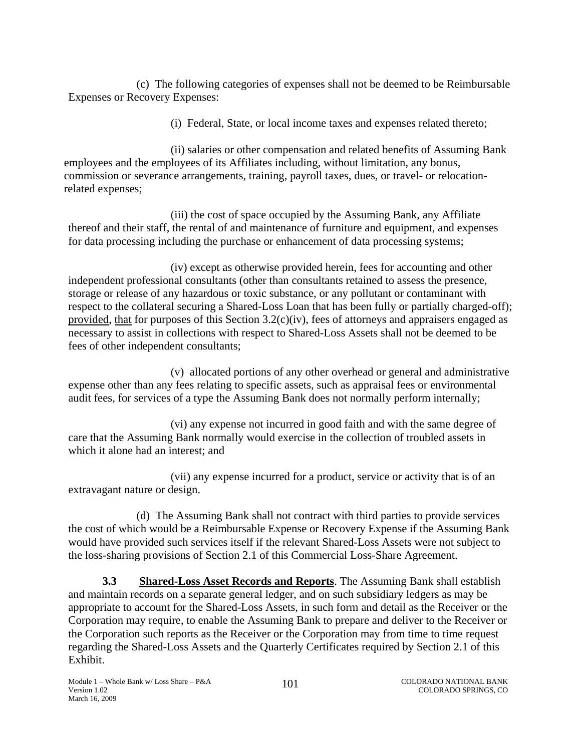(c) The following categories of expenses shall not be deemed to be Reimbursable Expenses or Recovery Expenses:

(i) Federal, State, or local income taxes and expenses related thereto;

(ii) salaries or other compensation and related benefits of Assuming Bank employees and the employees of its Affiliates including, without limitation, any bonus, commission or severance arrangements, training, payroll taxes, dues, or travel- or relocationrelated expenses;

(iii) the cost of space occupied by the Assuming Bank, any Affiliate thereof and their staff, the rental of and maintenance of furniture and equipment, and expenses for data processing including the purchase or enhancement of data processing systems;

(iv) except as otherwise provided herein, fees for accounting and other independent professional consultants (other than consultants retained to assess the presence, storage or release of any hazardous or toxic substance, or any pollutant or contaminant with respect to the collateral securing a Shared-Loss Loan that has been fully or partially charged-off); provided, that for purposes of this Section 3.2(c)(iv), fees of attorneys and appraisers engaged as necessary to assist in collections with respect to Shared-Loss Assets shall not be deemed to be fees of other independent consultants;

(v) allocated portions of any other overhead or general and administrative expense other than any fees relating to specific assets, such as appraisal fees or environmental audit fees, for services of a type the Assuming Bank does not normally perform internally;

(vi) any expense not incurred in good faith and with the same degree of care that the Assuming Bank normally would exercise in the collection of troubled assets in which it alone had an interest; and

(vii) any expense incurred for a product, service or activity that is of an extravagant nature or design.

(d) The Assuming Bank shall not contract with third parties to provide services the cost of which would be a Reimbursable Expense or Recovery Expense if the Assuming Bank would have provided such services itself if the relevant Shared-Loss Assets were not subject to the loss-sharing provisions of Section 2.1 of this Commercial Loss-Share Agreement.

**3.3 Shared-Loss Asset Records and Reports**. The Assuming Bank shall establish and maintain records on a separate general ledger, and on such subsidiary ledgers as may be appropriate to account for the Shared-Loss Assets, in such form and detail as the Receiver or the Corporation may require, to enable the Assuming Bank to prepare and deliver to the Receiver or the Corporation such reports as the Receiver or the Corporation may from time to time request regarding the Shared-Loss Assets and the Quarterly Certificates required by Section 2.1 of this Exhibit.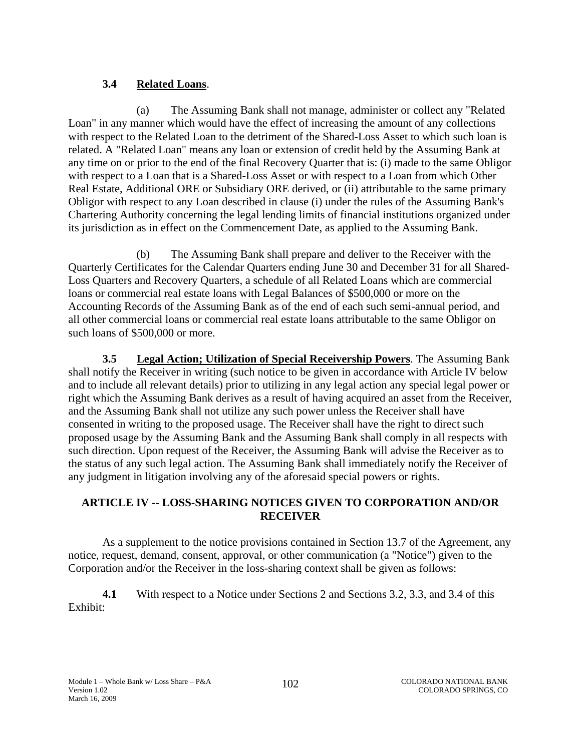# **3.4 Related Loans**.

(a) The Assuming Bank shall not manage, administer or collect any "Related Loan" in any manner which would have the effect of increasing the amount of any collections with respect to the Related Loan to the detriment of the Shared-Loss Asset to which such loan is related. A "Related Loan" means any loan or extension of credit held by the Assuming Bank at any time on or prior to the end of the final Recovery Quarter that is: (i) made to the same Obligor with respect to a Loan that is a Shared-Loss Asset or with respect to a Loan from which Other Real Estate, Additional ORE or Subsidiary ORE derived, or (ii) attributable to the same primary Obligor with respect to any Loan described in clause (i) under the rules of the Assuming Bank's Chartering Authority concerning the legal lending limits of financial institutions organized under its jurisdiction as in effect on the Commencement Date, as applied to the Assuming Bank.

(b) The Assuming Bank shall prepare and deliver to the Receiver with the Quarterly Certificates for the Calendar Quarters ending June 30 and December 31 for all Shared-Loss Quarters and Recovery Quarters, a schedule of all Related Loans which are commercial loans or commercial real estate loans with Legal Balances of \$500,000 or more on the Accounting Records of the Assuming Bank as of the end of each such semi-annual period, and all other commercial loans or commercial real estate loans attributable to the same Obligor on such loans of \$500,000 or more.

**3.5 Legal Action; Utilization of Special Receivership Powers**. The Assuming Bank shall notify the Receiver in writing (such notice to be given in accordance with Article IV below and to include all relevant details) prior to utilizing in any legal action any special legal power or right which the Assuming Bank derives as a result of having acquired an asset from the Receiver, and the Assuming Bank shall not utilize any such power unless the Receiver shall have consented in writing to the proposed usage. The Receiver shall have the right to direct such proposed usage by the Assuming Bank and the Assuming Bank shall comply in all respects with such direction. Upon request of the Receiver, the Assuming Bank will advise the Receiver as to the status of any such legal action. The Assuming Bank shall immediately notify the Receiver of any judgment in litigation involving any of the aforesaid special powers or rights.

# **ARTICLE IV -- LOSS-SHARING NOTICES GIVEN TO CORPORATION AND/OR RECEIVER**

As a supplement to the notice provisions contained in Section 13.7 of the Agreement, any notice, request, demand, consent, approval, or other communication (a "Notice") given to the Corporation and/or the Receiver in the loss-sharing context shall be given as follows:

**4.1** With respect to a Notice under Sections 2 and Sections 3.2, 3.3, and 3.4 of this Exhibit: